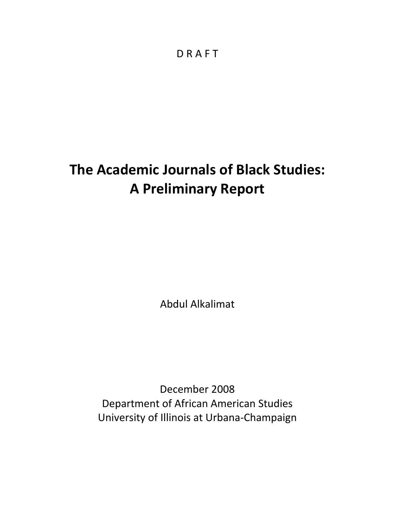# **The Academic Journals of Black Studies: A Preliminary Report**

Abdul Alkalimat

December 2008 Department of African American Studies University of Illinois at Urbana‐Champaign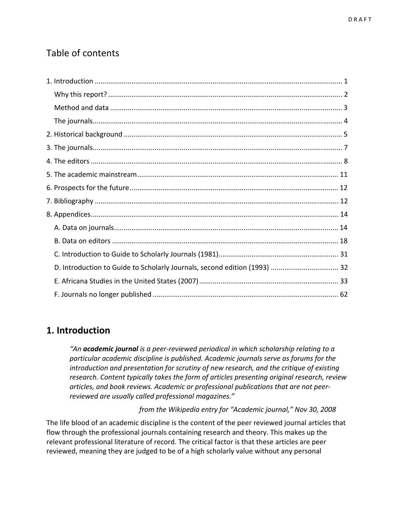### Table of contents

| D. Introduction to Guide to Scholarly Journals, second edition (1993)  32 |
|---------------------------------------------------------------------------|
|                                                                           |
|                                                                           |

### **1. Introduction**

*"An academic journal is a peer‐reviewed periodical in which scholarship relating to a particular academic discipline is published. Academic journals serve as forums for the introduction and presentation for scrutiny of new research, and the critique of existing research. Content typically takes the form of articles presenting original research, review articles, and book reviews. Academic or professional publications that are not peer‐ reviewed are usually called professional magazines."*

 *from the Wikipedia entry for "Academic journal," Nov 30, 2008*

The life blood of an academic discipline is the content of the peer reviewed journal articles that flow through the professional journals containing research and theory. This makes up the relevant professional literature of record. The critical factor is that these articles are peer reviewed, meaning they are judged to be of a high scholarly value without any personal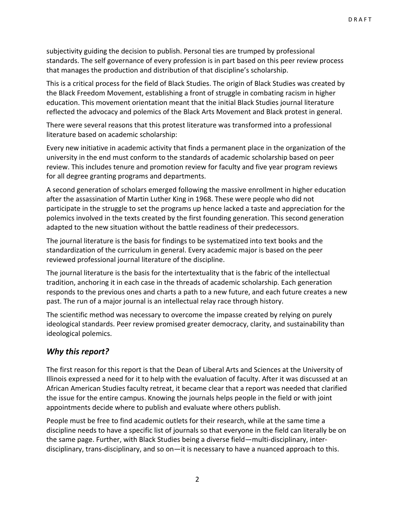subjectivity guiding the decision to publish. Personal ties are trumped by professional standards. The self governance of every profession is in part based on this peer review process that manages the production and distribution of that discipline's scholarship.

This is a critical process for the field of Black Studies. The origin of Black Studies was created by the Black Freedom Movement, establishing a front of struggle in combating racism in higher education. This movement orientation meant that the initial Black Studies journal literature reflected the advocacy and polemics of the Black Arts Movement and Black protest in general.

There were several reasons that this protest literature was transformed into a professional literature based on academic scholarship:

Every new initiative in academic activity that finds a permanent place in the organization of the university in the end must conform to the standards of academic scholarship based on peer review. This includes tenure and promotion review for faculty and five year program reviews for all degree granting programs and departments.

A second generation of scholars emerged following the massive enrollment in higher education after the assassination of Martin Luther King in 1968. These were people who did not participate in the struggle to set the programs up hence lacked a taste and appreciation for the polemics involved in the texts created by the first founding generation. This second generation adapted to the new situation without the battle readiness of their predecessors.

The journal literature is the basis for findings to be systematized into text books and the standardization of the curriculum in general. Every academic major is based on the peer reviewed professional journal literature of the discipline.

The journal literature is the basis for the intertextuality that is the fabric of the intellectual tradition, anchoring it in each case in the threads of academic scholarship. Each generation responds to the previous ones and charts a path to a new future, and each future creates a new past. The run of a major journal is an intellectual relay race through history.

The scientific method was necessary to overcome the impasse created by relying on purely ideological standards. Peer review promised greater democracy, clarity, and sustainability than ideological polemics.

### *Why this report?*

The first reason for this report is that the Dean of Liberal Arts and Sciences at the University of Illinois expressed a need for it to help with the evaluation of faculty. After it was discussed at an African American Studies faculty retreat, it became clear that a report was needed that clarified the issue for the entire campus. Knowing the journals helps people in the field or with joint appointments decide where to publish and evaluate where others publish.

People must be free to find academic outlets for their research, while at the same time a discipline needs to have a specific list of journals so that everyone in the field can literally be on the same page. Further, with Black Studies being a diverse field—multi-disciplinary, interdisciplinary, trans‐disciplinary, and so on—it is necessary to have a nuanced approach to this.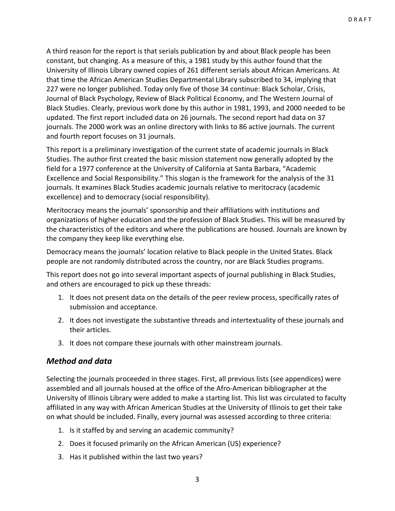A third reason for the report is that serials publication by and about Black people has been constant, but changing. As a measure of this, a 1981 study by this author found that the University of Illinois Library owned copies of 261 different serials about African Americans. At that time the African American Studies Departmental Library subscribed to 34, implying that 227 were no longer published. Today only five of those 34 continue: Black Scholar, Crisis, Journal of Black Psychology, Review of Black Political Economy, and The Western Journal of Black Studies. Clearly, previous work done by this author in 1981, 1993, and 2000 needed to be updated. The first report included data on 26 journals. The second report had data on 37 journals. The 2000 work was an online directory with links to 86 active journals. The current and fourth report focuses on 31 journals.

This report is a preliminary investigation of the current state of academic journals in Black Studies. The author first created the basic mission statement now generally adopted by the field for a 1977 conference at the University of California at Santa Barbara, "Academic Excellence and Social Responsibility." This slogan is the framework for the analysis of the 31 journals. It examines Black Studies academic journals relative to meritocracy (academic excellence) and to democracy (social responsibility).

Meritocracy means the journals' sponsorship and their affiliations with institutions and organizations of higher education and the profession of Black Studies. This will be measured by the characteristics of the editors and where the publications are housed. Journals are known by the company they keep like everything else.

Democracy means the journals' location relative to Black people in the United States. Black people are not randomly distributed across the country, nor are Black Studies programs.

This report does not go into several important aspects of journal publishing in Black Studies, and others are encouraged to pick up these threads:

- 1. It does not present data on the details of the peer review process, specifically rates of submission and acceptance.
- 2. It does not investigate the substantive threads and intertextuality of these journals and their articles.
- 3. It does not compare these journals with other mainstream journals.

### *Method and data*

Selecting the journals proceeded in three stages. First, all previous lists (see appendices) were assembled and all journals housed at the office of the Afro‐American bibliographer at the University of Illinois Library were added to make a starting list. This list was circulated to faculty affiliated in any way with African American Studies at the University of Illinois to get their take on what should be included. Finally, every journal was assessed according to three criteria:

- 1. Is it staffed by and serving an academic community?
- 2. Does it focused primarily on the African American (US) experience?
- 3. Has it published within the last two years?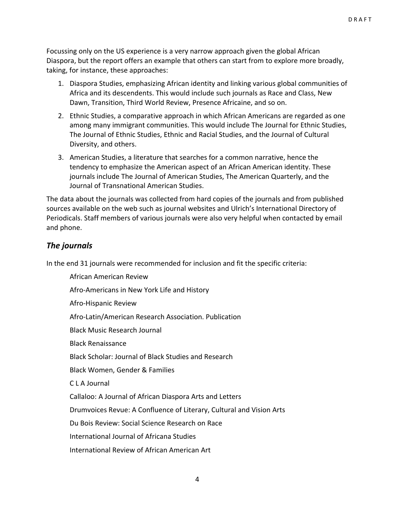Focussing only on the US experience is a very narrow approach given the global African Diaspora, but the report offers an example that others can start from to explore more broadly, taking, for instance, these approaches:

- 1. Diaspora Studies, emphasizing African identity and linking various global communities of Africa and its descendents. This would include such journals as Race and Class, New Dawn, Transition, Third World Review, Presence Africaine, and so on.
- 2. Ethnic Studies, a comparative approach in which African Americans are regarded as one among many immigrant communities. This would include The Journal for Ethnic Studies, The Journal of Ethnic Studies, Ethnic and Racial Studies, and the Journal of Cultural Diversity, and others.
- 3. American Studies, a literature that searches for a common narrative, hence the tendency to emphasize the American aspect of an African American identity. These journals include The Journal of American Studies, The American Quarterly, and the Journal of Transnational American Studies.

The data about the journals was collected from hard copies of the journals and from published sources available on the web such as journal websites and Ulrich's International Directory of Periodicals. Staff members of various journals were also very helpful when contacted by email and phone.

### *The journals*

In the end 31 journals were recommended for inclusion and fit the specific criteria:

African American Review Afro‐Americans in New York Life and History Afro‐Hispanic Review Afro‐Latin/American Research Association. Publication Black Music Research Journal Black Renaissance Black Scholar: Journal of Black Studies and Research Black Women, Gender & Families C L A Journal Callaloo: A Journal of African Diaspora Arts and Letters Drumvoices Revue: A Confluence of Literary, Cultural and Vision Arts Du Bois Review: Social Science Research on Race International Journal of Africana Studies International Review of African American Art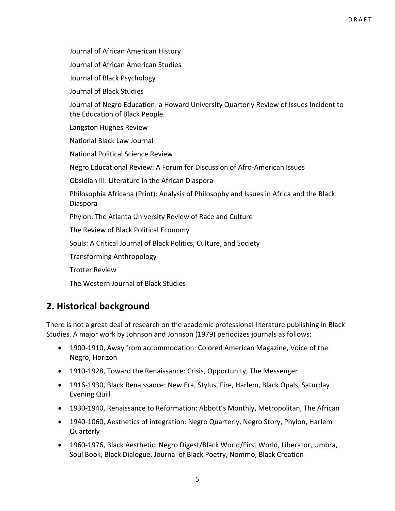Journal of African American History

Journal of African American Studies

Journal of Black Psychology

Journal of Black Studies

Journal of Negro Education: a Howard University Quarterly Review of Issues Incident to the Education of Black People

Langston Hughes Review

National Black Law Journal

National Political Science Review

Negro Educational Review: A Forum for Discussion of Afro‐American Issues

Obsidian III: Literature in the African Diaspora

Philosophia Africana (Print): Analysis of Philosophy and Issues in Africa and the Black Diaspora

Phylon: The Atlanta University Review of Race and Culture

The Review of Black Political Economy

Souls: A Critical Journal of Black Politics, Culture, and Society

Transforming Anthropology

Trotter Review

The Western Journal of Black Studies

### **2. Historical background**

There is not a great deal of research on the academic professional literature publishing in Black Studies. A major work by Johnson and Johnson (1979) periodizes journals as follows:

- 1900‐1910, Away from accommodation: Colored American Magazine, Voice of the Negro, Horizon
- 1910-1928, Toward the Renaissance: Crisis, Opportunity, The Messenger
- 1916-1930, Black Renaissance: New Era, Stylus, Fire, Harlem, Black Opals, Saturday Evening Quill
- 1930-1940, Renaissance to Reformation: Abbott's Monthly, Metropolitan, The African
- 1940-1060, Aesthetics of integration: Negro Quarterly, Negro Story, Phylon, Harlem Quarterly
- 1960‐1976, Black Aesthetic: Negro Digest/Black World/First World, Liberator, Umbra, Soul Book, Black Dialogue, Journal of Black Poetry, Nommo, Black Creation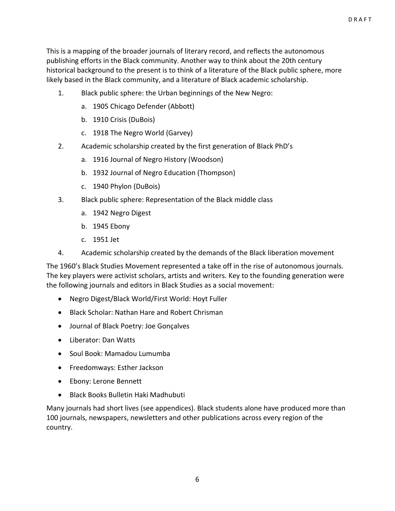This is a mapping of the broader journals of literary record, and reflects the autonomous publishing efforts in the Black community. Another way to think about the 20th century historical background to the present is to think of a literature of the Black public sphere, more likely based in the Black community, and a literature of Black academic scholarship.

- 1. Black public sphere: the Urban beginnings of the New Negro:
	- a. 1905 Chicago Defender (Abbott)
	- b. 1910 Crisis (DuBois)
	- c. 1918 The Negro World (Garvey)
- 2. Academic scholarship created by the first generation of Black PhD's
	- a. 1916 Journal of Negro History (Woodson)
	- b. 1932 Journal of Negro Education (Thompson)
	- c. 1940 Phylon (DuBois)
- 3. Black public sphere: Representation of the Black middle class
	- a. 1942 Negro Digest
	- b. 1945 Ebony
	- c. 1951 Jet
- 4. Academic scholarship created by the demands of the Black liberation movement

The 1960's Black Studies Movement represented a take off in the rise of autonomous journals. The key players were activist scholars, artists and writers. Key to the founding generation were the following journals and editors in Black Studies as a social movement:

- Negro Digest/Black World/First World: Hoyt Fuller
- Black Scholar: Nathan Hare and Robert Chrisman
- Journal of Black Poetry: Joe Gonçalves
- Liberator: Dan Watts
- Soul Book: Mamadou Lumumba
- Freedomways: Esther Jackson
- Ebony: Lerone Bennett
- Black Books Bulletin Haki Madhubuti

Many journals had short lives (see appendices). Black students alone have produced more than 100 journals, newspapers, newsletters and other publications across every region of the country.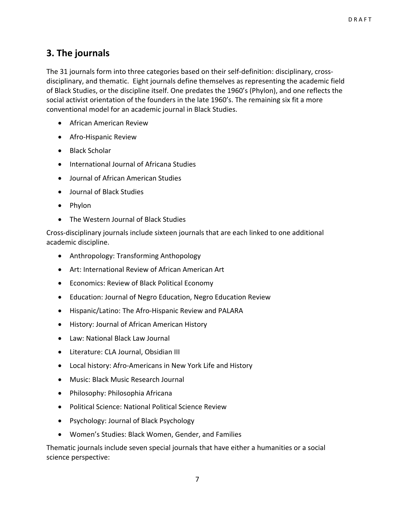### **3. The journals**

The 31 journals form into three categories based on their self-definition: disciplinary, crossdisciplinary, and thematic. Eight journals define themselves as representing the academic field of Black Studies, or the discipline itself. One predates the 1960's (Phylon), and one reflects the social activist orientation of the founders in the late 1960's. The remaining six fit a more conventional model for an academic journal in Black Studies.

- African American Review
- Afro‐Hispanic Review
- Black Scholar
- International Journal of Africana Studies
- Journal of African American Studies
- Journal of Black Studies
- Phylon
- The Western Journal of Black Studies

Cross‐disciplinary journals include sixteen journals that are each linked to one additional academic discipline.

- Anthropology: Transforming Anthopology
- Art: International Review of African American Art
- Economics: Review of Black Political Economy
- Education: Journal of Negro Education, Negro Education Review
- Hispanic/Latino: The Afro‐Hispanic Review and PALARA
- History: Journal of African American History
- Law: National Black Law Journal
- Literature: CLA Journal, Obsidian III
- Local history: Afro‐Americans in New York Life and History
- Music: Black Music Research Journal
- Philosophy: Philosophia Africana
- Political Science: National Political Science Review
- Psychology: Journal of Black Psychology
- Women's Studies: Black Women, Gender, and Families

Thematic journals include seven special journals that have either a humanities or a social science perspective: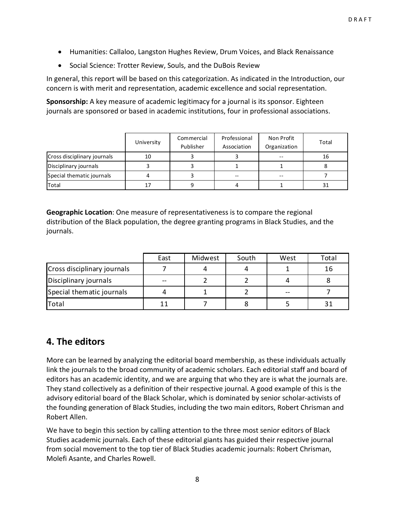- Humanities: Callaloo, Langston Hughes Review, Drum Voices, and Black Renaissance
- Social Science: Trotter Review, Souls, and the DuBois Review

In general, this report will be based on this categorization. As indicated in the Introduction, our concern is with merit and representation, academic excellence and social representation.

**Sponsorship:** A key measure of academic legitimacy for a journal is its sponsor. Eighteen journals are sponsored or based in academic institutions, four in professional associations.

|                             | University | Commercial<br>Publisher | Professional<br>Association | Non Profit<br>Organization | Total |
|-----------------------------|------------|-------------------------|-----------------------------|----------------------------|-------|
| Cross disciplinary journals | 10         |                         |                             | $- -$                      | 16    |
| Disciplinary journals       |            |                         |                             |                            |       |
| Special thematic journals   |            |                         |                             | --                         |       |
| Total                       |            |                         |                             |                            | 31    |

**Geographic Location**: One measure of representativeness is to compare the regional distribution of the Black population, the degree granting programs in Black Studies, and the journals.

|                             | East | Midwest | South | West | Total |
|-----------------------------|------|---------|-------|------|-------|
| Cross disciplinary journals |      |         |       |      | 16    |
| Disciplinary journals       | $-$  |         |       |      |       |
| Special thematic journals   |      |         |       |      |       |
| Total                       |      |         |       |      |       |

### **4. The editors**

More can be learned by analyzing the editorial board membership, as these individuals actually link the journals to the broad community of academic scholars. Each editorial staff and board of editors has an academic identity, and we are arguing that who they are is what the journals are. They stand collectively as a definition of their respective journal. A good example of this is the advisory editorial board of the Black Scholar, which is dominated by senior scholar‐activists of the founding generation of Black Studies, including the two main editors, Robert Chrisman and Robert Allen.

We have to begin this section by calling attention to the three most senior editors of Black Studies academic journals. Each of these editorial giants has guided their respective journal from social movement to the top tier of Black Studies academic journals: Robert Chrisman, Molefi Asante, and Charles Rowell.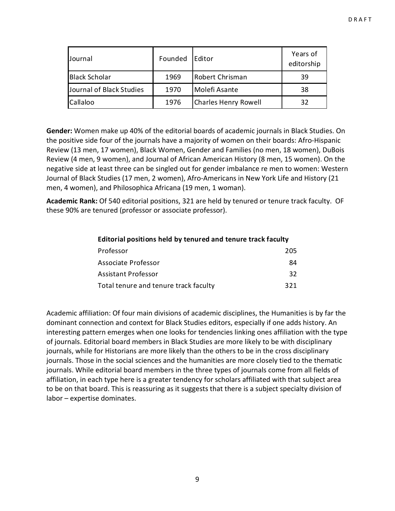| Journal                  | Founded | Editor                      | Years of<br>editorship |
|--------------------------|---------|-----------------------------|------------------------|
| <b>Black Scholar</b>     | 1969    | Robert Chrisman             | 39                     |
| Journal of Black Studies | 1970    | Molefi Asante               | 38                     |
| Callaloo                 | 1976    | <b>Charles Henry Rowell</b> | 32                     |

**Gender:** Women make up 40% of the editorial boards of academic journals in Black Studies. On the positive side four of the journals have a majority of women on their boards: Afro‐Hispanic Review (13 men, 17 women), Black Women, Gender and Families (no men, 18 women), DuBois Review (4 men, 9 women), and Journal of African American History (8 men, 15 women). On the negative side at least three can be singled out for gender imbalance re men to women: Western Journal of Black Studies (17 men, 2 women), Afro‐Americans in New York Life and History (21 men, 4 women), and Philosophica Africana (19 men, 1 woman).

**Academic Rank:** Of 540 editorial positions, 321 are held by tenured or tenure track faculty. OF these 90% are tenured (professor or associate professor).

| Editorial positions held by tenured and tenure track faculty |     |
|--------------------------------------------------------------|-----|
| Professor                                                    | 205 |
| Associate Professor                                          | 84  |
| <b>Assistant Professor</b>                                   | 32  |
| Total tenure and tenure track faculty                        | 321 |

Academic affiliation: Of four main divisions of academic disciplines, the Humanities is by far the dominant connection and context for Black Studies editors, especially if one adds history. An interesting pattern emerges when one looks for tendencies linking ones affiliation with the type of journals. Editorial board members in Black Studies are more likely to be with disciplinary journals, while for Historians are more likely than the others to be in the cross disciplinary journals. Those in the social sciences and the humanities are more closely tied to the thematic journals. While editorial board members in the three types of journals come from all fields of affiliation, in each type here is a greater tendency for scholars affiliated with that subject area to be on that board. This is reassuring as it suggests that there is a subject specialty division of labor – expertise dominates.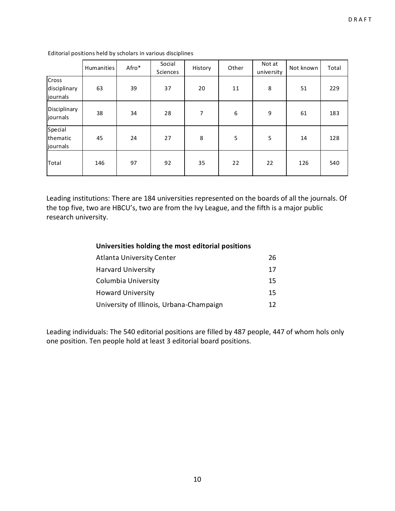|                                   | Humanities | Afro* | Social<br>Sciences | History | Other | Not at<br>university | Not known | Total |
|-----------------------------------|------------|-------|--------------------|---------|-------|----------------------|-----------|-------|
| Cross<br>disciplinary<br>journals | 63         | 39    | 37                 | 20      | 11    | 8                    | 51        | 229   |
| Disciplinary<br>journals          | 38         | 34    | 28                 | 7       | 6     | 9                    | 61        | 183   |
| Special<br>thematic<br>journals   | 45         | 24    | 27                 | 8       | 5     | 5                    | 14        | 128   |
| Total                             | 146        | 97    | 92                 | 35      | 22    | 22                   | 126       | 540   |

Editorial positions held by scholars in various disciplines

Leading institutions: There are 184 universities represented on the boards of all the journals. Of the top five, two are HBCU's, two are from the Ivy League, and the fifth is a major public research university.

|  |  | Universities holding the most editorial positions |  |
|--|--|---------------------------------------------------|--|
|--|--|---------------------------------------------------|--|

| <b>Atlanta University Center</b>         | 26 |
|------------------------------------------|----|
| <b>Harvard University</b>                | 17 |
| Columbia University                      | 15 |
| <b>Howard University</b>                 | 15 |
| University of Illinois, Urbana-Champaign | 12 |

Leading individuals: The 540 editorial positions are filled by 487 people, 447 of whom hols only one position. Ten people hold at least 3 editorial board positions.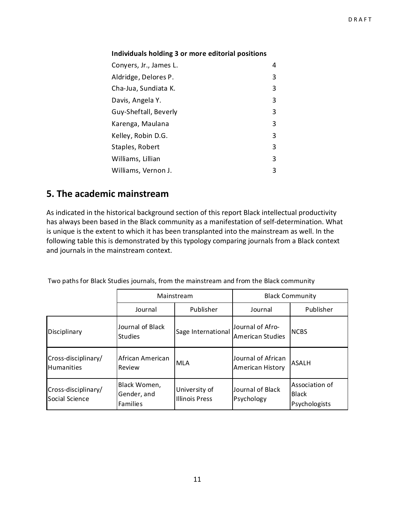#### **Individuals holding 3 or more editorial positions**

| Conyers, Jr., James L. | 4 |
|------------------------|---|
| Aldridge, Delores P.   | 3 |
| Cha-Jua, Sundiata K.   | 3 |
| Davis, Angela Y.       | 3 |
| Guy-Sheftall, Beverly  | 3 |
| Karenga, Maulana       | 3 |
| Kelley, Robin D.G.     | 3 |
| Staples, Robert        | 3 |
| Williams, Lillian      | 3 |
| Williams, Vernon J.    | 3 |

### **5. The academic mainstream**

As indicated in the historical background section of this report Black intellectual productivity has always been based in the Black community as a manifestation of self‐determination. What is unique is the extent to which it has been transplanted into the mainstream as well. In the following table this is demonstrated by this typology comparing journals from a Black context and journals in the mainstream context.

Two paths for Black Studies journals, from the mainstream and from the Black community

|                                          |                                         | Mainstream                             |                                               | <b>Black Community</b>                          |
|------------------------------------------|-----------------------------------------|----------------------------------------|-----------------------------------------------|-------------------------------------------------|
|                                          | Journal                                 | Publisher                              | Journal                                       | Publisher                                       |
| Disciplinary                             | Journal of Black<br><b>Studies</b>      | Sage International                     | Journal of Afro-<br>American Studies          | <b>NCBS</b>                                     |
| Cross-disciplinary/<br><b>Humanities</b> | African American<br>Review              | <b>MLA</b>                             | Journal of African<br><b>American History</b> | <b>ASALH</b>                                    |
| Cross-disciplinary/<br>Social Science    | Black Women,<br>Gender, and<br>Families | University of<br><b>Illinois Press</b> | Journal of Black<br>Psychology                | Association of<br><b>Black</b><br>Psychologists |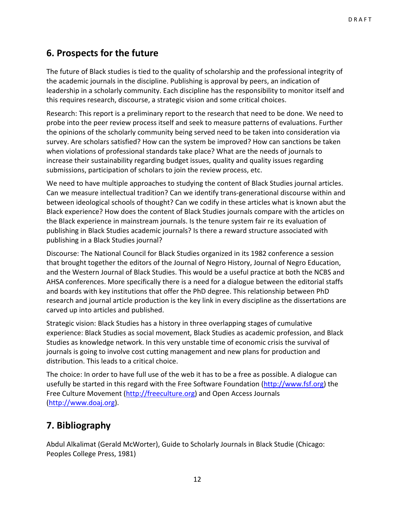### **6. Prospects for the future**

The future of Black studies is tied to the quality of scholarship and the professional integrity of the academic journals in the discipline. Publishing is approval by peers, an indication of leadership in a scholarly community. Each discipline has the responsibility to monitor itself and this requires research, discourse, a strategic vision and some critical choices.

Research: This report is a preliminary report to the research that need to be done. We need to probe into the peer review process itself and seek to measure patterns of evaluations. Further the opinions of the scholarly community being served need to be taken into consideration via survey. Are scholars satisfied? How can the system be improved? How can sanctions be taken when violations of professional standards take place? What are the needs of journals to increase their sustainability regarding budget issues, quality and quality issues regarding submissions, participation of scholars to join the review process, etc.

We need to have multiple approaches to studying the content of Black Studies journal articles. Can we measure intellectual tradition? Can we identify trans‐generational discourse within and between ideological schools of thought? Can we codify in these articles what is known abut the Black experience? How does the content of Black Studies journals compare with the articles on the Black experience in mainstream journals. Is the tenure system fair re its evaluation of publishing in Black Studies academic journals? Is there a reward structure associated with publishing in a Black Studies journal?

Discourse: The National Council for Black Studies organized in its 1982 conference a session that brought together the editors of the Journal of Negro History, Journal of Negro Education, and the Western Journal of Black Studies. This would be a useful practice at both the NCBS and AHSA conferences. More specifically there is a need for a dialogue between the editorial staffs and boards with key institutions that offer the PhD degree. This relationship between PhD research and journal article production is the key link in every discipline as the dissertations are carved up into articles and published.

Strategic vision: Black Studies has a history in three overlapping stages of cumulative experience: Black Studies as social movement, Black Studies as academic profession, and Black Studies as knowledge network. In this very unstable time of economic crisis the survival of journals is going to involve cost cutting management and new plans for production and distribution. This leads to a critical choice.

The choice: In order to have full use of the web it has to be a free as possible. A dialogue can usefully be started in this regard with the Free Software Foundation (http://www.fsf.org) the Free Culture Movement (http://freeculture.org) and Open Access Journals (http://www.doaj.org).

### **7. Bibliography**

Abdul Alkalimat (Gerald McWorter), Guide to Scholarly Journals in Black Studie (Chicago: Peoples College Press, 1981)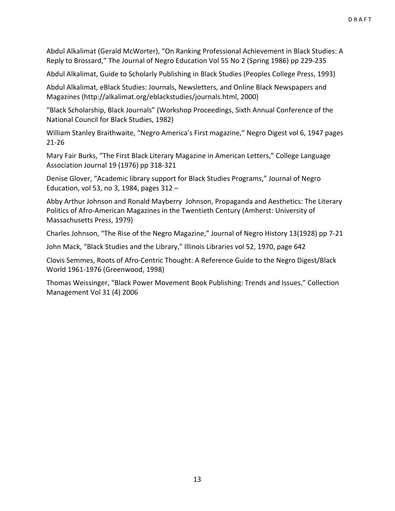Abdul Alkalimat (Gerald McWorter), "On Ranking Professional Achievement in Black Studies: A Reply to Brossard," The Journal of Negro Education Vol 55 No 2 (Spring 1986) pp 229‐235

Abdul Alkalimat, Guide to Scholarly Publishing in Black Studies (Peoples College Press, 1993)

Abdul Alkalimat, eBlack Studies: Journals, Newsletters, and Online Black Newspapers and Magazines (http://alkalimat.org/eblackstudies/journals.html, 2000)

"Black Scholarship, Black Journals" (Workshop Proceedings, Sixth Annual Conference of the National Council for Black Studies, 1982)

William Stanley Braithwaite, "Negro America's First magazine," Negro Digest vol 6, 1947 pages 21‐26

Mary Fair Burks, "The First Black Literary Magazine in American Letters," College Language Association Journal 19 (1976) pp 318‐321

Denise Glover, "Academic library support for Black Studies Programs," Journal of Negro Education, vol 53, no 3, 1984, pages 312 –

Abby Arthur Johnson and Ronald Mayberry Johnson, Propaganda and Aesthetics: The Literary Politics of Afro‐American Magazines in the Twentieth Century (Amherst: University of Massachusetts Press, 1979)

Charles Johnson, "The Rise of the Negro Magazine," Journal of Negro History 13(1928) pp 7‐21

John Mack, "Black Studies and the Library," Illinois Libraries vol 52, 1970, page 642

Clovis Semmes, Roots of Afro‐Centric Thought: A Reference Guide to the Negro Digest/Black World 1961‐1976 (Greenwood, 1998)

Thomas Weissinger, "Black Power Movement Book Publishing: Trends and Issues," Collection Management Vol 31 (4) 2006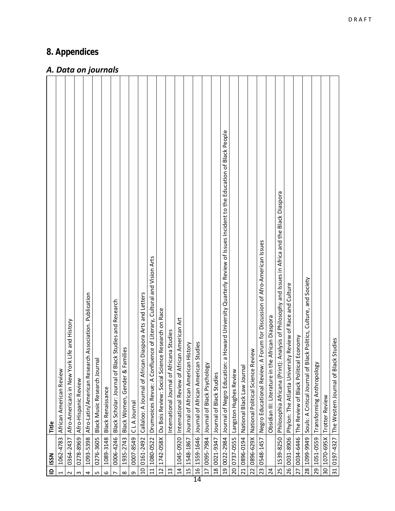### *8. Appendices*

### *A. Data on journals*

| n: a Howard University Quarterly Review of Issues Incident to the Education of Black People<br>1539-8250 Philosophia Africana (Print): Analysis of Philosophy and Issues in Africa and the Black Diaspora<br>: A Forum for Discussion of Afro-American Issues<br>luence of Literary, Cultural and Vision Arts<br>Black Politics, Culture, and Society<br>Phylon: The Atlanta University Review of Race and Culture<br>10 0161-2492 Callaloo: A Journal of African Diaspora Arts and Letters<br>Afro-Latin/American Research Association. Publication<br>lack Studies and Research<br>1742-058X   Du Bois Review: Social Science Research on Race<br>he African Diaspora<br>rican American Art<br>Afro-Americans in New York Life and History<br>ricana Studies<br>The Review of Black Political Economy<br>0197-4327 The Western Journal of Black Studies<br>15 1548-1867 Journal of African American History<br>1559-1646 Journal of African American Studies<br>Black Women, Gender & Families<br>22 0896-629X National Political Science Review<br>Black Music Research Journal<br>1051-0559 Transforming Anthropology<br>Journal of Black Psychology<br>Black Scholar: Journal of Bl<br>Negro Educational Review<br>Drumvoices Revue: A Conf<br>Obsidian III: Literature in t<br>International Journal of Af<br>International Review of Af<br>19 0022-2984 Journal of Negro Education<br>National Black Law Journa<br>Souls: A Critical Journal of<br>African American Review<br>Langston Hughes Review<br>0021-9347 Journal of Black Studies<br>Afro-Hispanic Review<br><b>Black Renaissance</b><br>1070-695X Trotter Review<br>0007-8549 CLA Journal<br>0364-2437<br>0278-8969<br>20 0737-0555<br>26 0031-8906<br>1089-3148<br>0276-3605<br>0896-0194<br>1935-2743<br>1045-0920<br>0095-7984<br>0034-6446<br>1099-9949<br>0006-4246<br>1093-5398<br>1080-0522<br>1062-4783<br>0548-1457<br>16<br>18<br>30 <sub>1</sub><br>31<br>28<br>14<br>25<br>29<br>23<br>12<br>$\overline{17}$<br>21<br>11<br>13<br>27<br>$\overline{24}$<br>$\circ$<br>S<br>$\infty$<br>G<br>$\sim$<br>$\sim$<br>4<br>$\overline{ }$<br>1 | $\mathbf{r}$ | <b>ISSN</b> | Title |
|-----------------------------------------------------------------------------------------------------------------------------------------------------------------------------------------------------------------------------------------------------------------------------------------------------------------------------------------------------------------------------------------------------------------------------------------------------------------------------------------------------------------------------------------------------------------------------------------------------------------------------------------------------------------------------------------------------------------------------------------------------------------------------------------------------------------------------------------------------------------------------------------------------------------------------------------------------------------------------------------------------------------------------------------------------------------------------------------------------------------------------------------------------------------------------------------------------------------------------------------------------------------------------------------------------------------------------------------------------------------------------------------------------------------------------------------------------------------------------------------------------------------------------------------------------------------------------------------------------------------------------------------------------------------------------------------------------------------------------------------------------------------------------------------------------------------------------------------------------------------------------------------------------------------------------------------------------------------------------------------------------------------------------------------------------------------------------------------------------------------------|--------------|-------------|-------|
|                                                                                                                                                                                                                                                                                                                                                                                                                                                                                                                                                                                                                                                                                                                                                                                                                                                                                                                                                                                                                                                                                                                                                                                                                                                                                                                                                                                                                                                                                                                                                                                                                                                                                                                                                                                                                                                                                                                                                                                                                                                                                                                       |              |             |       |
|                                                                                                                                                                                                                                                                                                                                                                                                                                                                                                                                                                                                                                                                                                                                                                                                                                                                                                                                                                                                                                                                                                                                                                                                                                                                                                                                                                                                                                                                                                                                                                                                                                                                                                                                                                                                                                                                                                                                                                                                                                                                                                                       |              |             |       |
|                                                                                                                                                                                                                                                                                                                                                                                                                                                                                                                                                                                                                                                                                                                                                                                                                                                                                                                                                                                                                                                                                                                                                                                                                                                                                                                                                                                                                                                                                                                                                                                                                                                                                                                                                                                                                                                                                                                                                                                                                                                                                                                       |              |             |       |
|                                                                                                                                                                                                                                                                                                                                                                                                                                                                                                                                                                                                                                                                                                                                                                                                                                                                                                                                                                                                                                                                                                                                                                                                                                                                                                                                                                                                                                                                                                                                                                                                                                                                                                                                                                                                                                                                                                                                                                                                                                                                                                                       |              |             |       |
|                                                                                                                                                                                                                                                                                                                                                                                                                                                                                                                                                                                                                                                                                                                                                                                                                                                                                                                                                                                                                                                                                                                                                                                                                                                                                                                                                                                                                                                                                                                                                                                                                                                                                                                                                                                                                                                                                                                                                                                                                                                                                                                       |              |             |       |
|                                                                                                                                                                                                                                                                                                                                                                                                                                                                                                                                                                                                                                                                                                                                                                                                                                                                                                                                                                                                                                                                                                                                                                                                                                                                                                                                                                                                                                                                                                                                                                                                                                                                                                                                                                                                                                                                                                                                                                                                                                                                                                                       |              |             |       |
|                                                                                                                                                                                                                                                                                                                                                                                                                                                                                                                                                                                                                                                                                                                                                                                                                                                                                                                                                                                                                                                                                                                                                                                                                                                                                                                                                                                                                                                                                                                                                                                                                                                                                                                                                                                                                                                                                                                                                                                                                                                                                                                       |              |             |       |
|                                                                                                                                                                                                                                                                                                                                                                                                                                                                                                                                                                                                                                                                                                                                                                                                                                                                                                                                                                                                                                                                                                                                                                                                                                                                                                                                                                                                                                                                                                                                                                                                                                                                                                                                                                                                                                                                                                                                                                                                                                                                                                                       |              |             |       |
|                                                                                                                                                                                                                                                                                                                                                                                                                                                                                                                                                                                                                                                                                                                                                                                                                                                                                                                                                                                                                                                                                                                                                                                                                                                                                                                                                                                                                                                                                                                                                                                                                                                                                                                                                                                                                                                                                                                                                                                                                                                                                                                       |              |             |       |
|                                                                                                                                                                                                                                                                                                                                                                                                                                                                                                                                                                                                                                                                                                                                                                                                                                                                                                                                                                                                                                                                                                                                                                                                                                                                                                                                                                                                                                                                                                                                                                                                                                                                                                                                                                                                                                                                                                                                                                                                                                                                                                                       |              |             |       |
|                                                                                                                                                                                                                                                                                                                                                                                                                                                                                                                                                                                                                                                                                                                                                                                                                                                                                                                                                                                                                                                                                                                                                                                                                                                                                                                                                                                                                                                                                                                                                                                                                                                                                                                                                                                                                                                                                                                                                                                                                                                                                                                       |              |             |       |
|                                                                                                                                                                                                                                                                                                                                                                                                                                                                                                                                                                                                                                                                                                                                                                                                                                                                                                                                                                                                                                                                                                                                                                                                                                                                                                                                                                                                                                                                                                                                                                                                                                                                                                                                                                                                                                                                                                                                                                                                                                                                                                                       |              |             |       |
|                                                                                                                                                                                                                                                                                                                                                                                                                                                                                                                                                                                                                                                                                                                                                                                                                                                                                                                                                                                                                                                                                                                                                                                                                                                                                                                                                                                                                                                                                                                                                                                                                                                                                                                                                                                                                                                                                                                                                                                                                                                                                                                       |              |             |       |
|                                                                                                                                                                                                                                                                                                                                                                                                                                                                                                                                                                                                                                                                                                                                                                                                                                                                                                                                                                                                                                                                                                                                                                                                                                                                                                                                                                                                                                                                                                                                                                                                                                                                                                                                                                                                                                                                                                                                                                                                                                                                                                                       |              |             |       |
|                                                                                                                                                                                                                                                                                                                                                                                                                                                                                                                                                                                                                                                                                                                                                                                                                                                                                                                                                                                                                                                                                                                                                                                                                                                                                                                                                                                                                                                                                                                                                                                                                                                                                                                                                                                                                                                                                                                                                                                                                                                                                                                       |              |             |       |
|                                                                                                                                                                                                                                                                                                                                                                                                                                                                                                                                                                                                                                                                                                                                                                                                                                                                                                                                                                                                                                                                                                                                                                                                                                                                                                                                                                                                                                                                                                                                                                                                                                                                                                                                                                                                                                                                                                                                                                                                                                                                                                                       |              |             |       |
|                                                                                                                                                                                                                                                                                                                                                                                                                                                                                                                                                                                                                                                                                                                                                                                                                                                                                                                                                                                                                                                                                                                                                                                                                                                                                                                                                                                                                                                                                                                                                                                                                                                                                                                                                                                                                                                                                                                                                                                                                                                                                                                       | 14           |             |       |
|                                                                                                                                                                                                                                                                                                                                                                                                                                                                                                                                                                                                                                                                                                                                                                                                                                                                                                                                                                                                                                                                                                                                                                                                                                                                                                                                                                                                                                                                                                                                                                                                                                                                                                                                                                                                                                                                                                                                                                                                                                                                                                                       |              |             |       |
|                                                                                                                                                                                                                                                                                                                                                                                                                                                                                                                                                                                                                                                                                                                                                                                                                                                                                                                                                                                                                                                                                                                                                                                                                                                                                                                                                                                                                                                                                                                                                                                                                                                                                                                                                                                                                                                                                                                                                                                                                                                                                                                       |              |             |       |
|                                                                                                                                                                                                                                                                                                                                                                                                                                                                                                                                                                                                                                                                                                                                                                                                                                                                                                                                                                                                                                                                                                                                                                                                                                                                                                                                                                                                                                                                                                                                                                                                                                                                                                                                                                                                                                                                                                                                                                                                                                                                                                                       |              |             |       |
|                                                                                                                                                                                                                                                                                                                                                                                                                                                                                                                                                                                                                                                                                                                                                                                                                                                                                                                                                                                                                                                                                                                                                                                                                                                                                                                                                                                                                                                                                                                                                                                                                                                                                                                                                                                                                                                                                                                                                                                                                                                                                                                       |              |             |       |
|                                                                                                                                                                                                                                                                                                                                                                                                                                                                                                                                                                                                                                                                                                                                                                                                                                                                                                                                                                                                                                                                                                                                                                                                                                                                                                                                                                                                                                                                                                                                                                                                                                                                                                                                                                                                                                                                                                                                                                                                                                                                                                                       |              |             |       |
|                                                                                                                                                                                                                                                                                                                                                                                                                                                                                                                                                                                                                                                                                                                                                                                                                                                                                                                                                                                                                                                                                                                                                                                                                                                                                                                                                                                                                                                                                                                                                                                                                                                                                                                                                                                                                                                                                                                                                                                                                                                                                                                       |              |             |       |
|                                                                                                                                                                                                                                                                                                                                                                                                                                                                                                                                                                                                                                                                                                                                                                                                                                                                                                                                                                                                                                                                                                                                                                                                                                                                                                                                                                                                                                                                                                                                                                                                                                                                                                                                                                                                                                                                                                                                                                                                                                                                                                                       |              |             |       |
|                                                                                                                                                                                                                                                                                                                                                                                                                                                                                                                                                                                                                                                                                                                                                                                                                                                                                                                                                                                                                                                                                                                                                                                                                                                                                                                                                                                                                                                                                                                                                                                                                                                                                                                                                                                                                                                                                                                                                                                                                                                                                                                       |              |             |       |
|                                                                                                                                                                                                                                                                                                                                                                                                                                                                                                                                                                                                                                                                                                                                                                                                                                                                                                                                                                                                                                                                                                                                                                                                                                                                                                                                                                                                                                                                                                                                                                                                                                                                                                                                                                                                                                                                                                                                                                                                                                                                                                                       |              |             |       |
|                                                                                                                                                                                                                                                                                                                                                                                                                                                                                                                                                                                                                                                                                                                                                                                                                                                                                                                                                                                                                                                                                                                                                                                                                                                                                                                                                                                                                                                                                                                                                                                                                                                                                                                                                                                                                                                                                                                                                                                                                                                                                                                       |              |             |       |
|                                                                                                                                                                                                                                                                                                                                                                                                                                                                                                                                                                                                                                                                                                                                                                                                                                                                                                                                                                                                                                                                                                                                                                                                                                                                                                                                                                                                                                                                                                                                                                                                                                                                                                                                                                                                                                                                                                                                                                                                                                                                                                                       |              |             |       |
|                                                                                                                                                                                                                                                                                                                                                                                                                                                                                                                                                                                                                                                                                                                                                                                                                                                                                                                                                                                                                                                                                                                                                                                                                                                                                                                                                                                                                                                                                                                                                                                                                                                                                                                                                                                                                                                                                                                                                                                                                                                                                                                       |              |             |       |
|                                                                                                                                                                                                                                                                                                                                                                                                                                                                                                                                                                                                                                                                                                                                                                                                                                                                                                                                                                                                                                                                                                                                                                                                                                                                                                                                                                                                                                                                                                                                                                                                                                                                                                                                                                                                                                                                                                                                                                                                                                                                                                                       |              |             |       |
|                                                                                                                                                                                                                                                                                                                                                                                                                                                                                                                                                                                                                                                                                                                                                                                                                                                                                                                                                                                                                                                                                                                                                                                                                                                                                                                                                                                                                                                                                                                                                                                                                                                                                                                                                                                                                                                                                                                                                                                                                                                                                                                       |              |             |       |
|                                                                                                                                                                                                                                                                                                                                                                                                                                                                                                                                                                                                                                                                                                                                                                                                                                                                                                                                                                                                                                                                                                                                                                                                                                                                                                                                                                                                                                                                                                                                                                                                                                                                                                                                                                                                                                                                                                                                                                                                                                                                                                                       |              |             |       |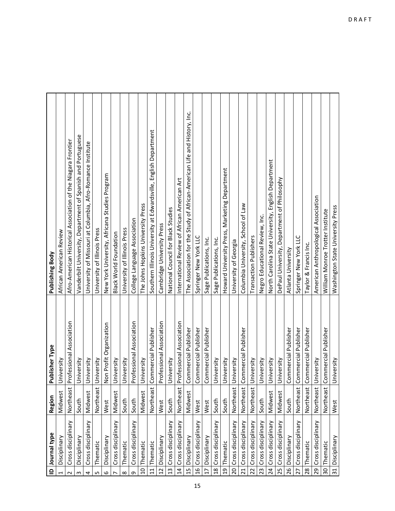| Journal type<br>$\mathbf{r}$          | Region    | Publisher Type           | Publishing Body                                                          |
|---------------------------------------|-----------|--------------------------|--------------------------------------------------------------------------|
| Disciplinary<br>1                     | Midwest   | University               | African American Review                                                  |
| Cross disciplinary<br>$\sim$          | Northeast | Professional Association | Afro-American Historical Association of the Niagara Frontier             |
| Disciplinary<br>S                     | South     | University               | Vanderbilt University, Department of Spanish and Portuguese              |
| Cross disciplinary<br>4               | Midwest   | University               | University of Missouri at Columbia, Afro-Romance Institute               |
| Thematic<br>LN.                       | Northeast | University               | University of Illinois Press                                             |
| Disciplinary<br>6                     | West      | Non Profit Organization  | New York University, Africana Studies Program                            |
| Cross disciplinary                    | Midwest   | University               | <b>Black World Foundation</b>                                            |
| Thematic<br>$\infty$                  | South     | University               | University of Illinois Press                                             |
| Cross disciplinary<br>G               | South     | Professional Association | College Language Association                                             |
| Thematic<br>10 <sub>1</sub>           | Midwest   | University               | The Johns Hopkins University Press                                       |
| Thematic<br>$\overline{1}$            | Northeast | Commercial Publisher     | Southern Illinois University at Edwardsville, English Department         |
| Disciplinary<br>12                    | West      | Professional Association | Cambridge University Press                                               |
| Cross disciplinary<br>13              | South     | University               | National Council for Black Studies                                       |
| Cross disciplinary<br>14              | Northeast | Professional Association | International Review of African American Art                             |
| Disciplinary<br>15                    | Midwest   | Commercial Publisher     | The Association for the Study of African-American Life and History, Inc. |
| 16 Cross disciplinary                 | West      | Commercial Publisher     | Springer New York LLC                                                    |
| Disciplinary<br>$17 \mid$             | West      | Commercial Publisher     | Sage Publications, Inc.                                                  |
| Cross disciplinary<br>$\overline{18}$ | South     | University               | Sage Publications, Inc.                                                  |
| Thematic<br>$\overline{0}$            | South     | University               | Howard University Press, Marketing Department                            |
| Cross disciplinary<br>20              | Northeast | University               | University of Georgia                                                    |
| Cross disciplinary<br>21              | Northeast | Commercial Publisher     | Columbia University, School of Law                                       |
| Cross disciplinary<br>22              | Northeast | University               | Transaction Publishers                                                   |
| Cross disciplinary<br>23              | South     | University               | Negro Educational Review, Inc.                                           |
| 24 Cross disciplinary                 | Midwest   | University               | North Carolina State University, English Department                      |
| 25 Cross disciplinary                 | Midwest   | University               | DePaul University, Department of Philosophy                              |
| 26 Disciplinary                       | South     | Commercial Publisher     | Atlanta University                                                       |
| Cross disciplinary<br>27              | Northeast | Commercial Publisher     | Springer New York LLC                                                    |
| Thematic<br>28                        | Northeast | Commercial Publisher     | Taylor & Francis Inc.                                                    |
| Cross disciplinary<br>29              | Northeast | University               | American Anthropological Association                                     |
| Thematic<br>30                        | Northeast | Commercial Publisher     | William Monroe Trotter Institute                                         |
| Disciplinary<br>31                    | West      | University               | Washington State University Press                                        |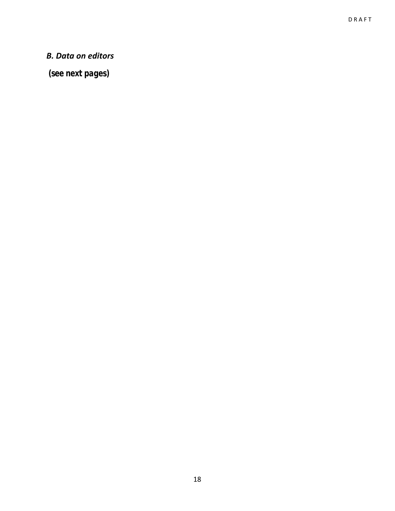### *B. Data on editors*

 *(see next pages)*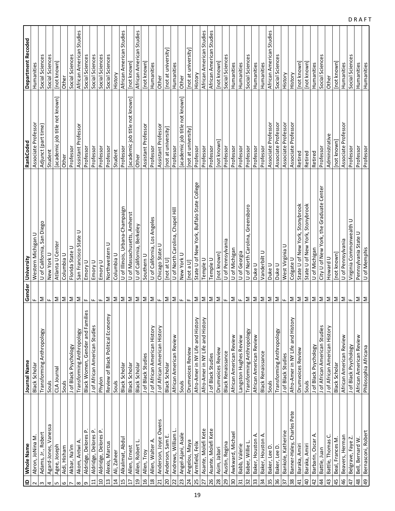| $\mathbf{r}$    | Whole Name                 | Journal Name                      | Gender                    | University                                 | RankCoded                      | Department Recoded       |
|-----------------|----------------------------|-----------------------------------|---------------------------|--------------------------------------------|--------------------------------|--------------------------|
| $\sim$          | Abron, JoNina M.           | Black Scholar                     | щ                         | Western Michigan U                         | Associate Professor            | Humanities               |
| $\mathsf{c}$    | Adams, Jr., Robert         | Transforming Anthropology         | Σ                         | U of California, San Diego                 | Adjunct (part time)            | Social Sciences          |
| 4               | Agard-Jones, Vanessa       | Souls                             | $\mathbf{L}$              | New York U                                 | Student                        | Social Sciences          |
| Б               | Agee, Joseph               | CLA Journal                       |                           | Atlanta U Center                           | [academic job title not known] | [not known]              |
| 6               | Aidi, Hisham               | Souls                             | ∑∣∑                       | Columbia U                                 | Other                          | Other                    |
|                 | Akbar, Na'im               | J of Black Psychology             | Σ                         | Florida State U                            | Professor                      | Social Sciences          |
| $\infty$        | Akom, Antwi A.             | Transforming Anthropology         | $\mathsf{\Sigma}$         | San Francisco State U                      | Assistant Professor            | African American Studies |
| G               | Aldridge, Delores P.       | Black Women, Gender and Families  | $\mathbf{L}$              | Emory U                                    | Professor                      | Social Sciences          |
| $\Xi$           | Aldridge, Delores P.       | J of African American Studies     | $\mathbf{L}$              | Emory U                                    | Professor                      | Social Sciences          |
| $\overline{a}$  | Aldridge, Delores P.       | Phylon                            | $\mathbf{L}$              | Emory U                                    | Professor                      | Social Sciences          |
| $\frac{3}{2}$   | Alexis, Marcus             | Review of Black Political Economy | Σ                         | Northwestern U                             | Professor                      | Social Sciences          |
| $\overline{1}$  | Ali, Zaheer                | Souls                             | $\geq$                    | Columbia U                                 | Student                        | History                  |
| 15              | Alkalimat, Abdul           | Black Scholar                     | $\geq$                    | U of Illinois, Urbana-Champaign            | Professor                      | African American Studies |
| $\overline{1}$  | Allen, Ernest              | Black Scholar                     | Σ                         | U of Massachusetts, Amherst                | [academic job title not known] | [not known]              |
| $\overline{c}$  | Allen, Robert L.           | Black Scholar                     | IΣ                        | U of California, Berkeley                  | Other                          | African American Studies |
| 16              | Allen, Troy                | J of Black Studies                | $\mathsf{\Sigma}$         | Southern U                                 | Assistant Professor            | [not known]              |
| $\frac{8}{18}$  | Allen, Walter A.           | J of African American History     | ⋝∣∟                       | U of California, Los Angeles               | Professor                      | Humanities               |
| $\overline{21}$ | Anderson, Joyce Owens      | J of African American History     |                           | Chicago State U                            | Assistant Professor            | Other                    |
| 20              | Anderson, Sam E.           | Black Scholar                     | Σ                         | [not at U]                                 | [not at university]            | [not at university]      |
| 22              | Andrews, William L         | African American Review           | Σ                         | U of North Carolina, Chapel Hill           | Professor                      | Humanities               |
| 23              | Angel-Ajani, Asale         | Souls                             | $\mathbf{H}_{\mathbf{r}}$ | New York U                                 | [academic job title not known] | Other                    |
| 24              | Angelou, Maya              | Drumvoices Review                 | $\mathbf{L}\mathbf{L}$    | [not a $U$ ]                               | [not at university]            | [not at university]      |
| 25              | Armfield, Felix            | Afro-Amer in NY Life and History  | Σ                         | State U of New York, Buffalo State College | Professor                      | History                  |
| 27              | Asante, Molefi Kete        | Afro-Amer in NY Life and History  | Σ                         | Temple U                                   | Professor                      | African American Studies |
| 26              | Asante, Molefi Kete        | J of Black Studies                | $\geq$                    | Temple U                                   | Professor                      | African American Studies |
| 28              | Asim, Jabari               | Drumvoices Review                 | $\geq$                    | [not known                                 | [not known]                    | [not known]              |
| 29              | Austin, Regina             | <b>Black Renaissance</b>          | $\mathbf{L}_\mathbf{L}$   | U of Pennsylvania                          | Professor                      | Social Sciences          |
| 30              | Awkward, Michael           | African American Review           | $\geq$                    | U of Michigan                              | Professor                      | Humanities               |
| 31              | Babb, Valerie              | Langston Hughes Review            | $\mathbf{u}_\mathbf{r}$   | U of Georgia                               | Professor                      | Humanities               |
| 32              | Baber, Willie L            | Transforming Anthropology         | $\geq$                    | U of North Carolina, Greensboro            | Professor                      | Social Sciences          |
| 33              | ⋖<br>Baker, Houston        | African American Review           | ∣≅                        | Duke U                                     | Professor                      | Humanities               |
| 34              | Baker, Houston A.          | <b>Black Renaissance</b>          | $\geq$                    | Vanderbilt U                               | Professor                      | Humanities               |
| 35              | Baker, Lee D.              | Souls                             | Σ                         | Duke U                                     | Associate Professor            | African American Studies |
| 36              | Baker, Lee D.              | Transforming Anthropology         | $\geq$                    | Duke U                                     | Associate Professor            | Social Sciences          |
| 57              | Bankole, Katherine         | J of Black Studies                |                           | West Virginia U                            | Associate Professor            | History                  |
| 38              | Banner-Haley, Charles Pete | Afro-Amer in NY Life and History  | $\mathbb{L}$ $\mathbb{Z}$ | Colgate U                                  | Associate Professor            | History                  |
| $\overline{4}$  | Baraka, Amiri              | Drumvoices Review                 | $\geq$                    | State U of New York, Stonybrook            | Retired                        | [not known]              |
| $\overline{4}$  | Baraka, Amiri              | Souls                             | Σ                         | State U of New York, Stonybrook            | Retired                        | [not known]              |
| $\overline{4}$  | Barbarin, Oscar A.         | J of Black Psychology             | Σ                         | U of Michigan                              | Retired                        | Humanities               |
| $\overline{4}$  | Battle, Juan               | J of African American Studies     | ΙΣ                        | City U of New York, the Graduate Center    | Professor                      | Social Sciences          |
| 43              | Battle, Thomas C.          | J of African American History     | $\geq$                    | Howard U                                   | Administrative                 | Other                    |
| 45              | Beal, Frances M.           | Black Scholar                     | $\geq$                    | [not known]                                | [not known]                    | [not known]              |
| 46              | Beavers, Herman            | African American Review           | Σ                         | U of Pennsylvania                          | Associate Professor            | Humanities               |
| 47              | Belgrave, Faye Z.          | J of Black Psychology             | $\mathbf{H}_{\mathbf{r}}$ | Virginia Commonwealth U                    | Professor                      | Social Sciences          |
| $\frac{8}{4}$   | Bell, Bernard W.           | African American Review           | Σ                         | Pennsylvania State U                       | Professor                      | Humanities               |
| 49              | Bernasconi, Robert         | Philosophia Africana              | Σ                         | U of Memphis                               | Professor                      | Humanities               |
|                 |                            |                                   |                           |                                            |                                |                          |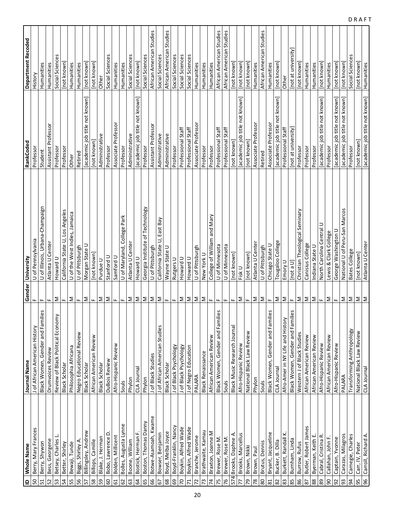| $\mathbf{r}$          | Whole Name            | Journal Name                      |                      | Gender University                              | RankCoded                      | <b>Department Recoded</b> |
|-----------------------|-----------------------|-----------------------------------|----------------------|------------------------------------------------|--------------------------------|---------------------------|
| 50                    | Berry, Mary Frances   | J of African American History     | ш.                   | U of Pennsylvania                              | Professor                      | History                   |
| 51                    | Berry, Shywon         | Black Women, Gender and Families  | щ                    | U of Illinois, Urbana-Champaign                | Student                        | Humanities                |
| 52                    | Bess, Georgene        | Drumvoices Review                 | щ                    | Atlanta U Center                               | Assistant Professor            | Humanities                |
| 53                    | Betsey, Charles       | Review of Black Political Economy | Σ                    | Howard U                                       | Professor                      | Social Sciences           |
| 54                    | Better, Shirley       | Black Scholar                     | щ                    | California State U, Los Angeles                | Professor                      | [not known]               |
| 55                    | Bewaji, Tunde         | Philosophia Africana              | Σ                    | U of the West Indies, Jamaica                  | Other                          | Humanities                |
| 56                    | Biggs, Shirley A      | Negro Educational Review          | щ                    | U of Pittsburgh                                | Retired                        | Humanities                |
| 57                    | Billingsley, Andrew   | Black Scholar                     | Σ                    | Morgan State L                                 | academic job title not known   | [not known]               |
| 58                    | Billops, Camille      | African American Review           | Щ                    | [not known]                                    | [not known]                    | [not known]               |
| 59                    | Blake, J. Herman      | <b>Black Scholar</b>              | Σ                    | Purdue U                                       | Administrative                 | Other                     |
| 8                     | Bobo, Lawrence D      | DuBois Review                     | Σ                    | Stanford U                                     | Professor                      | Social Sciences           |
| 61                    | Bolden, Millicent     | Afro-Hispanic Review              | ш.                   | Samford U                                      | Associate Professor            | Humanities                |
| 62                    | Bolles, Augusta Lynne | Souls                             | Щ.                   | U of Maryland, College Park                    | Professor                      | Humanities                |
| යි                    | Boone, William        | Phylon                            | Σ                    | Atlanta U Center                               | Administrative                 | Social Sciences           |
| 5                     | Bostick, Herman F.    | CLA Journal                       | Σ                    | Howard U                                       | academic job title not known   | [not known]               |
| 65                    | Boston, Thomas Danny  | Phylon                            | Σ                    | Georgia Institute of Technology                | Professor                      | Social Sciences           |
| 99                    | Botwe-Asamoah, Kwame  | J of Black Studies                | $\geq$               | U of Pittsburgh                                | Assistant Professor            | African American Studies  |
| 67                    | Bowser, Benjamin      | J of African American Studies     | Σ                    | East Bay<br>$\overline{z}$<br>California State | Administrative                 | Social Sciences           |
| 89                    | Boyd, Melba Joyce     | Black Scholar                     | ш.                   | Wayne State U                                  | Administrative                 | African American Studies  |
| 69                    | Boyd-Franklin, Nancy  | J of Black Psychology             | щ                    | Rutgers U                                      | Professor                      | Social Sciences           |
| 20                    | Boykin, Alfred Wade   | J of Black Psychology             | Σ                    | Howard U                                       | Professional Staff             | Social Sciences           |
| $\mathsf{r}$          | Boykin, Alfred Wade   | J of Negro Education              | Σ                    | Howard U                                       | Professional Staff             | Social Sciences           |
| 72                    | Branche, Jerome       | PALARA                            | Σ                    | U of Pittsburgh                                | Associate Professor            | Humanities                |
| 13                    | Brathwaite, Kamau     | <b>Black Renaissance</b>          | Σ                    | New York U                                     | Professor                      | Humanities                |
| 74                    | Braxton, Joanne M     | African American Review           | щ                    | and Mary<br>College of William                 | Professor                      | Humanities                |
| 75                    | Brewer, Rose M.       | Black Women, Gender and Families  | ш.                   | U of Minnesota                                 | Professional Staff             | African American Studies  |
| 76                    | Brewer, Rose M.       | Souls                             | щ                    | U of Minnesota                                 | Professional Staff             | African American Studies  |
|                       | 574 Brooks, Daphne A  | Black Music Research Journal      | щ                    | [not known]                                    | [not known]                    | [not known]               |
| 77                    | Brooks, Marcellus     | Afro-Hispanic Review              | Σ                    | Fisk U                                         | [academic job title not known] | [not known]               |
| 79                    | Brown, Nikki          | National Black Law Review         | $\mathbf{L}$         | [not known]                                    | [not known]                    | [not known]               |
| $\overline{78}$       | Brown, Paul           | Phylon                            | Σ                    | Atlanta U Center                               | Associate Professor            | Humanities                |
| $80\,$                | Brutus, Dennis        | Souls                             | Σ                    | U of Pittsburgh                                | Retired                        | African American Studies  |
| $\overline{\text{8}}$ | Bryant, Jacqueline    | Black Women, Gender and Families  | $\mathbf{H}_\bullet$ | Chicago State U                                | Associate Professor            | Humanities                |
| $82$                  | Bucker, B. Dilla      | CLA Journal                       | $\geq$               | Tougaloo College                               | [academic job title not known] | [not known]               |
| 83                    | Burkett, Randall K.   | Afro-Amer in NY Life and History  | Σ                    | Emory U                                        | Professional Staff             | Other                     |
| 85                    | Burnham, Linda        | Black Women, Gender and Families  | $\mathbf{L}$         | [not a U]                                      | [not at university]            | [not at university]       |
| 86                    | Burrow, Rufus         | Western J of Black Studies        | Σ                    | Christian Theological Seminary                 | Professor                      | [not known]               |
| 87                    | Butler, Robert James  | African American Review           | Σ                    | Canisius College                               | Professor                      | Humanities                |
| 88                    | Byerman, Keith E.     | African American Review           | Σ                    | Indiana State U                                | Professor                      | Humanities                |
| $\pmb{\mathcal{S}}$   | Cabral, Cristina R.   | Afro-Hispanic Review              | $\mathbf{H}_\bullet$ | North Carolina Central U                       | [academic job title not known] | [not known]               |
| 8                     | Callahan, John F.     | African American Review           | Σ                    | Lewis & Clark College                          | Professor                      | Humanities                |
| 92                    | Captain, Yvonne       | Afro-Hispanic Review              | $\mathbf{L}$         | George Washington U                            | [academic job title not known] | [not known]               |
| 93                    | Carazas, Milagros     | PALARA                            | Σ                    | National U of Peru-San Marcos                  | [academic job title not known] | [not known]               |
| 54                    | Carnegie, Charles     | Transforming Anthropology         | Σ                    | Bates College                                  | Professor                      | Social Sciences           |
| 55                    | Carr, IV, Peter       | National Black Law Review         | Σ                    | [not known]                                    | [not known]                    | [not known]               |
| 96                    | Carroll, Richard A.   | CLA Journal                       | Σ                    | Atlanta U Center                               | [academic job title not known] | Humanities                |

 $D$ RAFT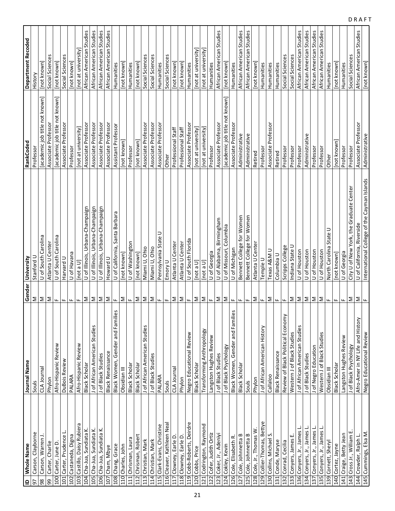| Whole Name<br>$\mathbf{r}$  |   | Journal Name                      |                           | Gender University                           | RankCoded                      | Department Recoded       |
|-----------------------------|---|-----------------------------------|---------------------------|---------------------------------------------|--------------------------------|--------------------------|
| Carson, Clayborne<br>56     |   | Souls                             | Σ                         | Stanford L                                  | Professor                      | History                  |
| Carson, Warren J.<br>98     |   | CLA Journal                       | Σ                         | of South Carolina<br>$\supset$              | [academic job title not known] | [not known]              |
| Carter, Charlie<br>99       |   | Phylon                            | Σ                         | Atlanta U Center                            | Associate Professor            | Social Sciences          |
| 100 Carter, June D.         |   | Afro-Hispanic Review              | ш.                        | U of South Carolina                         | academic job title not known   | [not known]              |
| 101 Carter, Prudence L.     |   | DuBois Review                     | Щ.                        | Harvard U                                   | Associate Professor            | Social Sciences          |
| 102 Castaneda, Digna        |   | PALARA                            | щ                         | U of Havana                                 | Professor                      | [not known]              |
| 103 Castillo, Daisy Rubiera |   | Afro-Hispanic Review              | ш.                        | [not a U]                                   | [not at university]            | [not at university]      |
| 104 Cha-Jua, Sundiata K.    |   | Black Scholar                     | Σ                         | U of Illinois, Urbana-Champaign             | Associate Professor            | African American Studies |
| 105 Cha-Jua, Sundiata K.    |   | J of African American Studies     | Σ                         | U of Illinois, Urbana-Champaign             | Associate Professor            | African American Studies |
| 106 Cha-Jua, Sundiata K.    |   | J of Black Studies                | Σ                         | U of Illinois, Urbana-Champaign             | Associate Professor            | African American Studies |
| 107 Cham, Mbye              |   | <b>Black Renaissance</b>          | $\geq$                    | Howard U                                    | Associate Professor            | African American Studies |
| 108 Chang, Grace            |   | Black Women, Gender and Families  | $\mathbf{H}_{\mathbf{r}}$ | U of California, Santa Barbara              | Assistant Professor            | Humanities               |
| 110 Charles, John           |   | Obsidian III                      | Σ                         | [not known]                                 | [not known]                    | [not known]              |
| 111 Chrisman, Laura         |   | Black Scholar                     | $\mathbf{L}$              | U of Washington                             | Professor                      | Humanities               |
| 112 Chrisman, Robert        |   | Black Scholar                     | Σ                         | [not known]                                 | [not known]                    | [not known]              |
| 113 Christian, Mark         |   | J of African American Studies     | Σ                         | Miami U, Ohio                               | Associate Professor            | Social Sciences          |
| 114 Christian, Mark         |   | J of Black Studies                | Σ                         | Miami U, Ohio                               | Associate Professor            | Social Sciences          |
| 115 Clark-Evans, Christine  |   | PALARA                            | щ                         | Pennsylvania State U                        | Associate Professor            | Humanities               |
| 116 Cleaver, Kathleen Nea   |   | Souls                             | ш.                        | Emory U                                     | Other                          | Social Sciences          |
| 117 Clowney, Earle D.       |   | CLA Journal                       | Σ                         | Atlanta U Center                            | Professional Staff             | [not known]              |
| 118 Clowney, Earle D.       |   | Phylon                            | Σ                         | Atlanta U Center                            | Professional Staff             | [not known]              |
| 119 Cobb-Roberts, Deirdre   |   | Negro Educational Review          | $\mathbf{H}_\bullet$      | U of South Florida                          | Associate Professor            | Humanities               |
| 120 Cobbs, Price            |   | Black Scholar                     | Σ                         | [not a U]                                   | [not at university]            | [not at university]      |
| 121 Codrington, Raymond     |   | Transforming Anthropology         | Σ                         | [not a U]                                   | [not at university]            | [not at university       |
| 122 Cofer, Judith Ortiz     |   | Langston Hughes Review            | $\mathbf{L}$              | U of Georgia                                | Professor                      | Humanities               |
| 123 Coker, Jr., Adeniyi     |   | J of Black Studies                | Σ                         | U of Alabama, Birmingham                    | Associate Professor            | African American Studies |
| 124 Cokley, Kevin           |   | J of Black Psychology             | Σ                         | Columbia<br>U of Missouri,                  | [academic job title not known] | [not known]              |
| 126 Cole, Elisabeth R.      |   | Black Women, Gender and Families  | Щ.                        | U of Michigan                               | Associate Professo             | Humanities               |
| 127 Cole, Johnnetta B       |   | Black Scholar                     | ш.                        | Bennett College for Women                   | Administrative                 | African American Studies |
| 125 Cole, Johnnetta B       |   | Souls                             | щ                         | Bennett College for Women                   | Administrative                 | African American Studies |
| 128 Cole, Jr., Thomas W     |   | Phylon                            | Σ                         | Atlanta U Cente                             | Retired                        | [not known]              |
| 129 Collier-Thomas, Bettye  |   | J of African American History     | $\mathbf{L}$              | Temple U                                    | Professor                      | Humanities               |
| 130 Collins, Michael S.     |   | Callaloo                          | Σ                         | Texas A&M U                                 | Associate Professor            | Humanities               |
| 131 Conde, Maryse           |   | <b>Black Renaissance</b>          | $\mathbf{H}_{\mathbf{r}}$ | Columbia U                                  | Retired                        | Humanities               |
| 132 Conrad, Cecilia         |   | Review of Black Political Economy | $\mathbf{L}$              | Scripps College                             | Professor                      | Social Sciences          |
| 133 Conyers, James E.       |   | Western J of Black Studies        | Σ                         | Indiana State U                             | Professor                      | Social Sciences          |
| 136 Conyers, Jr., James L   |   | J of African American Studies     | $\geq$                    | U of Houston                                | Professor                      | African American Studies |
| 134 Conyers, Jr., James L.  |   | J of Black Studies                | Σ                         | U of Houston                                | Administrative                 | African American Studies |
| 137 Conyers, Jr., James L.  |   | J of Negro Education              | $\geq$                    | U of Houston                                | Professor                      | African American Studies |
| 135 Conyers, Jr., James     | ∸ | Western J of Black Studies        | $\geq$                    | U of Houston                                | Professor                      | African American Studies |
| 139 Cornett, Sheryl         |   | Obsidian III                      | $\mathsf{L}\mathsf{L}$    | State U<br>North Carolina                   | Other                          | Humanities               |
| 140 Cortez, Jayne           |   | Black Scholar                     | $\mathsf{L}\mathsf{L}$    | [not known]                                 | [not known]                    | [not known]              |
| 141 Craige, Betty Jean      |   | Langston Hughes Review            | щ.                        | U of Georgia                                | Professor                      | Humanities               |
| 143 Cross Jr., William E.   |   | J of Black Psychology             | Σ                         | City U of New York, the Graduate Center     | Professor                      | Social Sciences          |
| 144 Crowder, Ralph L.       |   | Afro-Amer in NY Life and History  | Σ                         | U of California, Riverside                  | Associate Professor            | African American Studies |
| 145 Cummings, Elsa M.       |   | Negro Educational Review          | щ                         | International College of the Cayman Islands | Administrative                 | [not known]              |

 $D$ RAFT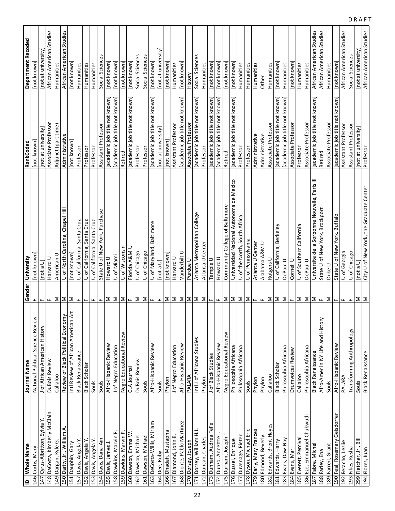| ID   Whole Name                  |                                     |                      |                                               | RankCoded                      | <b>Department Recoded</b>   |
|----------------------------------|-------------------------------------|----------------------|-----------------------------------------------|--------------------------------|-----------------------------|
|                                  | Journal Name                        |                      | Gender University                             |                                |                             |
| 146 Curtis, Mary                 | National Political Science Review   | щ                    | [not known]                                   | [not known]                    | [not known]                 |
| 147 Cyrus-Albritton, Sylvia Y    | J of African American History       | ш.                   | [Not a U]                                     | [not at university]            | [not at university          |
| 148 DaCosta, Kimberly McClain    | DuBois Review                       | щ                    | U brard U                                     | Associate Professor            | African American Studies    |
| 149 Dargan, Kyle G.              | Callaloo                            | Σ                    | American U                                    | Adjunct (part time)            | Humanities                  |
| 150 Darity, Jr., William A.      | Review of Black Political Economy   | Σ                    | U of North Carolina, Chapel Hill              | Administrative                 | African American Studies    |
| 151 Dauphin, Gary                | Intl Review of African American Art | Σ                    | [not known]                                   | [not known]                    | [not known]                 |
| 157 Davis, Angela Y.             | <b>Black Renaissance</b>            | щ                    | Santa Cruz<br>U of California,                | Professor                      | Humanities                  |
| 152 Davis, Angela Y.             | Black Scholar                       | Щ.                   | U of California, Santa Cruz                   | Professor                      | Humanities                  |
| 153 Davis, Angela Y.             | Souls                               | щ.                   | U of California, Santa Cruz                   | Professor                      | Humanities                  |
| 154 Davis, Dana-Ain              | Souls                               | щ                    | State U of New York, Purchase                 | Assistant Professor            | Social Sciences             |
| 155 Davis, James J.              | Afro-Hispanic Review                | Σ                    | Howard U                                      | [academic job title not known] | [not known]                 |
| 158 Dawkins, Marvin P.           | J of Negro Education                | Σ                    | U of Miami                                    | [academic job title not known] | [not known]                 |
| 159 Dawkins, Marvin P.           | Negro Educational Review            | Σ                    | U of Wisconsin                                | Retired                        | [not known]                 |
| 160 Dawson, Emma W               | CLA Journal                         | Щ                    | Florida A&M U                                 | academic job title not known   | [not known]                 |
| 162 Dawson, Michael              | DuBois Review                       | Σ                    | U of Chicago                                  | Professor                      | Social Sciences             |
| 161 Dawson, Michael              | Souls                               | Σ                    | U of Chicago                                  | Professor                      | Social Sciences             |
| 163 DeCosta-Willis, Miriam       | Afro-Hispanic Review                | $\mathbf{H}_\bullet$ | U of Maryland, Baltimore                      | [academic job title not known] | [not known]                 |
| 164 Dee, Ruby                    | Souls                               | щ                    | [not a $U$ ]                                  | [not at university]            | [not at university]         |
| 166 Dhadah, Mustapha             | Phylon                              | Σ                    | [not known]                                   | [not known]                    | [not known]                 |
| 167 Diamond, John B.             | J of Negro Education                | Σ                    | Harvard U                                     | Assistant Professor            | Humanities                  |
| 168 Diente, Pablo Martinez       | Afro-Hispanic Review                | Σ                    | Vanderbilt U                                  | [academic job title not known] | [not known]                 |
| 170 Dorsey, Joseph               | PALARA                              | Σ                    | Purdue U                                      | Associate Professor            | History                     |
| 171 Dorsey, William H.L          | Intl J of Africana Studies          | Σ                    | Atlanta Metropolitan College                  | [academic job title not known] | Social Sciences             |
| 172 Duncan, Charles              | Phylon                              | Σ                    | Atlanta U Center                              | Professor                      | Humanities                  |
| 173 Dunham, Audrea FeFe          | J of Black Studies                  | Щ.                   | Temple U                                      | [academic job title not known] | [not known]                 |
|                                  |                                     |                      |                                               |                                |                             |
| 174 Dunzo, Annettte              | Afro-Hispanic Review                | Щ                    | Howard U                                      | academic job title not known   | not known]                  |
| 175 Durham, Joseph T.            | Negro Educational Review            | Σ                    | Community College of Baltimore                | Retired                        | [not known]                 |
| 176 Dussel, Enrique              | Philosophia Africana                | Σ                    | Universidad Nacional Autonoma de Mexico       | academic job title not known   | [not known]                 |
| 177 Duvenage, Pieter             | Philosophia Africana                | $\geq$               | U of the North, South Africa                  | Professor                      | Humanities                  |
| 178 Dyson, Michael Eri           | Souls                               | Σ                    | U of Pennsylvania                             | Professor                      | Humanities                  |
| 179 Early, Mary Frances          | Phylon                              | Щ.                   | Atlanta U Center                              | Administrative                 | Humanities                  |
| 180 Edmond, Beverly              | Phylon                              | Щ                    | Alabama A&M U                                 | Administrative                 | Other                       |
| 182 Edwards, Brent Hayes         | Callaloo                            | Σ                    | Rutgers U                                     | Associate Professor            | Humanities                  |
| 181 Edwards, Harry               | Black Scholar                       | Σ                    | Berkeley<br>U of California,                  | [academic job title not known] | [not known]                 |
| 183 Evans, Daw-Nay               | Philosophia Africana                | Σ                    | DePaul U                                      | [academic job title not known] | Humanities                  |
| 184 Evans, Mari                  | Drumvoices Review                   | $\mathbf{H}_\bullet$ | Cornell U                                     | Associate Professor            | [not known]                 |
| 185 Everett, Percival            | Callaloo                            | Σ                    | U of Southern California                      | Professor                      | Humanities                  |
| 186 Eze, Emmanuel Chukwudi       | Philosophia Africana                | Σ                    | DePaul U                                      | Associate Professor            | Humanities                  |
| 187 Fabre, Michel                | <b>Black Renaissance</b>            | Σ                    | Universite de la Sorbonne Nouvelle, Paris III | [academic job title not known] | African American Studies    |
| 188 Farley, Ena                  | Afro-Amer in NY Life and History    | Щ                    | State U of New York, Brockport                | Retired                        | African American Studies    |
| 189 Farred, Grant                | Souls                               | Σ                    | Duke U                                        | Associate Professor            | Humanities                  |
| Geisdorfer<br>190 Feal, Rosemary | Afro-Hispanic Review                | Щ.                   | State U of New York, Buffalo                  | [academic job title not known] | [not known]                 |
| 192 Feracho, Leslie              | PALARA                              | ш.                   | U of Georgia                                  | Assistant Professor            | Studies<br>African American |
| 193 Fikes, Kesha                 | Transforming Anthropology           | щ                    | U of Chicago                                  | Assistant Professor            | Social Sciences             |
| 299 Fletcher, Jr., Bill          | Souls                               | Σ                    | [not a U]                                     | [not at university]            | [not at university]         |
| 194 Flores, Juan                 | <b>Black Renaissance</b>            | Σ                    | City U of New York, the Graduate Center       | Professor                      | African American Studies    |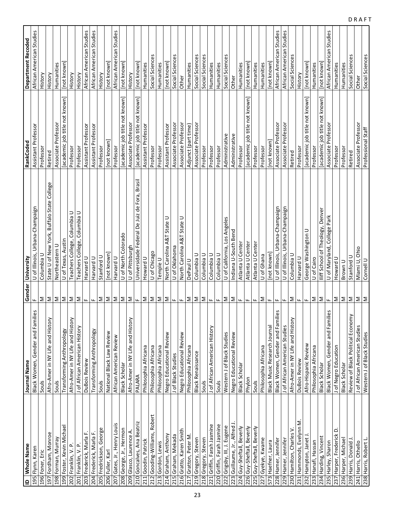|                  | ID   Whole Name              | Journal Name                      |                           | Gender University                            | RankCoded                      | Department Recoded       |
|------------------|------------------------------|-----------------------------------|---------------------------|----------------------------------------------|--------------------------------|--------------------------|
|                  | 195 Flynn, Karen             | Black Women, Gender and Families  | $\mathbf{L}$              | U of Illinois, Urbana-Champaign              | Assistant Professor            | African American Studies |
| 196 Foner, Eric  |                              | Souls                             | Σ                         | Columbia U                                   | Professor                      | History                  |
|                  | 197 Fordham, Monroe          | Afro-Amer in NY Life and History  | Σ                         | State U of New York, Buffalo State College   | Retired                        | History                  |
|                  | 198 Forman, Murray           | Souls                             | Σ                         | Northeastern U                               | Associate Professor            | Humanities               |
|                  | 199 Foster, Kevin Michael    | Transforming Anthropology         | $\mathsf{\Sigma}$         | U of Texas, Austin                           | [academic job title not known] | Inot known               |
|                  | 202 Franklin, V. P.          | Afro-Amer in NY Life and History  | $\mathsf{\Sigma}$         | Teachers College, Columbia U                 | Professor                      | History                  |
|                  | 201 Franklin, V. P.          | J of African American History     | Σ                         | Teachers College, Columbia U                 | Professor                      | History                  |
|                  | 203 Frederick, Marla F.      | DuBois Review                     | Щ.                        | Harvard U                                    | Assistant Professor            | African American Studies |
|                  | 204 Frederick, Marla F.      | Transforming Anthropology         | ш.                        | Harvard U                                    | Assistant Professor            | African American Studies |
|                  | 205 Fredrickson, George      | Souls                             | Σ                         | Stanford U                                   | Professor                      | History                  |
| 206 Fuller, Karl |                              | National Black Law Review         | $\geq$                    | Inot known                                   | [not known]                    | [not known]              |
|                  | 207 Gates, Jr., Henry Louis  | African American Review           | $\geq$                    | Harvard U                                    | Professor                      | African American Studies |
|                  | 208 George, Jr., Hermon      | <b>Black Scholar</b>              | $\geq$                    | U of North Colorado                          | academic job title not known   | [not known]              |
|                  | 209 Glasco, Laurence A.      | Afro-Amer in NY Life and History  | $\geq$                    | U of Pittsburgh                              | Associate Professor            | History                  |
|                  | 210 Goncalves, Ana Beatriz   | PALARA                            | $\mathbf{L}$              | Universidade Federal De Juiz de Fora, Brasil | [academic job title not known] | [not known]              |
|                  | 211 Goodin, Patrick          | Philosophia Africana              | Σ                         | Howard U                                     | Assistant Professor            | Humanities               |
|                  | 212 Gooding-Williams, Robert | Philosophia Africana              | IΣ                        | U of Chicago                                 | Professor                      | Social Sciences          |
|                  | 213 Gordon, Lewis            | Philosophia Africana              | $\geq$                    | Temple U                                     | Professor                      | Humanities               |
|                  | 214 Graham, Anthony          | Negro Educational Review          | ∟ ا≤                      | North Carolina A&T State U                   | Assistant Professor            | [not known]              |
|                  | 215 Graham, Mekada           | J of Black Studies                |                           | U of Oklahoma                                | Associate Professor            | Social Sciences          |
| 216              | Gratto, Karen Smith          | Negro Educational Review          | Щ.                        | North Carolina A&T State U                   | Associate Professor            | Other                    |
|                  | 217 Gratton, Peter M.        | Philosophia Africana              |                           | DePaul U                                     | Adjunct (part time)            | Humanities               |
|                  | 219 Gregory, Steven          | <b>Black Renaissance</b>          | Σ∣Σ                       | Columbia U                                   | Associate Professor            | Social Sciences          |
|                  | 218 Gregory, Steven          | Souls                             | $\geq$                    | Columbia U                                   | Professor                      | Social Sciences          |
|                  | 221 Griffin, Farah Jasmine   | J of African American History     | $\mathbf{L}$              | Columbia U                                   | Professor                      | Humanities               |
|                  | 220 Griffin, Farah Jasmine   | Souls                             | Щ.                        | Columbia U                                   | Professor                      | Humanities               |
|                  | 222 Grigsby, III, J. Eugene  | Western J of Black Studies        | Σ                         | U of California, Los Angeles                 | Administrative                 | Social Sciences          |
|                  | 223 Guillaume, Jr., Alfred J | Negro Educational Review          |                           | Indiana U-South Bend                         | Administrative                 | Other                    |
|                  | 224 Guy-Sheftall, Beverly    | Black Scholar                     | ∑∣ ⊾                      | Atlanta U Center                             | Professor                      | Humanities               |
|                  | 226 Guy-Sheftall, Beverly    | Phylon                            | $\mathbf{H}_{\mathbf{r}}$ | Atlanta U Center                             | [academic job title not known] | [not known]              |
|                  | 225 Guy-Sheftall, Beverly    | Souls                             | ш.                        | Atlanta U Center                             | Professor                      | Humanities               |
|                  | 227 Gyekye, Kwame            | Philosophia Africana              | Σ                         | U of Ghana                                   | Professor                      | Humanities               |
|                  | 573 Haefner, Laura           | Black Music Research Journal      | Щ                         | Inot known                                   | Inot known                     | [not known]              |
|                  | 228 Hamer, Jennifer          | Black Women, Gender and Families  | щ                         | U of Illinois, Urbana-Champaign              | Associate Professor            | African American Studies |
|                  | 229 Hamer, Jennifer          | J of African American Studies     | щ                         | U of Illinois, Urbana-Champaign              | Associate Professor            | African American Studies |
|                  | 230 Hamilton, Charles V      | Afro-Amer in NY Life and History  | Σ                         | Columbia U                                   | Retired                        | Social Sciences          |
|                  | 231 Hammonds, Evelynn M.     | DuBois Review                     | $\mathbf{u}_\text{r}$     | Harvard U                                    | Professor                      | History                  |
| 232              | Hampton, Janet J             | Afro-Hispanic Review              | Щ.                        | George Washington U                          | [academic job title not known] | [not known]              |
|                  | 233 Hanafi, Hassan           | Philosophia Africana              | Σ                         | U of Cairo                                   | Professor                      | Humanities               |
|                  | 234 Harding, Vincent         | Black Scholar                     | $\geq$                    | lliff School of Theology, Denver             | academic job title not known   | Inot known               |
|                  | 235 Harley, Sharon           | Black Women, Gender and Families  | Щ.                        | U of Maryland, College Park                  | Associate Professor            | African American Studies |
|                  | ≏<br>237 Harper, Frederick   | J of Negro Education              | Σ                         | Howard U                                     | Professor                      | Humanities               |
|                  | 236 Harper, Michael          | Black Scholar                     | Σ                         | Brown U                                      | Professor                      | Humanities               |
|                  | 239 Harris, Donald J         | Review of Black Political Economy | $\mathsf{\Sigma}$         | Stanford U                                   | Retired                        | Social Sciences          |
|                  | 241 Harris, Othello          | J of African American Studies     | Σ                         | Miami U, Ohio                                | Associate Professor            | Other                    |
|                  | 238 Harris, Robert L.        | Western J of Black Studies        | ∣≅                        | Cornell U                                    | Professional Staff             | Social Sciences          |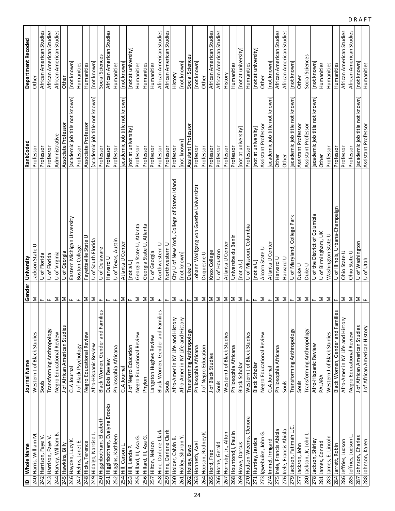| ID Whole Name                    | Journal Name                     | Gender                    | University                                      | RankCoded                      | Department Recoded       |
|----------------------------------|----------------------------------|---------------------------|-------------------------------------------------|--------------------------------|--------------------------|
| 240 Harris, William M.           | Western J of Black Studies       | Σ                         | ⊃<br>Jackson State                              | Professor                      | <b>Other</b>             |
| 242 Harrison, Faye V.            | Souls                            | ш.                        | U of Florida                                    | Professor                      | African American Studies |
| 243 Harrison, Faye V.            | Transforming Anthropology        | щ                         | U of Florida                                    | Professor                      | African American Studies |
| 244 Harvey, William B.           | Negro Educational Review         | Σ                         | U of Virginia                                   | Administrative                 | African American Studies |
| 245 Hawkins, Billy               | J of African American Studies    | $\geq$                    | U of Georgia                                    | Associate Professor            | Other                    |
| 246 Hayden, Lucy K.              | CLA Journal                      | $\mathbf{L}$              | Eastern Michigan Unversity                      | [academic job title not known] | [not known]              |
| 247 Helms, Janet E.              | J of Black Psychology            | $\mathbf{L}$              | Boston College                                  | Professor                      | Humanities               |
| 248 Hicks, Terence               | Negro Educational Review         | Σ                         | Fayetteville State U                            | Associate Professor            | Humanities               |
| 249 Hidalgo, Narciso J.          | Afro-Hispanic Review             | Σ                         | U of South Florida                              | [academic job title not known] | [not known]              |
| 250 Higginbotham, Elizabeth      | Black Women, Gender and Families | $\mathbf{L}$              | U of Delaware                                   | Professor                      | Social Sciences          |
| 251 Higginbotham, Evelyne Brooks | DuBois Review                    | $\mathbf{L}$              | Harvard U                                       | Professor                      | African American Studies |
| 252 Higgins, Kathleen            | Philosophia Africana             | щ                         | U of Texas, Austin                              | Professor                      | Humanities               |
| 254 Hill, Carson L.              | CLA Journal                      | Σ                         | Atlanta U Center                                | academic job title not known   | [not known]              |
| 253 Hill, Lenda P.               | J of Negro Education             | $\mathbf{H}_{\mathbf{r}}$ | [not a U]                                       | [not at university]            | [not at university]      |
| 255 Hillard, III, Asa G.         | Negro Educational Review         | $\geq$                    | Georgia State U, Atlanta                        | Professor                      | Humanities               |
| 256 Hillard, III, Asa G.         | Phylon                           | Σ                         | Georgia State U, Atlanta                        | Professor                      | Humanities               |
| 257 Hilton, Nelson               | Langston Hughes Review           | $\geq$                    | U of Georgia                                    | Professor                      | Humanities               |
| 258 Hine, Darlene Clark          | Black Women, Gender and Families | Щ                         | Northwestern U                                  | Professor                      | African American Studies |
| 259 Hine, Darlene Clark          | Souls                            | $\mathbf{L}$              | Northwestern U                                  | Professor                      | African American Studies |
| 260 Holder, Calvin B.            | Afro-Amer in NY Life and History | $\geq$                    | College of Staten Island<br>City U of New York, | Professor                      | History                  |
| 261 Holley, Sharon Y             | Afro-Amer in NY Life and History | Щ.                        | [not known]                                     | [not known]                    | [not known]              |
| 262 Holsey, Bayo                 | Transforming Anthropology        | $\mathbf{L}$              | Duke U                                          | Assistant Professor            | Social Sciences          |
| 263 Honneth, Axel                | Philosophia Africana             | $\geq$                    | Johann Wolfgang von Goethe Universitat          | Professor                      | [not known]              |
| 264 Hopson, Rodney K.            | J of Negro Education             | $\mathsf{\Sigma}$         | Duquesne U                                      | Professor                      | Other                    |
| 265 Hord, Fred                   | J of Black Studies               | IΣ                        | Knox College                                    | Professor                      | African American Studies |
| 266 Horne, Gerald                | Souls                            | $\vert \Sigma \vert$      | U of Houston                                    | Professor                      | African American Studies |
| 267 Hornsby, Jr., Alton          | Western J of Black Studies       | ∣≅                        | Atlanta U Center                                | Professor                      | History                  |
| 268 Hountondji, Paulin           | Philosophia Africana             | IΣ                        | Universite du Benin                             | Professor                      | Humanities               |
| 269 Howe, Darcus                 | Black Scholar                    | $\vert \Sigma \vert$      | [Not a U]                                       | [not at university]            | [not at university]      |
| 270 Hudson-Weems, Clenora        | Western J of Black Studies       | Щ.                        | U of Missouri, Columbia                         | Professor                      | Humanities               |
| 271 Huntley, Jessica             | Black Scholar                    | Щ.                        | [not a U]                                       | [not at university]            | [not at university]      |
| ق<br>273 Igwebuike, John         | Negro Educational Review         | $\geq$                    | Alcorn State U                                  | Assistant Professor            | Other                    |
| 274 Immel, Irmgard               | CLA Journal                      | $\mathbf{L}$              | Atlanta U Center                                | [academic job title not known] | [not known]              |
| 275 Irele, Francis Abiola        | Philosophia Africana             | $\mathsf{\Sigma}$         | Harvard U                                       | Other                          | African American Studies |
| 276 Irele, Francis Abiola        | Souls                            | ΙΣ                        | Harvard U                                       | Other                          | African American Studies |
| 279 Jackson, Fatimah L.C.        | Transforming Anthropology        | $\mathbf{H}_{\mathbf{r}}$ | U of Maryland, College Park                     | [academic job title not known] | [not known]              |
| 277 Jackson, John                | Souls                            | $\geq$                    | Duke U                                          | Assistant Professor            | Other                    |
| 280 Jackson, Jr, John            | Transforming Anthropology        | Σ                         | Duke U                                          | Assistant Professor            | Social Sciences          |
| 278 Jackson, Shirley             | Afro-Hispanic Review             | $\mathbf{H}_\mathbf{r}$   | U of the District of Columbia                   | [academic job title not known] | [not known]              |
| 281 James, Conrad                | PALARA                           | Σ                         | U of Birmingham, UK                             | Other                          | Humanities               |
| 283 James, E. Lincoln            | Western J of Black Studies       | $\geq$                    | Washington State U                              | Professor                      | Humanities               |
| 284 Jarrett, Robin               | Black Women, Gender and Families | $\mathbf{H}_{\mathbf{r}}$ | U of Illinois, Urbana-Champaign                 | Professor                      | Humanities               |
| 286 Jeffries, Judson             | Afro-Amer in NY Life and History | Σ                         | Ohio State U                                    | Professor                      | African American Studies |
| 285 Jeffries, Judson             | Negro Educational Review         | $\geq$                    | Ohio State U                                    | Professor                      | African American Studies |
| 287 Johnson, Charles             | J of African American Studies    | Σ                         | U of Washington                                 | [academic job title not known] | [not known]              |
| 288 Johnson, Karen               | J of African American History    | $\mathbf{u}$              | U of Utah                                       | Assistant Professor            | Humanities               |

D R A F T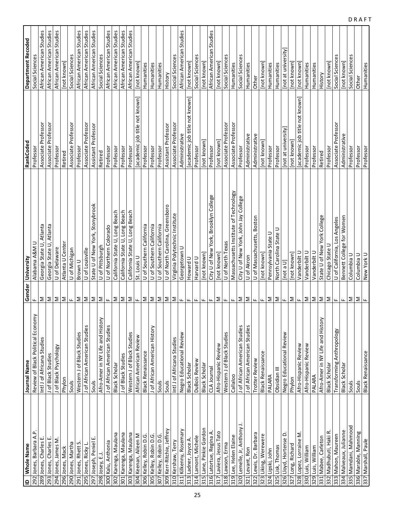| $\mathbf{r}$ | Whole Name                  | Journal Name                      |                           | Gender University                     | RankCoded                      | Department Recoded       |
|--------------|-----------------------------|-----------------------------------|---------------------------|---------------------------------------|--------------------------------|--------------------------|
|              | 292 Jones, Barbara A.P.     | Review of Black Political Economy | щ                         | Alabama A&M U                         | Professor                      | Social Sciences          |
|              | 289 Jones, Charles E        | Intl J of Africana Studies        | Σ                         | Georgia State U, Atlanta              | Associate Professor            | African American Studies |
|              | 293 Jones, Charles E        | J of Black Studies                | $\mathbf{\Sigma}$         | Georgia State U, Atlanta              | Associate Professor            | African American Studies |
|              | 294 Jones, James M.         | J of Black Psychology             | Σ                         | U of Delaware                         | Professor                      | African American Studies |
|              | 296 Jones, Mack             | Phylon                            | Σ                         | Atlanta U Center                      | Retired                        | [not known]              |
|              | 290 Jones, Martha           | Souls                             | $\mathbf{L}$              | U of Michigan                         | Associate Professor            | Social Sciences          |
|              | 291 Jones, Rhett S.         | Western J of Black Studies        | Σ                         | Brown U                               | Professor                      | African American Studies |
|              | 295 Jones, Ricky L.         | J of African American Studies     | $\geq$                    | U of Louisville                       | Associate Professor            | African American Studies |
|              | ш<br>297 Joseph, Peniel     | Souls                             | $\geq$                    | State U of New York, Stonybrook       | Assistant Professor            | African American Studies |
|              | 298 Josey, E.J.             | Afro-Amer in NY Life and History  | $\mathbf{\Sigma}$         | U of Pittsburgh                       | Retired                        | Social Sciences          |
|              | 300 Kalu, Anthonia          | J of African American Studies     | $\mathbf{H}_{\mathbf{r}}$ | U of Northern Colorado                | Professor                      | African American Studies |
|              | 302 Karenga, Maulana        | Black Scholar                     | Σ                         | California State U, Long Beach        | Professor                      | African American Studies |
|              | 301 Karenga, Maulana        | J of Black Studies                | $\geq$                    | California State U, Long Beach        | Professor                      | African American Studies |
|              | 303 Karenga, Maulana        | Western J of Black Studies        | $\geq$                    | California State U, Long Beach        | Professor                      | African American Studies |
|              | 304 Keenan, Aileen M        | African American Review           | $\mathbf{L}$              | St. Louis U                           | academic job title not known   | [not known]              |
|              | 306 Kelley, Robin D.G.      | <b>Black Renaissance</b>          | Σ                         | U of Southern California              | Professor                      | Humanities               |
|              | 305 Kelley, Robin D.G.      | J of African American History     | $\geq$                    | U of Southern California              | Professor                      | Humanities               |
|              | 307 Kelley, Robin D.G.      | Souls                             | $\vert \Sigma \vert$      | U of Southern California              | Professor                      | Humanities               |
|              | 309 Kerr-Ritchie, Jeffrey   | Souls                             |                           | U of North Carolina, Greensboro       | Assistant Professor            | History                  |
|              | 310 Kershaw, Terry          | Intl J of Africana Studies        | $\leq \leq$               | Virginia Polytechnic Institute        | Associate Professor            | Social Sciences          |
|              | 311 Kilkenny, Rosemary      | Negro Educational Review          | Щ.                        | Georgetown U                          | Administrative                 | African American Studies |
|              | 313 Ladner, Joyce A.        | <b>Black Scholar</b>              | $\mathbf{L}$              | Howard U                              | [academic job title not known] | [not known]              |
|              | 314 Lamont, Michele         | DuBois Review                     | ш.                        | Harvard U                             | Professor                      | Social Sciences          |
|              | 315 Lane, Pinkie Gordon     | Black Scholar                     | ш.                        | [not known]                           | [not known]                    | [not known]              |
|              | 316 Latortue, Regina A      | CLA Journal                       | $\mathbf{H}_{\mathbf{r}}$ | City U of New York, Brooklyn College  | Professor                      | African American Studies |
|              | 317 Laviera, Jesus Tato     | Afro-Hispanic Review              |                           | [not known]                           | [not known]                    | [not known]              |
|              | 318 Lawson, Erma            | Western J of Black Studies        | ⊾ ا≤                      | U of North Texas                      | Associate Professor            | Social Sciences          |
|              | 319 Lee, Helen Elaine       | Callaloo                          | $\mathbf{H}_{\mathbf{r}}$ | Massachusetts Institute of Technology | Associate Professor            | Humanities               |
|              | 320 Lemelle, Jr, Anthony J. | J of African American Studies     | $\mathsf{\Sigma}$         | City U of New York, John Jay College  | Professor                      | Social Sciences          |
|              | 321 Levant, Ron             | J of African American Studies     | $\mathbf{\Sigma}$         | U of Akron                            | Administrative                 | Humanities               |
|              | 322 Lewis, Dr. Barbara      | Trotter Review                    | $\mathbf{H}_{\mathbf{r}}$ | U of Massachusetts, Boston            | Administrative                 | Other                    |
|              | 323 Liking, Werewere        | <b>Black Renaissance</b>          | $\mathbf{H}_{\mathbf{r}}$ | [not known]                           | [not known]                    | [not known]              |
|              | 324 Lipski, John            | PALARA                            | Σ                         | Pennsylvania State U                  | Professor                      | Humanities               |
|              | 325 Lisk, Thomas            | Obsidian III                      | $\vert \Sigma \vert$      | North Carolina State U                | Professor                      | Humanities               |
|              | 326 Lloyd, Hortense D.      | Negro Educational Review          | Щ.                        | [Not a U]                             | [not at university]            | [not at university]      |
|              | 327 Long, Richard           | Phylon                            | ⊾ ا≤                      | [not known]                           | [not known]                    | [not known]              |
|              | 328 Lopez, Lorraine M.      | Afro-Hispanic Review              |                           | Vanderbilt U                          | [academic job title not known] | [not known]              |
|              | 330 Luis, William           | Afro-Hispanic Review              | Σ                         | Vanderbilt U                          | Professor                      | Humanities               |
|              | 329 Luis, William           | PALARA                            | $\geq$                    | Vanderbilt U                          | Professor                      | Humanities               |
|              | 331 Mabee, Carleton         | Afro-Amer in NY Life and History  | $\mathbf{\Sigma}$         | State U of New York College           | Retired                        | History                  |
|              | 332 Madhubuti, Haki R       | Black Scholar                     | $\mathsf{\Sigma}$         | Chicago State U                       | Professor                      | [not known]              |
|              | 333 Mahon, Maureen          | Transforming Anthropology         | Iщ.                       | U of California, Los Angeles          | Associate Professor            | Social Sciences          |
|              | 334 Malveaux, Julianne      | Black Scholar                     | ш.                        | Bennett College for Women             | Administrative                 | [not known]              |
|              | 335 Mamdani, Mahmood        | Souls                             | Σ                         | Columbia U                            | Professor                      | Social Sciences          |
|              | 336 Marable, Manning        | Souls                             | Σ                         | Columbia U                            | Professor                      | Other                    |
|              | 337 Marshall, Paule         | <b>Black Renaissance</b>          | $\mathbf{u}$              | New York U                            | Professor                      | Humanities               |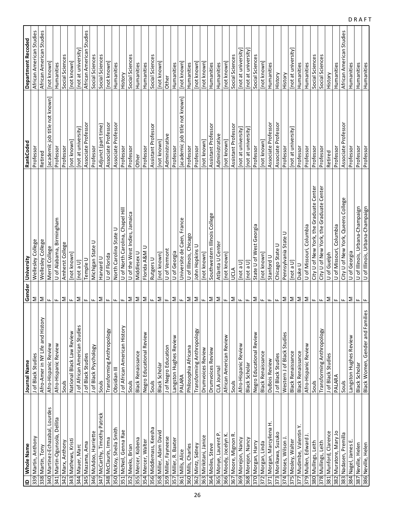| $\mathbf{r}$ | Whole Name                      | Journal Name                     | Gender                    | University                                              | RankCoded                        | <b>Department Recoded</b> |
|--------------|---------------------------------|----------------------------------|---------------------------|---------------------------------------------------------|----------------------------------|---------------------------|
|              | 339 Martin, Anthony             | J of Black Studies               | Σ                         | Wellesley College                                       | Professor                        | African American Studies  |
| 338          |                                 |                                  |                           |                                                         |                                  |                           |
|              | Martin, Tony                    | Afro-Amer in NY Life and History | Σ                         | Wellesley College                                       | Retired                          | African American Studies  |
|              | 340 Martinez-Echazabal, Lourdes | Afro-Hispanic Review             | Щ.                        | Merrill College                                         | job title not known<br>[academic | [not known]               |
|              | 341 Martin-Ogunsola, Dellita    | Afro-Hispanic Review             | щ                         | U of Alabama, Birmingham                                | Professor                        | Humanities                |
|              | 342 Marx, Anthony               | Souls                            | Σ                         | Amherst College                                         | Professor                        | Social Sciences           |
|              | 343 Mathews, Kristi             | National Black Law Review        | ш.                        | Inot known                                              | [not known]                      | [not known]               |
|              | 344 Mauer, Marc                 | J of African American Studies    | Σ                         | [not a $U$ ]                                            | [not at university]              | [not at university]       |
|              | 345 Mazama, Ama                 | J of Black Studies               | ш.                        | Temple U                                                | Associate Professor              | African American Studies  |
|              | 346 McAdoo, Harriette           | J of Black Psychology            | ш.                        | ⊃<br>Michigan State                                     | Professor                        | Social Sciences           |
|              | 347 McCarthy, Timothy Patrick   | Souls                            | Σ                         | Harvard U                                               | Adjunct (part time)              | Social Sciences           |
|              | 348 McClaurin, Irma             | Transforming Anthropology        | $\mathbf{H}_{\mathbf{r}}$ | U of Florida                                            | Associate Professor              | [not known]               |
|              | 350 McKoy, Sheila Smith         | Obsidian III                     | ш.                        | North Carolina State U                                  | Associate Professor              | Humanities                |
|              | 351 McNeil, Genna Rae           | J of African American History    | ш.                        | U of North Carolina, Chapel Hill                        | Professor                        | History                   |
|              | 352 Meeks, Brian                | Souls                            | Σ                         | of the West Indies, Jamaica<br>$\overline{\phantom{0}}$ | Professor                        | Social Sciences           |
|              | 355 Mercer, Kobena              | <b>Black Renaissance</b>         | $\mathbf{z}$              | Middlesex U                                             | Other                            | Humanities                |
|              | 354 Mercer, Walter              | Negro Educational Review         | $\geq$                    | Florida A&M U                                           | Professor                        | Humanities                |
|              | 356 Middlemass, Keesha          | Souls                            | $\mathbf{u}_\text{r}$     | Rutgers U                                               | Assistant Professor              | Social Sciences           |
|              | 358 Miller, Adam David          | Black Scholar                    | Σ                         | [not known]                                             | [not known]                      | [not known]               |
|              | 359 Miller, Fayneese            | J of Negro Education             | $\mathbf{H}_{\mathbf{r}}$ | U of Vermont                                            | Administrative                   | Other                     |
|              | 357 Miller, R. Baxter           | Langston Hughes Review           | Σ                         | U of Georgia                                            | Professor                        | Humanities                |
|              | 361 Mills, Alice                | PALARA                           | Щ.                        | Universite de Caen, France                              | [academic job title not known]   | [not known]               |
|              | 360 Mills, Charles              | Philosophia Africana             | $\geq$                    | U of Illinois, Chicago                                  | Professor                        | Humanities                |
|              | 362 Mintz, Sidney               | Transforming Anthropology        | Σ                         | John Hopkins U                                          | Professor                        | [not known]               |
|              | 363 Mirikitani, Janice          | Drumvoices Review                | $\mathbf{H}_\mathbf{r}$   | [not known]                                             | [not known]                      | [not known]               |
|              | 364 Moiles, Steve               | Drumvoices Review                | $\geq$                    | Southwestern Illinois College                           | Assistant Professor              | Humanities                |
|              | 365 Monye, Laurent P            | CLA Journal                      | Σ                         | Atlanta U Center                                        | Administrative                   | Humanities                |
|              | 366 Moody, Jocelyn K.           | African American Review          | $\mathbf{L}$              | [not known]                                             | [not known]                      | [not known]               |
|              | 367 Moore, Mignon R.            | Souls                            | Σ                         | UCLA                                                    | Assistant Professor              | Social Sciences           |
|              | 369 Morejon, Nancy              | Afro-Hispanic Review             | $\mathbf{H}_{\mathbf{m}}$ | [not a $U$ ]                                            | [not at university]              | [not at university]       |
|              | 368 Morejon, Nancy              | Black Scholar                    | $\mathbf{L}$              | [not a $U$ ]                                            | [not at university]              | [not at university]       |
|              | 370 Morgan, Harry               | Negro Educational Review         | Σ                         | State U of West Georgia                                 | Professor                        | Social Sciences           |
|              | 372 Morgan, Linda               | <b>Black Renaissance</b>         | Щ                         | [not known]                                             | [not known]                      | [not known]               |
|              | 371 Morgan, Marcyliena H        | <b>DuBois Review</b>             | щ                         | Stanford U                                              | Associate Professor              | Humanities                |
|              | 373 Morikawa, Suzuko            | J of Black Studies               | $\mathbf{L}$              | Chicago State U                                         | Associate Professon              | History                   |
|              | 374 Moses, Wilson J             | Studies<br>Western J of Black    | Σ                         | Pennsylvania State U                                    | Professor                        | History                   |
|              | 375 Mosley, Walter              | <b>Black Renaissance</b>         | Σ                         | [Not a U]                                               | [not at university]              | [not at university]       |
|              | 377 Mudimbe, Valentin Y.        | <b>Black Renaissance</b>         | Σ                         | Duke U                                                  | Professor                        | Humanities                |
|              | 379 Mullen, Edward J            | Afro-Hispanic Review             | Σ                         | U of Missouri, Columbia                                 | Professor                        | Humanities                |
|              | 380 Mullings, Leith             | Souls                            | $\mathbf{H}_{\mathbf{r}}$ | City U of New York, the Graduate Center                 | Professor                        | Social Sciences           |
|              | 378 Mullings, Leith             | Transforming Anthropology        | $\mathbf{L}$              | City U of New York, the Graduate Center                 | Professor                        | Social Sciences           |
|              | 381 Munford, Clarence           | J of Black Studies               | Σ                         | U of Guelph                                             | Retired                          | History                   |
|              | 382 Muratore, Mary Jo           | PALARA                           | $\mathbf{L}$              | U of Missouri, Columbia                                 | Professor                        | Humanities                |
| 383          | Nadasen, Premilla               | Souls                            | щ                         | City U of New York, Queens College                      | Associate Professor              | African American Studies  |
|              | 384 Nagel, James E.             | Langston Hughes Review           | Σ                         | U of Georgia                                            | Professor                        | Humanities                |
|              | 387 Neville, Helen              | Black Scholar                    | щ                         | U of Illinois, Urbana-Champaign                         | Professor                        | Humanities                |
|              | 386 Neville, Helen              | Black Women, Gender and Families |                           | U of Illinois, Urbana-Champaign                         | Professor                        | Humanities                |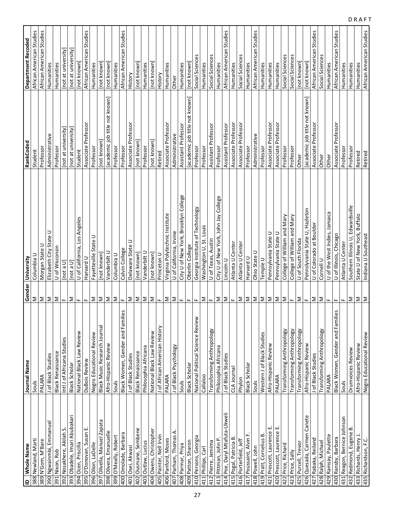| ID   Whole Name               | Journal Name                      |                           | Gender University                    | RankCoded                      | <b>Department Recoded</b> |
|-------------------------------|-----------------------------------|---------------------------|--------------------------------------|--------------------------------|---------------------------|
| 388 Newland, Marti            | Souls                             | Σ                         | Columbia U                           | Student                        | African American Studies  |
| 389 N'Gom, M'Bare             | PALARA                            | Σ                         | Morgan State U                       | Professor                      | African American Studies  |
| 390 Ngwainmbi, Emmanuel       | J of Black Studies                | $\mathbf{\Sigma}$         | Elizabeth City State U               | Administrative                 | Humanities                |
| 391 Nixon, Rob                | <b>Black Renaissance</b>          | Σ                         | U of Wisconsin                       | Professor                      | Humanities                |
| 392 Nosakhere, Akilah S.      | Intl J of Africana Studies        | $\mathbf{H}_{\mathbf{r}}$ | [not a U]                            | [not at university]            | [not at university]       |
| 393 Obadele, Imari Abubakari  | <b>Black Scholar</b>              | Σ                         | [not a $U$ ]                         | [not at university]            | [not at university]       |
| 394 Ocen, Priscilla           | National Black Law Review         | щ                         | U of California, Los Angeles         | Student                        | [not known]               |
| 395 O'Donovan, Susan E.       | DuBois Review                     | ш.                        | Harvard U                            | Associate Professor            | African American Studies  |
| 396 Olion, LaDelle            | Negro Educational Review          | Σ                         | Fayetteville State U                 | Professor                      | Humanities                |
| 397 Olivella, Manuel Zapata   | Black Music Research Journal      | Σ                         | [not known]                          | [not known]                    | Inot known                |
| 398 Olivera, Emanuelle        | Afro-Hispanic Review              | $\geq$                    | Vanderbilt U                         | academic job title not known   | [not known]               |
| 399 O'Meally, Robert          | Souls                             | $\geq$                    | Columbia U                           | Professor                      | Humanities                |
| 400 Omolade, Barbara          | Black Women, Gender and Families  | $\mathbf{u}_\text{r}$     | Calvin College                       | Professor                      | African American Studies  |
| 401 Osei, Akwasi              | J of Black Studies                | Σ                         | Delaware State U                     | Associate Professor            | History                   |
| 402 Ousmane, Sembene          | <b>Black Renaissance</b>          | $\geq$                    | [not known]                          | [not known]                    | [not known]               |
| 403 Outlaw, Lucius            | Philosophia Africana              | Σ                         | Vanderbilt U                         | Professor                      | Humanities                |
| 404 Owens, Christopher        | National Black Law Review         | $\geq$                    | [not known]                          | [not known]                    | [not known]               |
| 405 Painter, Nell Irvin       | J of African American History     | $\mathbf{u}_i$            | Princeton U                          | Retired                        | History                   |
| 406 Panford, Moses            | PALARA                            |                           | Virginia Polytechnic Institute       | Associate Professor            | Humanities                |
| 407 Parham, Thomas A.         | J of Black Psychology             | $\geq$ $\geq$             | U of California, Irvine              | Administrative                 | Other                     |
| 408 Parmar, Priya             | Souls                             | Щ.                        | City U of New York, Brooklyn College | Assistant Professor            | Humanities                |
| 409 Patton, Sharon            | <b>Black Scholar</b>              | $\mathbf{L}$              | Oberlin College                      | [academic job title not known] | [not known]               |
| 410 Persons, Georgia          | National Political Science Review | $\mathbf{L}$              | Georgia Institute of Technology      | Professor                      | Social Sciences           |
| 411 Phillips, Carl            | Callaloo                          | Σ                         | Washington U, St. Louis              | Professor                      | Humanities                |
| 412 Pierre, Jemima            | Transforming Anthropology         | $\mathbf{H}_{\mathrm{m}}$ | U of Texas, Austin                   | Assistant Professor            | Social Sciences           |
| 413 Pittman, John P.          | Philosophia Africana              | $\geq$                    | City U of New York, John Jay College | Professor                      | Humanities                |
| 414 Poe, Daryl Mtafuta-Ukweli | J of Black Studies                | $\geq$                    | Lincoln U                            | Assistant Professor            | African American Studies  |
| 415 Pogal, Patricia B.        | CLA Journal                       | $\mathbf{L}$              | Atlanta U Center                     | Associate Professor            | Humanities                |
| 416 Porterfield, Jeff         | Phylon                            | $\mathsf{\Sigma}$         | Atlanta U Center                     | Associate Professor            | Social Sciences           |
| 417 Poussaint, Alvin F.       | Black Scholar                     | $\geq$                    | Harvard U                            | Professor                      | Humanities                |
| 418 Powell, John              | Souls                             |                           | Ohio State U                         | Administrative                 | African American Studies  |
| 419 Pratt, Cornelius B.       | Western J of Black Studies        | $\leq \leq$               | Temple U                             | Professor                      | Humanities                |
| щ<br>421 Prescott, Laurence   | Afro-Hispanic Review              | $\mathbf{\Sigma}$         | Pennsylvania State U                 | Associate Professor            | Humanities                |
| 420 Prescott, Laurence E.     | PALARA                            | $\vert \Sigma \vert$      | Pennsylvania State U                 | Associate Professor            | Humanities                |
| 422 Price, Richard            | Transforming Anthropology         | ΙΣ                        | College of William and Mary          | Professor                      | Social Sciences           |
| 423 Price, Sally              | Transforming Anthropology         | $\mathbf{H}_{\mathbf{r}}$ | College of William and Mary          | Professor                      | Social Sciences           |
| 425 Purcell, Trevor           | Transforming Anthropology         | Σ                         | U of South Florida                   | Other                          | [not known]               |
| 426 Quesada, Carmen Canete    | Afro-Hispanic Review              | Щ.                        | Pennslyvania State U, Hazleton       | [academic job title not known] | [not known]               |
| 427 Rabaka, Reiland           | J of Black Studies                | Σ                         | U of Colorado at Boulder             | Associate Professor            | African American Studies  |
| 428 Ralph, Michael            | Transforming Anthropology         | $\geq$                    | Cornell U                            | Other                          | Social Sciences           |
| 429 Ramsay, Paulette          | PALARA                            | ш.                        | U of the West Indies, Jamaica        | Other                          | Humanities                |
| 430 Ransby, Barbara           | Black Women, Gender and Families  | $\mathbf{L}$              | U of Illinois, Chicago               | Associate Professor            | African American Studies  |
| 431 Reagon, Bernice Johnson   | Souls                             | Щ.                        | Atlanta U Center                     | Professor                      | Humanities                |
| 432 Redmond, Eugene B.        | Drumvoices Review                 | Σ                         | Southern Illinois U, Edwardsville    | Professor                      | Humanities                |
| 433 Richards, Henry J.        | Afro-Hispanic Review              | Σ                         | State U of New York, Buffalo         | Retired                        | Humanities                |
| 435 Richardson, F.C.          | Negro Educational Review          | $\geq$                    | Indiana U Southeast                  | Retired                        | African American Studies  |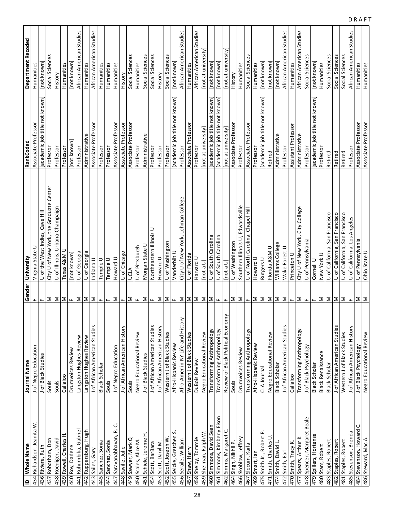| $\mathbf{r}$ | Whole Name                  | Journal Name                      | Gender                    | University                              | RankCoded                      | <b>Department Recoded</b> |
|--------------|-----------------------------|-----------------------------------|---------------------------|-----------------------------------------|--------------------------------|---------------------------|
|              | 434 Richardson, Jeanita W   | J of Negro Education              | щ                         | Virgnia State U                         | Associate Professor            | Humanities                |
|              | 436 Riviere, Ruth           | J of Black Studies                | ш.                        | U of the West Indies, Cave Hill         | [academic job title not known] | [not known]               |
|              | 437 Robotham, Don           | Souls                             | Σ                         | City U of New York, the Graduate Center | Professor                      | Social Sciences           |
|              | 438 Roediger, David         | Souls                             | Σ                         | U of Illinois, Urbana-Champaign         | Professor                      | History                   |
|              | 439 Rowell, Charles H       | Callaloo                          | $\geq$                    | Texas A&M U                             | Professor                      | Humanities                |
|              | 440 Roy, Darlene            | Drumvoices Review                 | $\mathbf{H}_{\mathbf{r}}$ | [not known]                             | [not known]                    | [not known]               |
|              | 441 Ruhumbika, Gabriel      | Langston Hughes Review            | Σ                         | U of Georgia                            | Professor                      | African American Studies  |
|              | 442 Ruppersburg, Hugh       | Langston Hughes Review            | $\geq$                    | U of Georgia                            | Administrative                 | Humanities                |
|              | 443 Sailes, Gary            | J of African American Studies     |                           | Indiana U                               | Associate Professor            | African American Studies  |
|              | 445 Sanchez, Sonia          | <b>Black Scholar</b>              | ⊾∣≥                       | Temple U                                | Professor                      | Humanities                |
|              | 444 Sanchez, Sonia          | Souls                             | $\mathbf{H}_\bullet$      | Temple U                                | Professor                      | Humanities                |
|              | ن<br>447 Saravanabhavan, R. | J of Negro Education              | Σ                         | Howard U                                | Associate Professor            | Humanities                |
|              | 448 Saville, Julie          | J of African American History     | $\mathbf{H}_{\mathbf{r}}$ | U of Chicago                            | Associate Professor            | History                   |
|              | 449 Sawyer, Mark Q          | Souls                             | Σ                         | JCLA                                    | Associate Professor            | Social Sciences           |
|              | 450 Scales, Alice M         | Negro Educational Review          | $\mathbf{H}_{\mathbf{r}}$ | U of Pittsburgh                         | Professor                      | Humanities                |
|              | 451 Schiele, Jerome H       | J of Black Studies                | Σ                         | Morgan State U                          | Administrative                 | Social Sciences           |
|              | 454 Scott, BarBara          | J of African American Studies     | $\mathbf{L}$              | Northeastern Illinois U                 | Professor                      | Social Sciences           |
|              | 453 Scott, Daryl M.         | J of African American History     | Σ                         | Howard U                                | Professor                      | History                   |
| 452          | Scott, Joseph W             | Western J of Black Studies        | Σ                         | U of Washington                         | Professor                      | Social Sciences           |
|              | vi<br>455 Selcke, Gretchen  | Afro-Hispanic Review              | Щ.                        | Vanderbilt U                            | [academic job title not known] | [not known]               |
|              | 456 Seraile, William        | Afro-Amer in NY Life and History  | Σ                         | City U of New York, Lehman College      | Professor                      | African American Studies  |
|              | 457 Shaw, Harry             | Western J of Black Studies        | Σ                         | U of Florida                            | Associate Professor            | Humanities                |
|              | 458 Shelby, Tommie          | DuBois Review                     | Σ                         | Harvard U                               | Professor                      | African American Studies  |
|              | 459 Shelman, Ralph W.       | Negro Educational Review          | $\mathsf{\Sigma}$         | $[$ not a U                             | [not at university]            | [not at university]       |
|              | 460 Simmons, David Sean     | Transforming Anthropology         | Σ                         | U of South Carolina                     | [academic job title not known] | [not known]               |
|              | 461 Simmons, Kimberly Eison | Transforming Anthropology         | ш.                        | U of South Carolina                     | academic job title not known   | [not known]               |
|              | 462 Simms, Margaret C.      | Review of Black Political Economy | Щ                         | [not a $U$ ]                            | [not at university]            | [not at university]       |
|              | 464 Singh, Nikhil P.        | Souls                             | Σ                         | U of Washington                         | Associate Professor            | History                   |
|              | 466 Skoblow, Jeffrey        | Drumvoices Review                 | Σ                         | Southern Illinois U, Edwardsville       | Professor                      | Humanities                |
|              | 467 Slocum, Karla           | Transforming Anthropology         | $\mathbf{H}_{\mathbf{r}}$ | U of North Carolina, Chapel Hill        | Associate Professor            | Social Sciences           |
|              | 469 Smart, lan              | Afro-Hispanic Review              | Σ                         | Howard U                                | Professor                      | Humanities                |
|              | 475 Smith Jr., Robert P.    | CLA Journal                       | $\geq$                    | Rutgers U                               | [academic job title not known] | [not known]               |
|              | 471 Smith, Charles U        | Negro Educational Review          | $\geq$                    | Florida A&M U                           | Retired                        | [not known]               |
|              | 474 Smith, David L          | Black Scholar                     | $\geq$                    | Williams College                        | Administrative                 | [not known]               |
|              | 472 Smith, Earl             | J of African American Studies     | $\geq$                    | Wake Forest U                           | Professor                      | African American Studies  |
|              | 470 Smith, Tracy K.         | Callaloo                          | ш.                        | Princeton U                             | Assistant Professor            | Humanities                |
|              | 477 Spears, Arthur K        | Transforming Anthropology         | Σ                         | City U of New York, City College        | Administrative                 | African American Studies  |
|              | 478 Spencer, Margaret Beale | J of Black Psychology             | $\mathbf{H}_\mathrm{m}$   | U of Pennsylvania                       | Professor                      | Social Sciences           |
|              | 479 Spillers, Hortense      | Black Scholar                     | $\mathbf{L}$              | Cornell U                               | [academic job title not known] | [not known]               |
|              | 480 Stam, Robert            | <b>Black Renaissance</b>          | Σ                         | New York U                              | Professor                      | Humanities                |
|              | 483 Staples, Robert         | Black Scholar                     | $\geq$                    | U of California, San Francisco          | Retired                        | Social Sciences           |
|              | 482 Staples, Robert         | J of African American Studies     | Σ                         | U of California, San Francisco          | Retired                        | Social Sciences           |
|              | 481 Staples, Robert         | Western J of Black Studies        | $\geq$                    | U of California, San Francisco          | Retired                        | Social Sciences           |
|              | 485 Stevenson, Brenda       | J of African American History     | $\mathbf{H}_{\mathbf{m}}$ | U of California, Los Angeles            | Professor                      | African American Studies  |
|              | ن<br>484 Stevenson, Howard  | J of Black Psychology             | Σ                         | U of Pennsylvania                       | Associate Professor            | Humanities                |
|              | 486 Steward, Mac A.         | Negro Educational Review          | $\geq$                    | Ohio State U                            | Associate Professor            | Humanities                |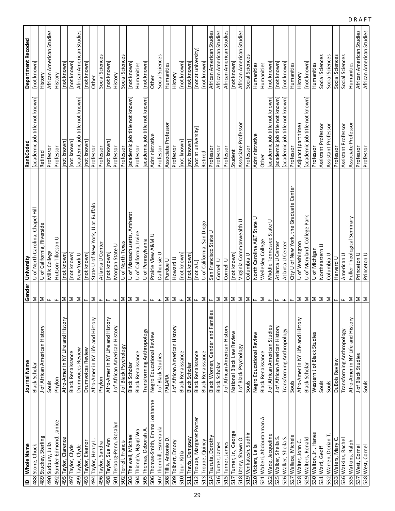| $\overline{a}$ | Whole Name                      | Journal Name                         | Gender                    | University                                           | RankCoded                      | <b>Department Recoded</b> |
|----------------|---------------------------------|--------------------------------------|---------------------------|------------------------------------------------------|--------------------------------|---------------------------|
|                | 488 Stone, Chuck                | Black Scholar                        | Σ                         | U of North Carolina, Chapel Hill                     | [academic job title not known] | [not known]               |
| 489            | Stuckey, Sterling               | J of African American History        | Σ                         | of California, Riverside<br>$\overline{\phantom{0}}$ | Retired                        | History                   |
|                | 490 Sudbury, Julia              | Souls                                | Щ.                        | Mills College                                        | Professor                      | African American Studies  |
|                | 492 Sumler-Edmond, Janice       | Phylon                               | Щ.                        | Hutson-Tillotson U                                   | Professor                      | History                   |
|                | 495 Taylor, Clarence            | Afro-Amer in NY Life and History     | Σ                         | [not known]                                          | [not known]                    | [not known]               |
|                | 497 Taylor, Clyde               | <b>Black Renaissance</b>             | Σ                         | [not known]                                          | [not known]                    | <b>Inot</b> known         |
|                | 499 Taylor, Clyde               | Drumvoices Review                    | Σ                         | New York U                                           | [academic job title not known] | African American Studies  |
|                | 493 Taylor, Eleanor             | Drumvoices Review                    | ш.                        | [not known]                                          | [not known]                    | [not known]               |
|                | 494 Taylor, Henry L.            | Afro-Amer in NY Life and History     | Σ                         | State U of New York, U at Buffalo                    | Professor                      | Other                     |
|                | 496 Taylor, Sandra              | Phylon                               | $\mathbf{L}$              | Atlanta U Center                                     | Professor                      | Social Sciences           |
|                | 498 Taylor, Sue Ann             | Afro-Amer in NY Life and History     | щ                         | [not known]                                          | [not known]                    | [not known]               |
|                | 501 Terborg-Penn, Rosalyn       | J of African American History        | ш.                        | Morgan State U                                       | Professor                      | History                   |
|                | 502 Terrell, Francis            | J of Black Psychology                | Σ                         | U of North Texas                                     | Professor                      | Social Sciences           |
|                | 503 Thelwell, Michael           | Black Scholar                        | Σ                         | of Massachusetts, Amherst<br>$\supset$               | [academic job title not known] | [not known]               |
|                | 504 Thiong'o, Ngugi Wa          | <b>Black Renaissance</b>             | $\geq$                    | U of California, Irvine                              | Professor                      | Humanities                |
|                | 505 Thomas, Deborah A.          | Transforming Anthropology            | $\mathbf{H}_{\mathbf{m}}$ | U of Pennsylvania                                    | [academic job title not known] | [not known]               |
|                | 506 Thomas-Smith, Emma Joahanne | Negro Educational Review             | $\mathbf{L}$              | Prairie View A&M U                                   | Administrative                 | Other                     |
|                | 507 Thornhill, Esmeralda        | J of Black Studies                   | щ.                        | Dalhousie U                                          | Professor                      | Social Sciences           |
|                | 508 Tillis, Antonio D.          | PALARA                               | Σ                         | Purdue U                                             | Associate Professor            | Humanities                |
|                | 509 Tolbert, Emory              | J of African American History        | Σ                         | Howard U                                             | Professor                      | History                   |
|                | 510 Tour, Kitia                 | <b>Black Renaissance</b>             | Щ.                        | not known                                            | [not known]                    | [not known]               |
|                | 511 Travis, Dempsey             | Black Scholar                        | Σ                         | [not known]                                          | [not known]                    | [not known]               |
|                | 512 Troupe, Margaret Porter     | <b>Black Renaissance</b>             | щ                         | U a ton                                              | [not at university]            | [not at university]       |
|                | 513 Troupe, Quincy              | <b>Black Renaissance</b>             | Σ                         | San Diego<br>U of California,                        | Retired                        | [not known]               |
|                | 514 Tsuruta, Dorothy            | 6S<br>Black Women, Gender and Famili | Щ.                        | San Francisco State U                                | Professor                      | African American Studies  |
|                | 516 Turner, James               | Black Scholar                        | Σ                         | Cornell U                                            | Professor                      | African American Studies  |
|                | 515 Turner, James               | J of African American History        | Σ                         | Cornell U                                            | Professor                      | African American Studies  |
|                | 517 Turner, Jr., George         | National Black Law Review            | Σ                         | $[$ not known $]$                                    | Student                        | [not known]               |
|                | 518 Utsey, Shawn O.             | J of Black Psychology                | $\geq$                    | Virginia Commonwealth U                              | Associate Professor            | African American Studies  |
|                | 519 Venkatesh, Sudhir           | Souls                                | $\geq$                    | Columbia U                                           | Professor                      | Social Sciences           |
|                | 520 Vickers, Lelia              | Negro Educational Review             | Щ.                        | North Carolina A&T State U                           | Administrative                 | Humanities                |
|                | 521 Waberi, Abdourahman A.      | <b>Black Renaissance</b>             | Σ                         | Wellesley College                                    | Other                          | Humanities                |
|                | 522 Wade, Jacqueline            | J of African American Studies        | Щ.                        | State U<br>Middle Tennessee                          | [academic job title not known] | [not known]               |
|                | 525 Walker, Sheila S.           | J of African American History        | $\mathbf{H}_{\mathbf{m}}$ | Atlanta U Center                                     | [academic job title not known] | [not known]               |
|                | 526 Walker, Sheila S.           | Transforming Anthropology            | ш.                        | Atlanta U Center                                     | [academic job title not known] | [not known]               |
|                | 527 Wallace, Michele            | Souls                                | ш.                        | City U of New York, the Graduate Center              | Professor                      | Humanities                |
|                | 528 Walter, John C.             | Afro-Amer in NY Life and History     | Σ                         | U of Washington                                      | Adjunct (part time)            | History                   |
|                | 529 Walters, Ronald             | Black Scholar                        | $\geq$                    | U of Maryland, College Park                          | [academic job title not known] | [not known]               |
|                | 530 Walton, Jr., Hanes          | Western J of Black Studies           | Σ                         | U of Michigan                                        | Professor                      | Humanities                |
|                | 531 Ward, Geoff                 | Souls                                | Σ                         | Northeastern U                                       | Assistant Professor            | Social Sciences           |
|                | 532 Warren, Dorian T            | Souls                                | Σ                         | Columbia U                                           | Assistant Professor            | Social Sciences           |
|                | 533 Waters, Mary                | DuBois Review                        | $\mathbf{H}_{\mathbf{m}}$ | Harvard U                                            | Professor                      | Social Sciences           |
|                | 536 Watkins, Rachel             | Transforming Anthropology            | Щ.                        | American U                                           | Assistant Professor            | Social Sciences           |
|                | 535 Watkins, Ralph              | Afro-Amer in NY Life and History     | Σ                         | Fuller Theological Seminary                          | Associate Professor            | Humanities                |
|                | 537 West, Cornel                | J of Black Studies                   | Σ                         | Princeton U                                          | Professor                      | African American Studies  |
|                | 538 West, Cornel                | <b>Souls</b>                         | $\geq$                    | Princeton U                                          | Professor                      | African American Studies  |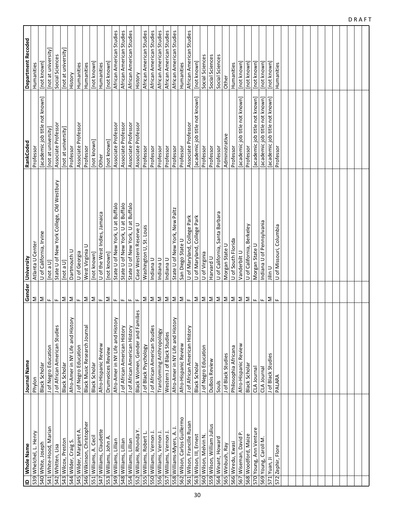|     | ID Whole Name                  | Journal Name                     |              | Gender University                         | RankCoded                      | <b>Department Recoded</b> |
|-----|--------------------------------|----------------------------------|--------------|-------------------------------------------|--------------------------------|---------------------------|
|     | 539 Whelchel, L. Henry         | Phylon                           | Σ            | Atlanta U Center                          | Professor                      | Humanities                |
|     | 540 White, Joseph              | Black Scholar                    | Σ            | U of California, Irvine                   | [academic job title not known] | not known                 |
|     | 541 White-Hood, Marian         | J of Negro Education             | Щ.           | [not a U]                                 | [not at university]            | [not at university]       |
|     | 542 Whitten, Lisa              | J of African American Studies    | Щ.           | State U of New York College, Old Westbury | Associate Professor            | Social Sciences           |
|     | 543 Wilcox, Preston            | Black Scholar                    | Σ            | [not a $U$ ]                              | [not at university]            | [not at university]       |
|     | 544 Wilder, Craig S.           | Afro-Amer in NY Life and History | Σ            | Dartmouth U                               | Professor                      | History                   |
|     | 545 Wilder, Margaret A         | J of Negro Education             | $\mathbf{L}$ | U of Georgia                              | Associate Professor            | Humanities                |
|     | 546 Wilkinson, Christopher     | Black Music Research Journal     | Σ            | ⊃<br>West Virginia                        | Professor                      | Humanities                |
| 551 | Williams, A. Cecil             | <b>Black Scholar</b>             | Σ            | [not known]                               | [not known]                    | [not known]               |
|     | 547 Williams, Claudette        | Afro-Hispanic Review             | $\mathbf{L}$ | U of the West Indies, Jamaica             | Other                          | Humanities                |
|     | 553 Williams, John A.          | Drumvoices Review                | Σ            | [not known]                               | [not known]                    | [not known]               |
|     | 549 Williams, Lillian          | Afro-Amer in NY Life and History | ш.           | State U of New York, U at Buffalo         | Associate Professor            | African American Studies  |
|     | 548 Williams, Lillian          | J of African American History    | ш.           | State U of New York, U at Buffalo         | Associate Professor            | African American Studies  |
|     | 554 Williams, Lillian          | J of African American History    | ш.           | State U of New York, U at Buffalo         | Associate Professor            | African American Studies  |
|     | 552 Williams, Rhonda Y.        | Black Women, Gender and Families | $\mathbf{L}$ | Case Western Reserve U                    | Associate Professor            | History                   |
|     | 555 Williams, Robert L.        | J of Black Psychology            | Σ            | Washington U, St. Louis                   | Professor                      | African American Studies  |
|     | 550 Williams, Vernon J.        | J of African American Studies    | $\geq$       | Indiana U                                 | Professor                      | African American Studies  |
|     | 556 Williams, Vernon J.        | Transforming Anthropology        | Σ            | Indiana U                                 | Professor                      | African American Studies  |
|     | 557 Williams, Vernon J.        | Western J of Black Studies       | $\geq$       | Indiana U                                 | Professor                      | African American Studies  |
|     | 558 Williams-Myers, A.         | Afro-Amer in NY Life and History | Σ            | State U of New York, New Paltz            | Professor                      | African American Studies  |
|     | 562 Wilson, Carlos Guillermo   | Afro-Hispanic Review             | Σ            | San Diego State U                         | Professor                      | Humanities                |
|     | 561 Wilson, Francille Rusan    | J of African American History    | $\mathbf{L}$ | U of Maryland, College Park               | Associate Professor            | African American Studies  |
|     | 563 Wilson, III, Ernest        | <b>Black Scholar</b>             | Σ            | U of Maryland, College Park               | [academic job title not known] | [not known]               |
|     | 560 Wilson, Melvin N.          | J of Negro Education             | Σ            | U of Virginia                             | Professor                      | Social Sciences           |
|     | 559 Wilson, William Julius     | DuBois Review                    | Σ            | Harvard U                                 | Professor                      | Social Sciences           |
|     | 564 Winant, Howard             | Souls                            | Σ            | U of California, Santa Barbara            | Professor                      | Social Sciences           |
|     | 565 Winbush, Ray               | J of Black Studies               | Σ            | Morgan State U                            | Administrative                 | Other                     |
|     | 566 Wiredu, Kwasi              | Philosophia Africana             | Σ            | U of South Florida                        | Professor                      | Humanities                |
|     | $\Delta$<br>567 Wiseman, David | Afro-Hispanic Review             | Σ            | Vanderbilt U                              | [academic job title not known] | [not known]               |
|     | 568 Woodford, Maize            | Black Scholar                    | Σ            | U of California, Berkeley                 | Professor                      | [not known]               |
|     | 570 Young, Ann Venture         | CLA Journal                      | щ            | Morgan State U                            | academic job title not known]  | [not known]               |
|     | 569 Young, Caroll M.           | CLA Journal                      | щ            | Indiana U of Pennsylvania                 | academic job title not known]  | [not known]               |
| 571 | Yuan, Ji                       | J of Black Studies               | Σ            | コ<br>三                                    | [academic job title not known] | [not known]               |
| 572 | Zephir, Flore                  | PALARA                           | Щ.           | U of Missouri, Columbia                   | Professor                      | Humanities                |
|     |                                |                                  |              |                                           |                                |                           |
|     |                                |                                  |              |                                           |                                |                           |
|     |                                |                                  |              |                                           |                                |                           |
|     |                                |                                  |              |                                           |                                |                           |
|     |                                |                                  |              |                                           |                                |                           |
|     |                                |                                  |              |                                           |                                |                           |
|     |                                |                                  |              |                                           |                                |                           |
|     |                                |                                  |              |                                           |                                |                           |
|     |                                |                                  |              |                                           |                                |                           |
|     |                                |                                  |              |                                           |                                |                           |

DRAFT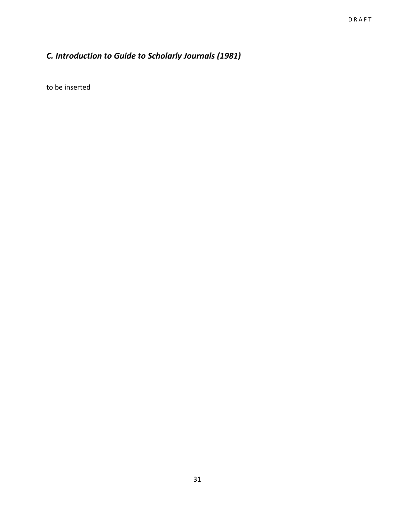### *C. Introduction to Guide to Scholarly Journals (1981)*

to be inserted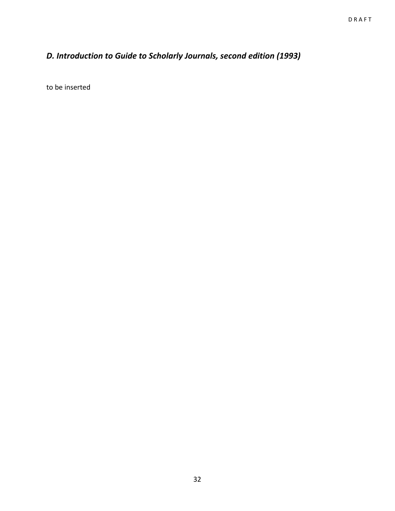### *D. Introduction to Guide to Scholarly Journals, second edition (1993)*

to be inserted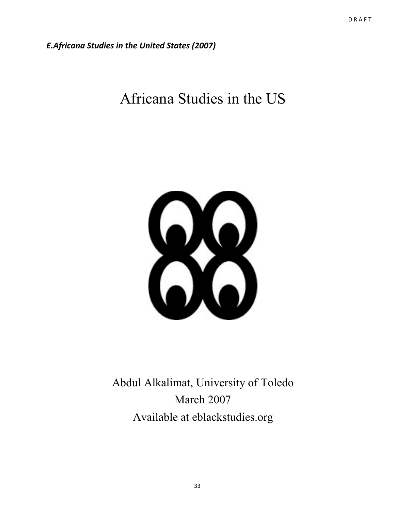*E.Africana Studies in the United States (2007)*

# Africana Studies in the US



Abdul Alkalimat, University of Toledo March 2007 Available at eblackstudies.org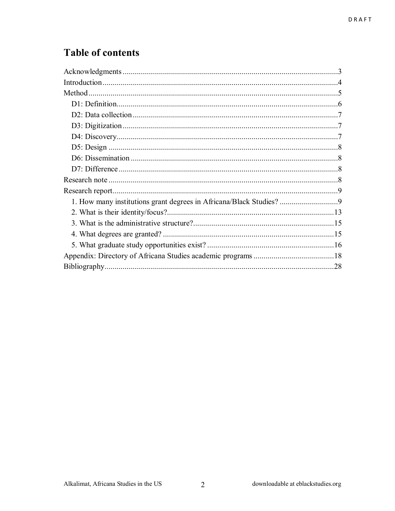## **Table of contents**

 $\overline{2}$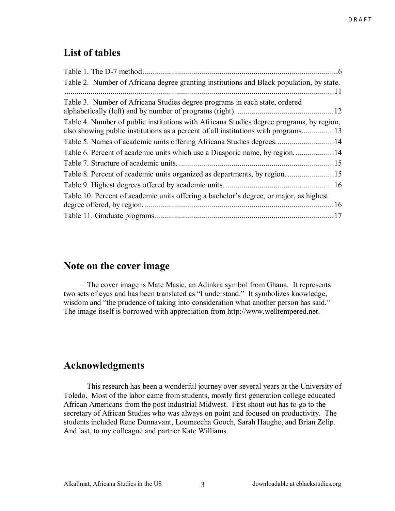### **List of tables**

| Table 2. Number of Africana degree granting institutions and Black population, by state. |  |
|------------------------------------------------------------------------------------------|--|
|                                                                                          |  |
| Table 3. Number of Africana Studies degree programs in each state, ordered               |  |
|                                                                                          |  |
| Table 4. Number of public institutions with Africana Studies degree programs, by region, |  |
| also showing public institutions as a percent of all institutions with programs13        |  |
|                                                                                          |  |
| Table 6. Percent of academic units which use a Diasporic name, by region14               |  |
|                                                                                          |  |
|                                                                                          |  |
|                                                                                          |  |
| Table 10. Percent of academic units offering a bachelor's degree, or major, as highest   |  |
|                                                                                          |  |
|                                                                                          |  |

### **Note on the cover image**

 The cover image is Mate Masie, an Adinkra symbol from Ghana. It represents two sets of eyes and has been translated as "I understand." It symbolizes knowledge, wisdom and "the prudence of taking into consideration what another person has said." The image itself is borrowed with appreciation from http://www.welltempered.net.

### **Acknowledgments**

 This research has been a wonderful journey over several years at the University of Toledo. Most of the labor came from students, mostly first generation college educated African Americans from the post industrial Midwest. First shout out has to go to the secretary of African Studies who was always on point and focused on productivity. The students included Rene Dunnavant, Loumeecha Gooch, Sarah Haughe, and Brian Zelip. And last, to my colleague and partner Kate Williams.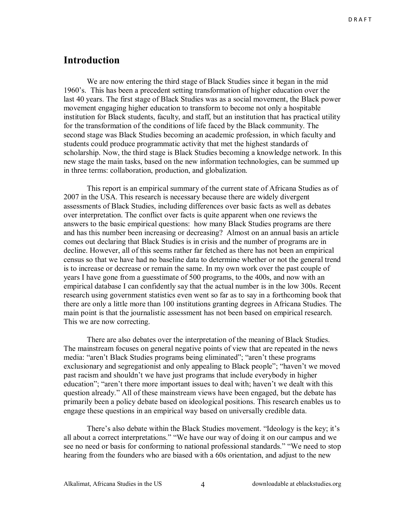### **Introduction**

 We are now entering the third stage of Black Studies since it began in the mid 1960's. This has been a precedent setting transformation of higher education over the last 40 years. The first stage of Black Studies was as a social movement, the Black power movement engaging higher education to transform to become not only a hospitable institution for Black students, faculty, and staff, but an institution that has practical utility for the transformation of the conditions of life faced by the Black community. The second stage was Black Studies becoming an academic profession, in which faculty and students could produce programmatic activity that met the highest standards of scholarship. Now, the third stage is Black Studies becoming a knowledge network. In this new stage the main tasks, based on the new information technologies, can be summed up in three terms: collaboration, production, and globalization.

 This report is an empirical summary of the current state of Africana Studies as of 2007 in the USA. This research is necessary because there are widely divergent assessments of Black Studies, including differences over basic facts as well as debates over interpretation. The conflict over facts is quite apparent when one reviews the answers to the basic empirical questions: how many Black Studies programs are there and has this number been increasing or decreasing? Almost on an annual basis an article comes out declaring that Black Studies is in crisis and the number of programs are in decline. However, all of this seems rather far fetched as there has not been an empirical census so that we have had no baseline data to determine whether or not the general trend is to increase or decrease or remain the same. In my own work over the past couple of years I have gone from a guesstimate of 500 programs, to the 400s, and now with an empirical database I can confidently say that the actual number is in the low 300s. Recent research using government statistics even went so far as to say in a forthcoming book that there are only a little more than 100 institutions granting degrees in Africana Studies. The main point is that the journalistic assessment has not been based on empirical research. This we are now correcting.

 There are also debates over the interpretation of the meaning of Black Studies. The mainstream focuses on general negative points of view that are repeated in the news media: "aren't Black Studies programs being eliminated"; "aren't these programs exclusionary and segregationist and only appealing to Black people"; "haven't we moved past racism and shouldn't we have just programs that include everybody in higher education"; "aren't there more important issues to deal with; haven't we dealt with this question already." All of these mainstream views have been engaged, but the debate has primarily been a policy debate based on ideological positions. This research enables us to engage these questions in an empirical way based on universally credible data.

There's also debate within the Black Studies movement. "Ideology is the key; it's all about a correct interpretations." "We have our way of doing it on our campus and we see no need or basis for conforming to national professional standards." "We need to stop hearing from the founders who are biased with a 60s orientation, and adjust to the new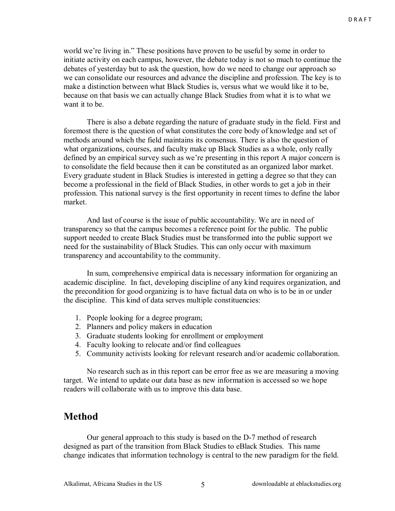world we're living in." These positions have proven to be useful by some in order to initiate activity on each campus, however, the debate today is not so much to continue the debates of yesterday but to ask the question, how do we need to change our approach so we can consolidate our resources and advance the discipline and profession. The key is to make a distinction between what Black Studies is, versus what we would like it to be, because on that basis we can actually change Black Studies from what it is to what we want it to be.

There is also a debate regarding the nature of graduate study in the field. First and foremost there is the question of what constitutes the core body of knowledge and set of methods around which the field maintains its consensus. There is also the question of what organizations, courses, and faculty make up Black Studies as a whole, only really defined by an empirical survey such as we're presenting in this report A major concern is to consolidate the field because then it can be constituted as an organized labor market. Every graduate student in Black Studies is interested in getting a degree so that they can become a professional in the field of Black Studies, in other words to get a job in their profession. This national survey is the first opportunity in recent times to define the labor market.

And last of course is the issue of public accountability. We are in need of transparency so that the campus becomes a reference point for the public. The public support needed to create Black Studies must be transformed into the public support we need for the sustainability of Black Studies. This can only occur with maximum transparency and accountability to the community.

In sum, comprehensive empirical data is necessary information for organizing an academic discipline. In fact, developing discipline of any kind requires organization, and the precondition for good organizing is to have factual data on who is to be in or under the discipline. This kind of data serves multiple constituencies:

- 1. People looking for a degree program;
- 2. Planners and policy makers in education
- 3. Graduate students looking for enrollment or employment
- 4. Faculty looking to relocate and/or find colleagues
- 5. Community activists looking for relevant research and/or academic collaboration.

No research such as in this report can be error free as we are measuring a moving target. We intend to update our data base as new information is accessed so we hope readers will collaborate with us to improve this data base.

### **Method**

Our general approach to this study is based on the D-7 method of research designed as part of the transition from Black Studies to eBlack Studies. This name change indicates that information technology is central to the new paradigm for the field.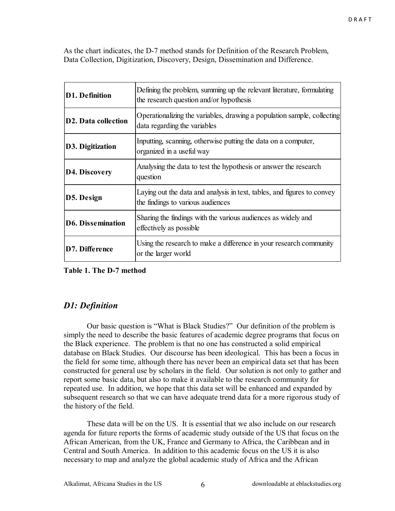As the chart indicates, the D-7 method stands for Definition of the Research Problem, Data Collection, Digitization, Discovery, Design, Dissemination and Difference.

| <b>D1. Definition</b>      | Defining the problem, summing up the relevant literature, formulating<br>the research question and/or hypothesis |
|----------------------------|------------------------------------------------------------------------------------------------------------------|
| <b>D2. Data collection</b> | Operationalizing the variables, drawing a population sample, collecting<br>data regarding the variables          |
| <b>D3. Digitization</b>    | Inputting, scanning, otherwise putting the data on a computer,<br>organized in a useful way                      |
| D4. Discovery              | Analysing the data to test the hypothesis or answer the research<br>question                                     |
| D5. Design                 | Laying out the data and analysis in text, tables, and figures to convey<br>the findings to various audiences     |
| <b>D6. Dissemination</b>   | Sharing the findings with the various audiences as widely and<br>effectively as possible                         |
| D7. Difference             | Using the research to make a difference in your research community<br>or the larger world                        |

**Table 1. The D-7 method** 

### *D1: Definition*

Our basic question is "What is Black Studies?" Our definition of the problem is simply the need to describe the basic features of academic degree programs that focus on the Black experience. The problem is that no one has constructed a solid empirical database on Black Studies. Our discourse has been ideological. This has been a focus in the field for some time, although there has never been an empirical data set that has been constructed for general use by scholars in the field. Our solution is not only to gather and report some basic data, but also to make it available to the research community for repeated use. In addition, we hope that this data set will be enhanced and expanded by subsequent research so that we can have adequate trend data for a more rigorous study of the history of the field.

 These data will be on the US. It is essential that we also include on our research agenda for future reports the forms of academic study outside of the US that focus on the African American, from the UK, France and Germany to Africa, the Caribbean and in Central and South America. In addition to this academic focus on the US it is also necessary to map and analyze the global academic study of Africa and the African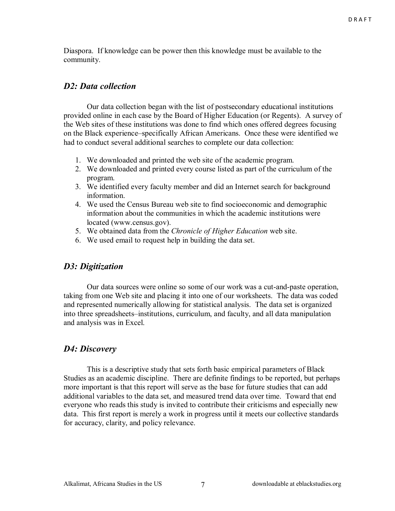Diaspora. If knowledge can be power then this knowledge must be available to the community.

### *D2: Data collection*

 Our data collection began with the list of postsecondary educational institutions provided online in each case by the Board of Higher Education (or Regents). A survey of the Web sites of these institutions was done to find which ones offered degrees focusing on the Black experience–specifically African Americans. Once these were identified we had to conduct several additional searches to complete our data collection:

- 1. We downloaded and printed the web site of the academic program.
- 2. We downloaded and printed every course listed as part of the curriculum of the program.
- 3. We identified every faculty member and did an Internet search for background information.
- 4. We used the Census Bureau web site to find socioeconomic and demographic information about the communities in which the academic institutions were located (www.census.gov).
- 5. We obtained data from the *Chronicle of Higher Education* web site.
- 6. We used email to request help in building the data set.

### *D3: Digitization*

 Our data sources were online so some of our work was a cut-and-paste operation, taking from one Web site and placing it into one of our worksheets. The data was coded and represented numerically allowing for statistical analysis. The data set is organized into three spreadsheets–institutions, curriculum, and faculty, and all data manipulation and analysis was in Excel.

### *D4: Discovery*

 This is a descriptive study that sets forth basic empirical parameters of Black Studies as an academic discipline. There are definite findings to be reported, but perhaps more important is that this report will serve as the base for future studies that can add additional variables to the data set, and measured trend data over time. Toward that end everyone who reads this study is invited to contribute their criticisms and especially new data. This first report is merely a work in progress until it meets our collective standards for accuracy, clarity, and policy relevance.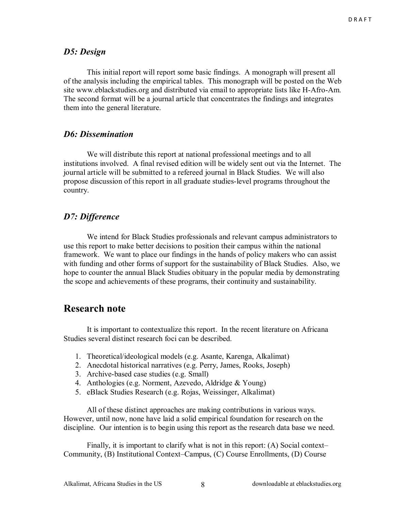#### *D5: Design*

This initial report will report some basic findings. A monograph will present all of the analysis including the empirical tables. This monograph will be posted on the Web site www.eblackstudies.org and distributed via email to appropriate lists like H-Afro-Am. The second format will be a journal article that concentrates the findings and integrates them into the general literature.

#### *D6: Dissemination*

We will distribute this report at national professional meetings and to all institutions involved. A final revised edition will be widely sent out via the Internet. The journal article will be submitted to a refereed journal in Black Studies. We will also propose discussion of this report in all graduate studies-level programs throughout the country.

#### *D7: Difference*

We intend for Black Studies professionals and relevant campus administrators to use this report to make better decisions to position their campus within the national framework. We want to place our findings in the hands of policy makers who can assist with funding and other forms of support for the sustainability of Black Studies. Also, we hope to counter the annual Black Studies obituary in the popular media by demonstrating the scope and achievements of these programs, their continuity and sustainability.

### **Research note**

It is important to contextualize this report. In the recent literature on Africana Studies several distinct research foci can be described.

- 1. Theoretical/ideological models (e.g. Asante, Karenga, Alkalimat)
- 2. Anecdotal historical narratives (e.g. Perry, James, Rooks, Joseph)
- 3. Archive-based case studies (e.g. Small)
- 4. Anthologies (e.g. Norment, Azevedo, Aldridge & Young)
- 5. eBlack Studies Research (e.g. Rojas, Weissinger, Alkalimat)

All of these distinct approaches are making contributions in various ways. However, until now, none have laid a solid empirical foundation for research on the discipline. Our intention is to begin using this report as the research data base we need.

Finally, it is important to clarify what is not in this report: (A) Social context-Community, (B) Institutional Context–Campus, (C) Course Enrollments, (D) Course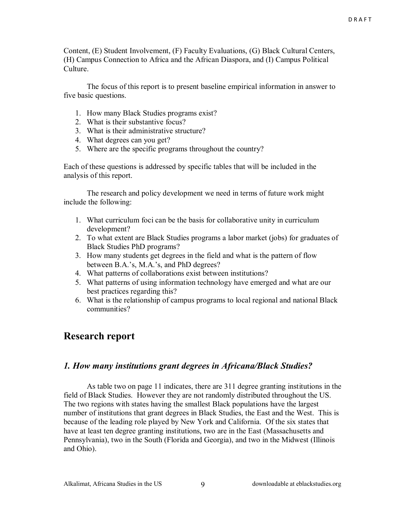Content, (E) Student Involvement, (F) Faculty Evaluations, (G) Black Cultural Centers, (H) Campus Connection to Africa and the African Diaspora, and (I) Campus Political Culture.

 The focus of this report is to present baseline empirical information in answer to five basic questions.

- 1. How many Black Studies programs exist?
- 2. What is their substantive focus?
- 3. What is their administrative structure?
- 4. What degrees can you get?
- 5. Where are the specific programs throughout the country?

Each of these questions is addressed by specific tables that will be included in the analysis of this report.

 The research and policy development we need in terms of future work might include the following:

- 1. What curriculum foci can be the basis for collaborative unity in curriculum development?
- 2. To what extent are Black Studies programs a labor market (jobs) for graduates of Black Studies PhD programs?
- 3. How many students get degrees in the field and what is the pattern of flow between B.A.'s, M.A.'s, and PhD degrees?
- 4. What patterns of collaborations exist between institutions?
- 5. What patterns of using information technology have emerged and what are our best practices regarding this?
- 6. What is the relationship of campus programs to local regional and national Black communities?

### **Research report**

#### *1. How many institutions grant degrees in Africana/Black Studies?*

 As table two on page 11 indicates, there are 311 degree granting institutions in the field of Black Studies. However they are not randomly distributed throughout the US. The two regions with states having the smallest Black populations have the largest number of institutions that grant degrees in Black Studies, the East and the West. This is because of the leading role played by New York and California. Of the six states that have at least ten degree granting institutions, two are in the East (Massachusetts and Pennsylvania), two in the South (Florida and Georgia), and two in the Midwest (Illinois and Ohio).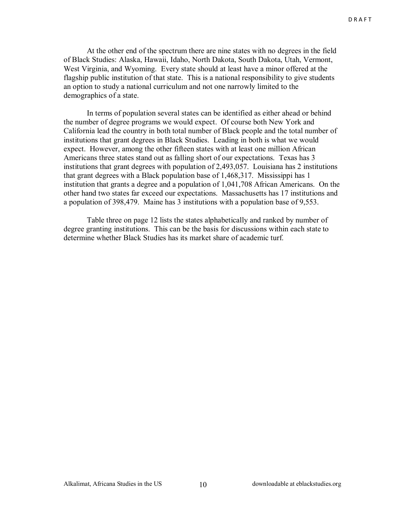At the other end of the spectrum there are nine states with no degrees in the field of Black Studies: Alaska, Hawaii, Idaho, North Dakota, South Dakota, Utah, Vermont, West Virginia, and Wyoming. Every state should at least have a minor offered at the flagship public institution of that state. This is a national responsibility to give students an option to study a national curriculum and not one narrowly limited to the demographics of a state.

 In terms of population several states can be identified as either ahead or behind the number of degree programs we would expect. Of course both New York and California lead the country in both total number of Black people and the total number of institutions that grant degrees in Black Studies. Leading in both is what we would expect. However, among the other fifteen states with at least one million African Americans three states stand out as falling short of our expectations. Texas has 3 institutions that grant degrees with population of 2,493,057. Louisiana has 2 institutions that grant degrees with a Black population base of 1,468,317. Mississippi has 1 institution that grants a degree and a population of 1,041,708 African Americans. On the other hand two states far exceed our expectations. Massachusetts has 17 institutions and a population of 398,479. Maine has 3 institutions with a population base of 9,553.

 Table three on page 12 lists the states alphabetically and ranked by number of degree granting institutions. This can be the basis for discussions within each state to determine whether Black Studies has its market share of academic turf.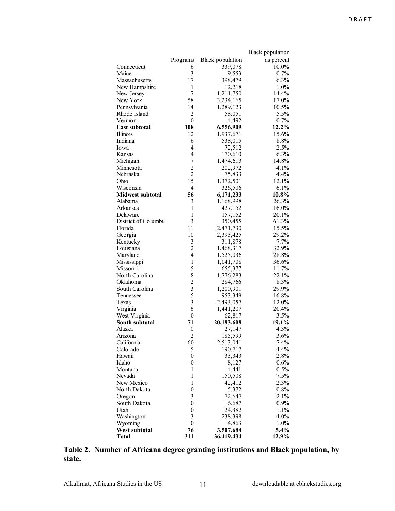|                         |                         |                         | <b>Black</b> population |
|-------------------------|-------------------------|-------------------------|-------------------------|
|                         | Programs                | <b>Black</b> population | as percent              |
| Connecticut             | 6                       | 339,078                 | 10.0%                   |
| Maine                   | 3                       | 9,553                   | 0.7%                    |
| Massachusetts           | 17                      | 398,479                 | 6.3%                    |
| New Hampshire           | 1                       | 12,218                  | 1.0%                    |
| New Jersey              | $\overline{7}$          | 1,211,750               | 14.4%                   |
| New York                | 58                      | 3,234,165               | 17.0%                   |
| Pennsylvania            | 14                      | 1,289,123               | 10.5%                   |
| Rhode Island            | $\overline{c}$          | 58,051                  | 5.5%                    |
| Vermont                 | $\boldsymbol{0}$        | 4,492                   | 0.7%                    |
| <b>East subtotal</b>    | 108                     | 6,556,909               | 12.2%                   |
| <b>Illinois</b>         | 12                      | 1,937,671               | 15.6%                   |
| Indiana                 | 6                       | 538,015                 | 8.8%                    |
| Iowa                    | 4                       | 72,512                  | 2.5%                    |
| Kansas                  | 4                       | 170,610                 | 6.3%                    |
| Michigan                | $\boldsymbol{7}$        | 1,474,613               | 14.8%                   |
| Minnesota               | $\overline{c}$          | 202,972                 | 4.1%                    |
| Nebraska                | $\overline{c}$          | 75,833                  | 4.4%                    |
| Ohio                    | 15                      | 1,372,501               | 12.1%                   |
| Wisconsin               | 4                       | 326,506                 | 6.1%                    |
| <b>Midwest subtotal</b> | 56                      | 6,171,233               | 10.8%                   |
| Alabama                 | 3                       | 1,168,998               | 26.3%                   |
| Arkansas                | $\mathbf{1}$            | 427,152                 | 16.0%                   |
| Delaware                | $\mathbf{1}$            | 157,152                 | 20.1%                   |
| District of Columbia    | 3                       | 350,455                 | 61.3%                   |
| Florida                 | 11                      | 2,471,730               | 15.5%                   |
| Georgia                 | 10                      | 2,393,425               | 29.2%                   |
| Kentucky                | $\mathfrak{Z}$          | 311,878                 | 7.7%                    |
| Louisiana               | $\overline{c}$          | 1,468,317               | 32.9%                   |
| Maryland                | 4                       | 1,525,036               | 28.8%                   |
| Mississippi             | $\mathbf 1$             | 1,041,708               | 36.6%                   |
| Missouri                | 5                       | 655,377                 | 11.7%                   |
| North Carolina          | 8                       | 1,776,283               | 22.1%                   |
| Oklahoma                | $\overline{c}$          | 284,766                 | 8.3%                    |
| South Carolina          | $\overline{\mathbf{3}}$ | 1,200,901               | 29.9%                   |
| Tennessee               | 5                       | 953,349                 | 16.8%                   |
| Texas                   | 3                       | 2,493,057               | 12.0%                   |
| Virginia                | 6                       | 1,441,207               | 20.4%                   |
| West Virginia           | $\boldsymbol{0}$        | 62,817                  | 3.5%                    |
| South subtotal          | 71                      | 20,183,608              | 19.1%                   |
| Alaska                  | $\boldsymbol{0}$        | 27,147                  | 4.3%                    |
| Arizona                 | $\overline{2}$          | 185,599                 | 3.6%                    |
| California              | 60                      | 2,513,041               | 7.4%                    |
| Colorado                | 5                       | 190,717                 | 4.4%                    |
| Hawaii                  | $\boldsymbol{0}$        | 33,343                  | 2.8%                    |
| Idaho                   | $\boldsymbol{0}$        | 8,127                   | 0.6%                    |
| Montana                 | 1                       | 4,441                   | 0.5%                    |
| Nevada                  | $\mathbf{1}$            | 150,508                 | 7.5%                    |
| New Mexico              | 1                       | 42,412                  | 2.3%                    |
| North Dakota            | $\boldsymbol{0}$        | 5,372                   | 0.8%                    |
| Oregon                  | 3                       | 72,647                  | 2.1%                    |
| South Dakota            | $\boldsymbol{0}$        | 6,687                   | 0.9%                    |
| Utah                    | $\boldsymbol{0}$        | 24,382                  | 1.1%                    |
| Washington              | 3                       | 238,398                 | $4.0\%$                 |
| Wyoming                 | $\boldsymbol{0}$        | 4,863                   | 1.0%                    |
| West subtotal           | 76                      | 3,507,684               | 5.4%                    |
| <b>Total</b>            | 311                     | 36,419,434              | 12.9%                   |

#### **Table 2. Number of Africana degree granting institutions and Black population, by state.**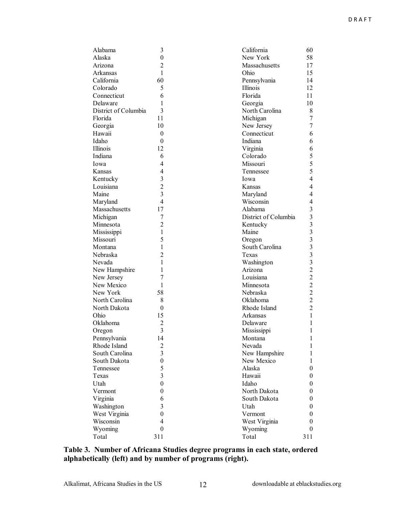| Alabama              | 3                       | California            | 60             |
|----------------------|-------------------------|-----------------------|----------------|
| Alaska               | $\boldsymbol{0}$        | New York              | 58             |
| Arizona              | $\overline{c}$          | Massachusetts         | 17             |
| Arkansas             | $\mathbf{1}$            | Ohio                  | 15             |
| California           | 60                      | Pennsylvania          | 14             |
| Colorado             | 5                       | Illinois              | 12             |
| Connecticut          | 6                       | Florida               | 11             |
| Delaware             | 1                       | Georgia               | 10             |
| District of Columbia | 3                       | North Carolina        | 8              |
| Florida              | 11                      | Michigan              | 7              |
| Georgia              | 10                      | New Jersey            | 7              |
| Hawaii               | $\boldsymbol{0}$        | Connecticut           | 6              |
| Idaho                | $\boldsymbol{0}$        | Indiana               | 6              |
| Illinois             | 12                      | Virginia              | 6              |
| Indiana              | 6                       | Colorado              | 5              |
| Iowa                 | 4                       | Missouri              | 5              |
| Kansas               | $\overline{4}$          | Tennessee             | 5              |
| Kentucky             | 3                       | Iowa                  | $\overline{4}$ |
| Louisiana            | $\overline{2}$          | Kansas                | $\overline{4}$ |
| Maine                | $\overline{3}$          | Maryland              | 4              |
| Maryland             | $\overline{4}$          | Wisconsin             | 4              |
| Massachusetts        | 17                      | Alabama               | 3              |
| Michigan             | 7                       | District of Columbia  | 3              |
| Minnesota            | $\overline{c}$          | Kentucky              | $\mathfrak{Z}$ |
| Mississippi          | $\mathbf{1}$            | Maine                 | 3              |
| Missouri             | 5                       | Oregon                | 3              |
| Montana              | $\mathbf{1}$            | South Carolina        | 3              |
| Nebraska             | $\overline{2}$          | Texas                 | 3              |
| Nevada               | 1                       |                       | 3              |
|                      | 1                       | Washington<br>Arizona | $\overline{2}$ |
| New Hampshire        | 7                       | Louisiana             | $\overline{c}$ |
| New Jersey           | 1                       |                       | $\overline{c}$ |
| New Mexico           |                         | Minnesota             | $\overline{c}$ |
| New York             | 58                      | Nebraska              | $\overline{2}$ |
| North Carolina       | 8                       | Oklahoma              | $\overline{2}$ |
| North Dakota         | $\boldsymbol{0}$        | Rhode Island          |                |
| Ohio                 | 15                      | Arkansas              | 1              |
| Oklahoma             | $\overline{2}$          | Delaware              | 1              |
| Oregon               | 3                       | Mississippi           | 1              |
| Pennsylvania         | 14                      | Montana               | 1              |
| Rhode Island         | $\overline{c}$          | Nevada                | 1              |
| South Carolina       | $\overline{\mathbf{3}}$ | New Hampshire         | 1              |
| South Dakota         | $\boldsymbol{0}$        | New Mexico            | 1              |
| Tennessee            | 5                       | Alaska                | $\overline{0}$ |
| Texas                | $\overline{3}$          | Hawaii                | $\overline{0}$ |
| Utah                 | $\boldsymbol{0}$        | Idaho                 | $\overline{0}$ |
| Vermont              | $\boldsymbol{0}$        | North Dakota          | 0              |
| Virginia             | 6                       | South Dakota          | 0              |
| Washington           | 3                       | Utah                  | 0              |
| West Virginia        | $\boldsymbol{0}$        | Vermont               | 0              |
| Wisconsin            | 4                       | West Virginia         | 0              |
| Wyoming              | $\boldsymbol{0}$        | Wyoming               | $\theta$       |
| Total                | 311                     | Total                 | 311            |

**Table 3. Number of Africana Studies degree programs in each state, ordered alphabetically (left) and by number of programs (right).**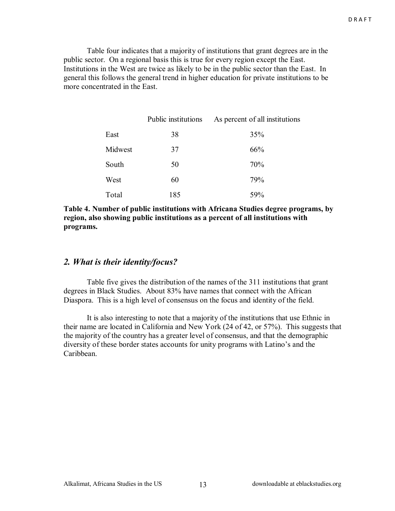Table four indicates that a majority of institutions that grant degrees are in the public sector. On a regional basis this is true for every region except the East. Institutions in the West are twice as likely to be in the public sector than the East. In general this follows the general trend in higher education for private institutions to be more concentrated in the East.

|         | Public institutions | As percent of all institutions |
|---------|---------------------|--------------------------------|
| East    | 38                  | 35%                            |
| Midwest | 37                  | 66%                            |
| South   | 50                  | 70%                            |
| West    | 60                  | 79%                            |
| Total   | 185                 | 59%                            |

**Table 4. Number of public institutions with Africana Studies degree programs, by region, also showing public institutions as a percent of all institutions with programs.** 

#### *2. What is their identity/focus?*

 Table five gives the distribution of the names of the 311 institutions that grant degrees in Black Studies. About 83% have names that connect with the African Diaspora. This is a high level of consensus on the focus and identity of the field.

 It is also interesting to note that a majority of the institutions that use Ethnic in their name are located in California and New York (24 of 42, or 57%). This suggests that the majority of the country has a greater level of consensus, and that the demographic diversity of these border states accounts for unity programs with Latino's and the Caribbean.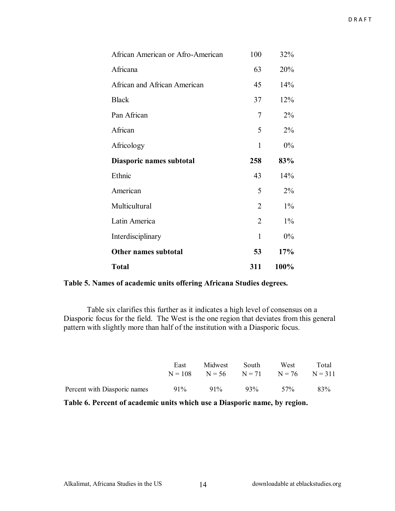| African American or Afro-American | 100            | 32%   |
|-----------------------------------|----------------|-------|
| Africana                          | 63             | 20%   |
| African and African American      | 45             | 14%   |
| <b>Black</b>                      | 37             | 12%   |
| Pan African                       | 7              | $2\%$ |
| African                           | 5              | 2%    |
| Africology                        | $\mathbf{1}$   | $0\%$ |
| Diasporic names subtotal          | 258            | 83%   |
| Ethnic                            | 43             | 14%   |
| American                          | 5              | $2\%$ |
| Multicultural                     | $\overline{2}$ | $1\%$ |
| Latin America                     | $\overline{2}$ | $1\%$ |
| Interdisciplinary                 | $\mathbf{1}$   | 0%    |
| Other names subtotal              | 53             | 17%   |
| <b>Total</b>                      | 311            | 100%  |

**Table 5. Names of academic units offering Africana Studies degrees.** 

 Table six clarifies this further as it indicates a high level of consensus on a Diasporic focus for the field. The West is the one region that deviates from this general pattern with slightly more than half of the institution with a Diasporic focus.

|                              | East | Midwest                                        | South  | West | Total |
|------------------------------|------|------------------------------------------------|--------|------|-------|
|                              |      | $N = 108$ $N = 56$ $N = 71$ $N = 76$ $N = 311$ |        |      |       |
| Percent with Diasporic names | 91%  | $91\%$                                         | $93\%$ | 57%  | 83%   |

**Table 6. Percent of academic units which use a Diasporic name, by region.**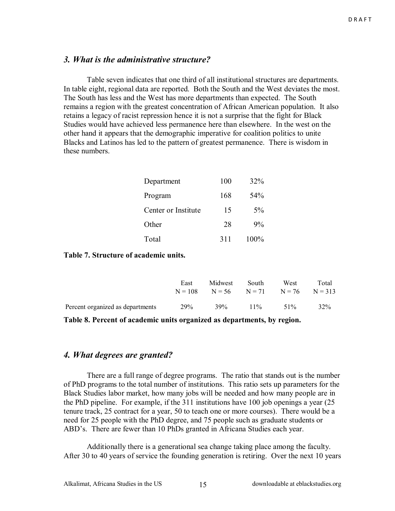#### *3. What is the administrative structure?*

 Table seven indicates that one third of all institutional structures are departments. In table eight, regional data are reported. Both the South and the West deviates the most. The South has less and the West has more departments than expected. The South remains a region with the greatest concentration of African American population. It also retains a legacy of racist repression hence it is not a surprise that the fight for Black Studies would have achieved less permanence here than elsewhere. In the west on the other hand it appears that the demographic imperative for coalition politics to unite Blacks and Latinos has led to the pattern of greatest permanence. There is wisdom in these numbers.

| Department          | 100 | 32%  |
|---------------------|-----|------|
| Program             | 168 | 54%  |
| Center or Institute | 15  | 5%   |
| Other               | 28  | 9%   |
| Total               | 311 | 100% |

#### **Table 7. Structure of academic units.**

|                                  | East<br>$N = 108$ | Midwest<br>$N = 56$ $N = 71$ $N = 76$ $N = 313$ | South  | West   | Total |
|----------------------------------|-------------------|-------------------------------------------------|--------|--------|-------|
| Percent organized as departments | 29%               | 39%                                             | $11\%$ | $51\%$ | 32%   |

**Table 8. Percent of academic units organized as departments, by region.** 

#### *4. What degrees are granted?*

 There are a full range of degree programs. The ratio that stands out is the number of PhD programs to the total number of institutions. This ratio sets up parameters for the Black Studies labor market, how many jobs will be needed and how many people are in the PhD pipeline. For example, if the 311 institutions have 100 job openings a year (25 tenure track, 25 contract for a year, 50 to teach one or more courses). There would be a need for 25 people with the PhD degree, and 75 people such as graduate students or ABD's. There are fewer than 10 PhDs granted in Africana Studies each year.

 Additionally there is a generational sea change taking place among the faculty. After 30 to 40 years of service the founding generation is retiring. Over the next 10 years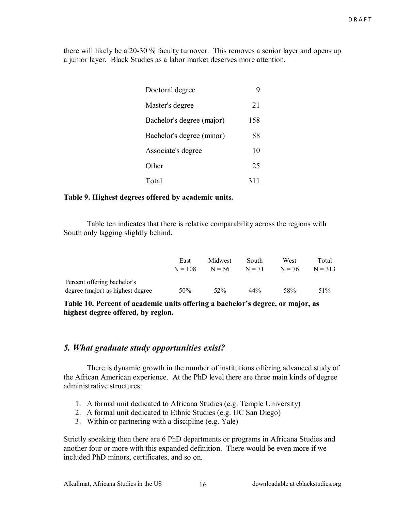there will likely be a 20-30 % faculty turnover. This removes a senior layer and opens up a junior layer. Black Studies as a labor market deserves more attention.

| Doctoral degree           |     |
|---------------------------|-----|
| Master's degree           | 21  |
| Bachelor's degree (major) | 158 |
| Bachelor's degree (minor) | 88  |
| Associate's degree        | 10  |
| Other                     | 25  |
| Total                     | 311 |

#### **Table 9. Highest degrees offered by academic units.**

 Table ten indicates that there is relative comparability across the regions with South only lagging slightly behind.

|                                  | East<br>$N = 108$ | Midwest<br>$N = 56$ | South<br>$N = 71$ | West<br>$N = 76$ | Total<br>$N = 313$ |
|----------------------------------|-------------------|---------------------|-------------------|------------------|--------------------|
| Percent offering bachelor's      |                   |                     |                   |                  |                    |
| degree (major) as highest degree | 50%               | 52%                 | $44\%$            | 58%              | 51\%               |

Table 10. Percent of academic units offering a bachelor's degree, or major, as **highest degree offered, by region.** 

#### *5. What graduate study opportunities exist?*

 There is dynamic growth in the number of institutions offering advanced study of the African American experience. At the PhD level there are three main kinds of degree administrative structures:

- 1. A formal unit dedicated to Africana Studies (e.g. Temple University)
- 2. A formal unit dedicated to Ethnic Studies (e.g. UC San Diego)
- 3. Within or partnering with a discipline (e.g. Yale)

Strictly speaking then there are 6 PhD departments or programs in Africana Studies and another four or more with this expanded definition. There would be even more if we included PhD minors, certificates, and so on.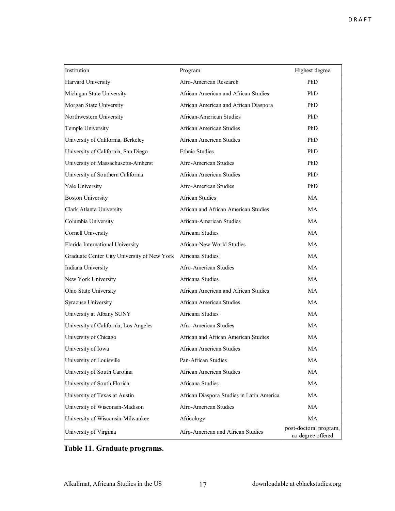| Institution                                 | Program                                   | Highest degree                              |
|---------------------------------------------|-------------------------------------------|---------------------------------------------|
| Harvard University                          | Afro-American Research                    | PhD                                         |
| Michigan State University                   | African American and African Studies      | PhD                                         |
| Morgan State University                     | African American and African Diaspora     | PhD                                         |
| Northwestern University                     | African-American Studies                  | PhD                                         |
| Temple University                           | African American Studies                  | PhD                                         |
| University of California, Berkeley          | African American Studies                  | PhD                                         |
| University of California, San Diego         | <b>Ethnic Studies</b>                     | PhD                                         |
| University of Massachusetts-Amherst         | Afro-American Studies                     | PhD                                         |
| University of Southern California           | African American Studies                  | PhD                                         |
| Yale University                             | Afro-American Studies                     | PhD                                         |
| <b>Boston University</b>                    | <b>African Studies</b>                    | <b>MA</b>                                   |
| Clark Atlanta University                    | African and African American Studies      | <b>MA</b>                                   |
| Columbia University                         | African-American Studies                  | <b>MA</b>                                   |
| <b>Cornell University</b>                   | Africana Studies                          | <b>MA</b>                                   |
| Florida International University            | African-New World Studies                 | <b>MA</b>                                   |
| Graduate Center City University of New York | Africana Studies                          | <b>MA</b>                                   |
| Indiana University                          | Afro-American Studies                     | <b>MA</b>                                   |
| New York University                         | Africana Studies                          | <b>MA</b>                                   |
| Ohio State University                       | African American and African Studies      | <b>MA</b>                                   |
| <b>Syracuse University</b>                  | <b>African American Studies</b>           | <b>MA</b>                                   |
| University at Albany SUNY                   | Africana Studies                          | <b>MA</b>                                   |
| University of California, Los Angeles       | Afro-American Studies                     | <b>MA</b>                                   |
| University of Chicago                       | African and African American Studies      | <b>MA</b>                                   |
| University of Iowa                          | African American Studies                  | <b>MA</b>                                   |
| University of Louisville                    | Pan-African Studies                       | MA                                          |
| University of South Carolina                | <b>African American Studies</b>           | MA                                          |
| University of South Florida                 | Africana Studies                          | MA                                          |
| University of Texas at Austin               | African Diaspora Studies in Latin America | MA                                          |
| University of Wisconsin-Madison             | Afro-American Studies                     | MA                                          |
| University of Wisconsin-Milwaukee           | Africology                                | MA                                          |
| University of Virginia                      | Afro-American and African Studies         | post-doctoral program,<br>no degree offered |

### **Table 11. Graduate programs.**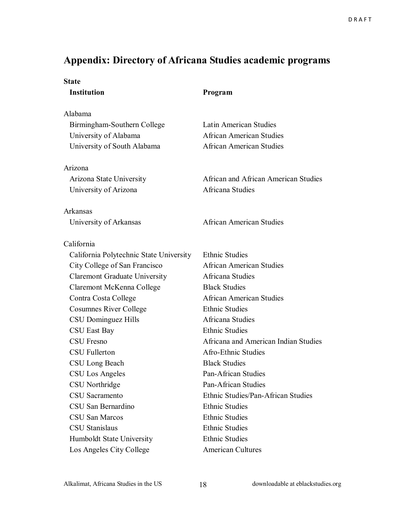### **Appendix: Directory of Africana Studies academic programs**

| <b>State</b>                            |                                      |
|-----------------------------------------|--------------------------------------|
| <b>Institution</b>                      | Program                              |
| Alabama                                 |                                      |
| Birmingham-Southern College             | Latin American Studies               |
| University of Alabama                   | <b>African American Studies</b>      |
| University of South Alabama             | <b>African American Studies</b>      |
| Arizona                                 |                                      |
| Arizona State University                | African and African American Studies |
| University of Arizona                   | Africana Studies                     |
| Arkansas                                |                                      |
| University of Arkansas                  | <b>African American Studies</b>      |
| California                              |                                      |
| California Polytechnic State University | <b>Ethnic Studies</b>                |
| City College of San Francisco           | <b>African American Studies</b>      |
| <b>Claremont Graduate University</b>    | Africana Studies                     |
| Claremont McKenna College               | <b>Black Studies</b>                 |
| Contra Costa College                    | <b>African American Studies</b>      |
| <b>Cosumnes River College</b>           | <b>Ethnic Studies</b>                |
| CSU Dominguez Hills                     | Africana Studies                     |
| CSU East Bay                            | <b>Ethnic Studies</b>                |
| <b>CSU Fresno</b>                       | Africana and American Indian Studies |
| <b>CSU</b> Fullerton                    | Afro-Ethnic Studies                  |
| CSU Long Beach                          | <b>Black Studies</b>                 |
| CSU Los Angeles                         | Pan-African Studies                  |
| CSU Northridge                          | Pan-African Studies                  |
| CSU Sacramento                          | Ethnic Studies/Pan-African Studies   |
| CSU San Bernardino                      | <b>Ethnic Studies</b>                |
| CSU San Marcos                          | <b>Ethnic Studies</b>                |
| <b>CSU</b> Stanislaus                   | <b>Ethnic Studies</b>                |
| Humboldt State University               | <b>Ethnic Studies</b>                |
| Los Angeles City College                | <b>American Cultures</b>             |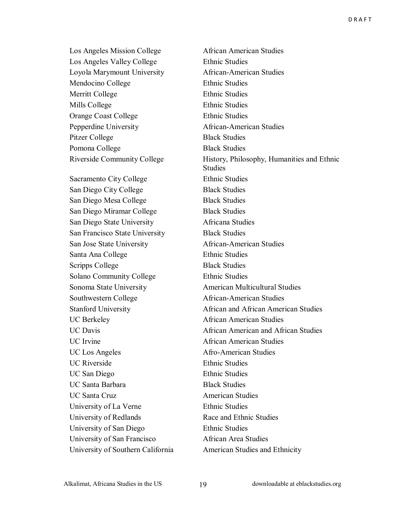Los Angeles Mission College African American Studies Los Angeles Valley College Ethnic Studies Loyola Marymount University African-American Studies Mendocino College Ethnic Studies Merritt College Ethnic Studies Mills College Ethnic Studies Orange Coast College Ethnic Studies Pepperdine University African-American Studies Pitzer College Black Studies Pomona College Black Studies

Sacramento City College Ethnic Studies San Diego City College Black Studies San Diego Mesa College Black Studies San Diego Miramar College Black Studies San Diego State University Africana Studies San Francisco State University Black Studies San Jose State University African-American Studies Santa Ana College Ethnic Studies Scripps College Black Studies Solano Community College Ethnic Studies Sonoma State University **American Multicultural Studies** Southwestern College African-American Studies UC Berkeley **African American Studies** UC Irvine **African American Studies** UC Los Angeles Afro-American Studies UC Riverside Ethnic Studies UC San Diego Ethnic Studies UC Santa Barbara Black Studies UC Santa Cruz **American Studies** University of La Verne Ethnic Studies University of Redlands Race and Ethnic Studies University of San Diego Ethnic Studies University of San Francisco African Area Studies University of Southern California American Studies and Ethnicity

Riverside Community College History, Philosophy, Humanities and Ethnic **Studies**  Stanford University African and African American Studies UC Davis **Example 2 1 1 African** American and African Studies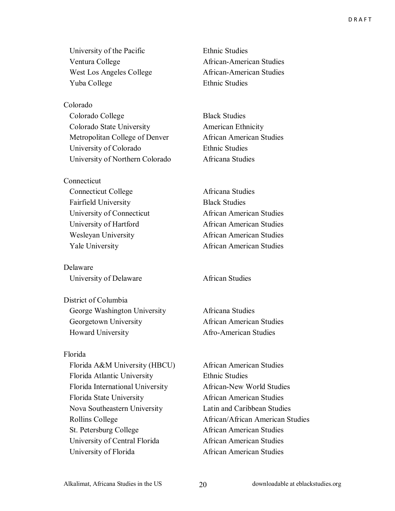University of the Pacific Ethnic Studies Ventura College **African-American Studies** West Los Angeles College African-American Studies Yuba College Ethnic Studies

Colorado Colorado College Black Studies Colorado State University American Ethnicity Metropolitan College of Denver African American Studies University of Colorado Ethnic Studies University of Northern Colorado Africana Studies

**Connecticut** Connecticut College Africana Studies Fairfield University Black Studies

Delaware University of Delaware **African Studies** 

District of Columbia George Washington University Africana Studies Georgetown University African American Studies Howard University **Afro-American Studies** 

#### Florida

Florida A&M University (HBCU) African American Studies Florida Atlantic University Ethnic Studies Florida International University African-New World Studies Florida State University **African American Studies**  Nova Southeastern University Latin and Caribbean Studies St. Petersburg College African American Studies University of Central Florida African American Studies University of Florida African American Studies

 University of Connecticut African American Studies University of Hartford African American Studies Wesleyan University African American Studies Yale University African American Studies

Rollins College **African**/African American Studies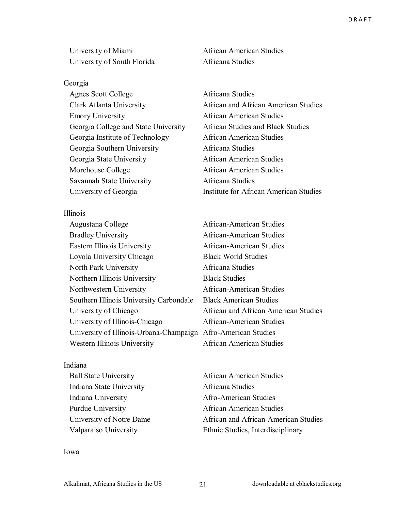University of Miami African American Studies University of South Florida Africana Studies

#### Georgia

Agnes Scott College **Africana** Studies Emory University African American Studies Georgia College and State University African Studies and Black Studies Georgia Institute of Technology African American Studies Georgia Southern University Africana Studies Georgia State University African American Studies Morehouse College **African American Studies** Savannah State University Africana Studies

Illinois

Augustana College African-American Studies Bradley University **African-American Studies**  Eastern Illinois University African-American Studies Loyola University Chicago Black World Studies North Park University **Africana Studies**  Northern Illinois University Black Studies Northwestern University African-American Studies Southern Illinois University Carbondale Black American Studies University of Chicago African and African American Studies University of Illinois-Chicago African-American Studies University of Illinois-Urbana-Champaign Afro-American Studies Western Illinois University African American Studies

#### Indiana

 Indiana State University Africana Studies Indiana University Afro-American Studies

 Clark Atlanta University African and African American Studies University of Georgia Institute for African American Studies

Ball State University **African American Studies** Purdue University **African American Studies** University of Notre Dame African and African-American Studies Valparaiso University Ethnic Studies, Interdisciplinary

Iowa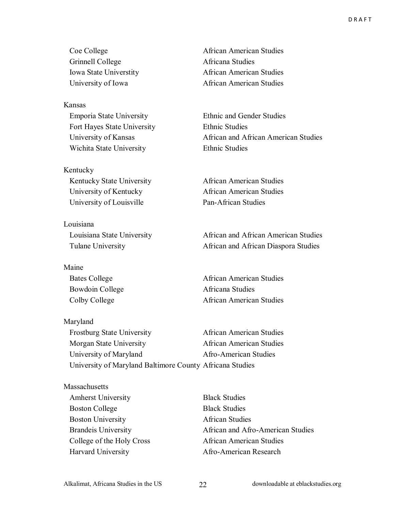Coe College **African American Studies** Grinnell College **Africana Studies** 

Kansas Emporia State University Ethnic and Gender Studies Fort Hayes State University Ethnic Studies Wichita State University **Ethnic Studies** 

Kentucky Kentucky State University **African American Studies**  University of Kentucky African American Studies University of Louisville Pan-African Studies

Louisiana

Maine

Maryland

 Iowa State Universtity African American Studies University of Iowa African American Studies

University of Kansas African and African American Studies

 Louisiana State University African and African American Studies Tulane University African and African Diaspora Studies

Bates College **African American Studies** Bowdoin College **Africana** Studies Colby College **African American Studies** 

 Frostburg State University African American Studies Morgan State University African American Studies University of Maryland Afro-American Studies University of Maryland Baltimore County Africana Studies

**Massachusetts**  Amherst University Black Studies Boston College Black Studies Boston University **African Studies** 

Brandeis University **African and Afro-American Studies** College of the Holy Cross African American Studies Harvard University Afro-American Research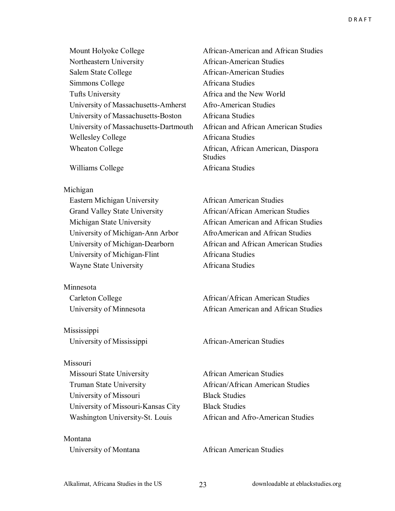Mount Holyoke College **African-American and African Studies**  Northeastern University African-American Studies Salem State College African-American Studies Simmons College Africana Studies Tufts University Africa and the New World University of Massachusetts-Amherst Afro-American Studies University of Massachusetts-Boston Africana Studies University of Massachusetts-Dartmouth African and African American Studies Wellesley College **Africana** Studies Wheaton College **African, African American, Diaspora** 

Williams College **Africana** Studies

#### Michigan

 Eastern Michigan University African American Studies Grand Valley State University African/African American Studies University of Michigan-Ann Arbor AfroAmerican and African Studies University of Michigan-Flint Africana Studies Wayne State University **Africana Studies** 

Minnesota

Mississippi University of Mississippi African-American Studies

#### Missouri

 Missouri State University African American Studies Truman State University **African**/African American Studies University of Missouri Black Studies University of Missouri-Kansas City Black Studies

Montana

**Studies** 

 Michigan State University African American and African Studies University of Michigan-Dearborn African and African American Studies

Carleton College **African**/African American Studies University of Minnesota **African American and African Studies** 

Washington University-St. Louis African and Afro-American Studies

University of Montana African American Studies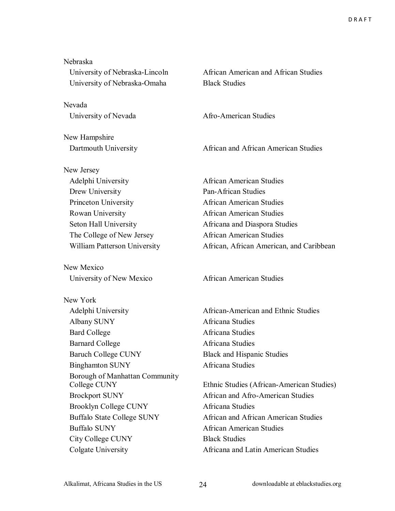| Nebraska                          |                                           |
|-----------------------------------|-------------------------------------------|
| University of Nebraska-Lincoln    | African American and African Studies      |
| University of Nebraska-Omaha      | <b>Black Studies</b>                      |
| Nevada                            |                                           |
| University of Nevada              | Afro-American Studies                     |
| New Hampshire                     |                                           |
| Dartmouth University              | African and African American Studies      |
| New Jersey                        |                                           |
| Adelphi University                | <b>African American Studies</b>           |
| Drew University                   | <b>Pan-African Studies</b>                |
| Princeton University              | <b>African American Studies</b>           |
| Rowan University                  | <b>African American Studies</b>           |
| Seton Hall University             | Africana and Diaspora Studies             |
| The College of New Jersey         | <b>African American Studies</b>           |
| William Patterson University      | African, African American, and Caribbean  |
| New Mexico                        |                                           |
| University of New Mexico          | <b>African American Studies</b>           |
| New York                          |                                           |
| Adelphi University                | African-American and Ethnic Studies       |
| Albany SUNY                       | Africana Studies                          |
| <b>Bard College</b>               | Africana Studies                          |
| <b>Barnard College</b>            | Africana Studies                          |
| Baruch College CUNY               | <b>Black and Hispanic Studies</b>         |
| <b>Binghamton SUNY</b>            | Africana Studies                          |
| Borough of Manhattan Community    |                                           |
| College CUNY                      | Ethnic Studies (African-American Studies) |
| <b>Brockport SUNY</b>             | African and Afro-American Studies         |
| <b>Brooklyn College CUNY</b>      | Africana Studies                          |
| <b>Buffalo State College SUNY</b> | African and African American Studies      |
| <b>Buffalo SUNY</b>               | <b>African American Studies</b>           |
| <b>City College CUNY</b>          | <b>Black Studies</b>                      |
|                                   |                                           |

Colgate University Africana and Latin American Studies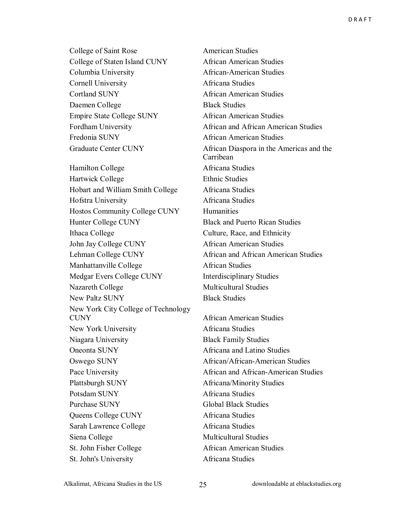College of Saint Rose American Studies College of Staten Island CUNY African American Studies Columbia University African-American Studies Cornell University Africana Studies Cortland SUNY African American Studies Daemen College Black Studies Empire State College SUNY African American Studies Fredonia SUNY **African American Studies** Hamilton College **Africana** Studies

Hartwick College Ethnic Studies Hobart and William Smith College Africana Studies Hofstra University Africana Studies Hostos Community College CUNY Humanities Hunter College CUNY Black and Puerto Rican Studies Ithaca College Culture, Race, and Ethnicity John Jay College CUNY African American Studies Lehman College CUNY African and African American Studies Manhattanville College African Studies Medgar Evers College CUNY Interdisciplinary Studies Nazareth College Multicultural Studies New Paltz SUNY Black Studies New York City College of Technology CUNY African American Studies New York University **Africana Studies**  Niagara University Black Family Studies Oneonta SUNY Africana and Latino Studies Oswego SUNY African/African-American Studies Plattsburgh SUNY Africana/Minority Studies Potsdam SUNY Africana Studies Purchase SUNY Global Black Studies Queens College CUNY Africana Studies Sarah Lawrence College Africana Studies Siena College Multicultural Studies St. John Fisher College African American Studies St. John's University Africana Studies

Fordham University **African and African American Studies**  Graduate Center CUNY African Diaspora in the Americas and the Carribean

Pace University **African and African-American Studies**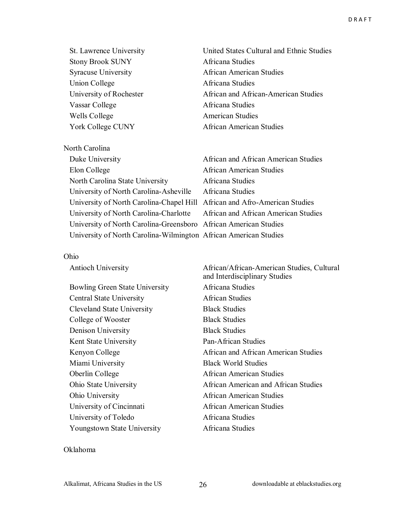| St. Lawrence University    |
|----------------------------|
| <b>Stony Brook SUNY</b>    |
| <b>Syracuse University</b> |
| <b>Union College</b>       |
| University of Rochester    |
| Vassar College             |
| Wells College              |
| York College CUNY          |

North Carolina

United States Cultural and Ethnic Studies Africana Studies African American Studies Africana Studies African and African-American Studies Africana Studies American Studies African American Studies

| Duke University                                                            | African and African American Studies |
|----------------------------------------------------------------------------|--------------------------------------|
| Elon College                                                               | <b>African American Studies</b>      |
| North Carolina State University                                            | Africana Studies                     |
| University of North Carolina-Asheville                                     | Africana Studies                     |
| University of North Carolina-Chapel Hill African and Afro-American Studies |                                      |
| University of North Carolina-Charlotte                                     | African and African American Studies |
| University of North Carolina-Greensboro African American Studies           |                                      |
| University of North Carolina-Wilmington African American Studies           |                                      |

#### Ohio

| <b>Antioch University</b>         | African/African-American Studies, Cultural<br>and Interdisciplinary Studies |
|-----------------------------------|-----------------------------------------------------------------------------|
| Bowling Green State University    | Africana Studies                                                            |
| <b>Central State University</b>   | <b>African Studies</b>                                                      |
| <b>Cleveland State University</b> | <b>Black Studies</b>                                                        |
| College of Wooster                | <b>Black Studies</b>                                                        |
| Denison University                | <b>Black Studies</b>                                                        |
| Kent State University             | Pan-African Studies                                                         |
| Kenyon College                    | African and African American Studies                                        |
| Miami University                  | <b>Black World Studies</b>                                                  |
| Oberlin College                   | <b>African American Studies</b>                                             |
| Ohio State University             | African American and African Studies                                        |
| Ohio University                   | African American Studies                                                    |
| University of Cincinnati          | <b>African American Studies</b>                                             |
| University of Toledo              | Africana Studies                                                            |
| Youngstown State University       | Africana Studies                                                            |

#### Oklahoma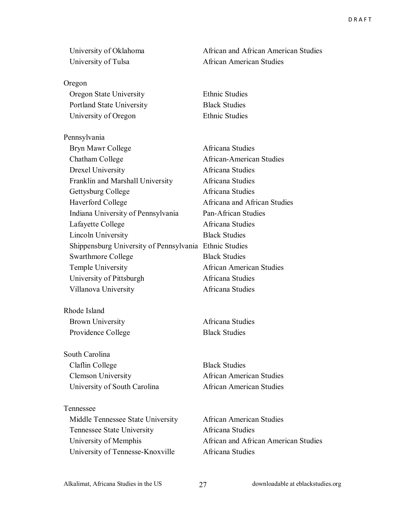Oregon Oregon State University Ethnic Studies Portland State University Black Studies University of Oregon Ethnic Studies

Pennsylvania Bryn Mawr College **Africana** Studies Chatham College African-American Studies Drexel University Africana Studies Franklin and Marshall University Africana Studies Gettysburg College **Africana** Studies

Haverford College **Africana** and African Studies Indiana University of Pennsylvania Pan-African Studies Lafayette College **Africana** Studies Lincoln University Black Studies Shippensburg University of Pennsylvania Ethnic Studies Swarthmore College Black Studies Temple University African American Studies University of Pittsburgh Africana Studies Villanova University Africana Studies

Rhode Island Brown University **Africana Studies** Providence College Black Studies

South Carolina Claflin College Black Studies Clemson University African American Studies

Tennessee Middle Tennessee State University African American Studies Tennessee State University Africana Studies University of Tennesse-Knoxville Africana Studies

University of Oklahoma African and African American Studies University of Tulsa African American Studies

University of South Carolina **African American Studies** 

University of Memphis African and African American Studies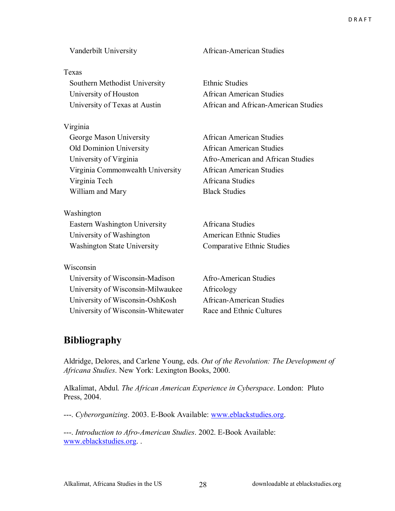#### Texas

 Southern Methodist University Ethnic Studies University of Houston **African American Studies** 

#### Virginia

George Mason University **African American Studies**  Old Dominion University African American Studies University of Virginia Afro-American and African Studies Virginia Commonwealth University African American Studies Virginia Tech Africana Studies William and Mary Black Studies

Washington Eastern Washington University Africana Studies University of Washington American Ethnic Studies

#### Wisconsin

 University of Wisconsin-Madison Afro-American Studies University of Wisconsin-Milwaukee Africology University of Wisconsin-OshKosh African-American Studies University of Wisconsin-Whitewater Race and Ethnic Cultures

Vanderbilt University African-American Studies

University of Texas at Austin African and African-American Studies

Washington State University Comparative Ethnic Studies

### **Bibliography**

Aldridge, Delores, and Carlene Young, eds. *Out of the Revolution: The Development of Africana Studies*. New York: Lexington Books, 2000.

Alkalimat, Abdul. *The African American Experience in Cyberspace*. London: Pluto Press, 2004.

---. *Cyberorganizing*. 2003. E-Book Available: www.eblackstudies.org.

---. *Introduction to Afro-American Studies*. 2002. E-Book Available: www.eblackstudies.org. .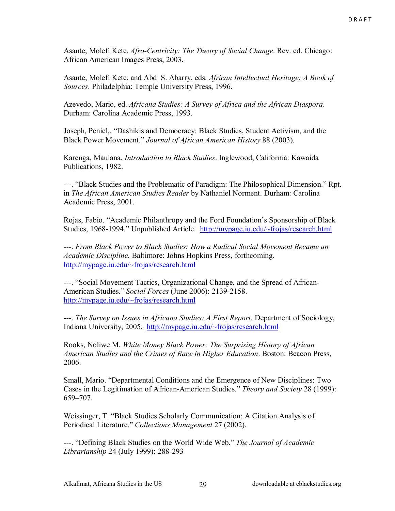Asante, Molefi Kete. *Afro-Centricity: The Theory of Social Change*. Rev. ed. Chicago: African American Images Press, 2003.

Asante, Molefi Kete, and Abd S. Abarry, eds. *African Intellectual Heritage: A Book of Sources*. Philadelphia: Temple University Press, 1996.

Azevedo, Mario, ed. *Africana Studies: A Survey of Africa and the African Diaspora*. Durham: Carolina Academic Press, 1993.

Joseph, Peniel,. "Dashikis and Democracy: Black Studies, Student Activism, and the Black Power Movement." *Journal of African American History* 88 (2003).

Karenga, Maulana. *Introduction to Black Studies*. Inglewood, California: Kawaida Publications, 1982.

---. "Black Studies and the Problematic of Paradigm: The Philosophical Dimension." Rpt. in *The African American Studies Reader* by Nathaniel Norment. Durham: Carolina Academic Press, 2001.

Rojas, Fabio. "Academic Philanthropy and the Ford Foundation's Sponsorship of Black Studies, 1968-1994." Unpublished Article. http://mypage.iu.edu/~frojas/research.html

---. *From Black Power to Black Studies: How a Radical Social Movement Became an Academic Discipline.* Baltimore: Johns Hopkins Press, forthcoming. http://mypage.iu.edu/~frojas/research.html

---. ìSocial Movement Tactics, Organizational Change, and the Spread of African-American Studies.î *Social Forces* (June 2006): 2139-2158. http://mypage.iu.edu/~frojas/research.html

---. *The Survey on Issues in Africana Studies: A First Report*. Department of Sociology, Indiana University, 2005. http://mypage.iu.edu/~frojas/research.html

Rooks, Noliwe M. *White Money Black Power: The Surprising History of African American Studies and the Crimes of Race in Higher Education*. Boston: Beacon Press, 2006.

Small, Mario. "Departmental Conditions and the Emergence of New Disciplines: Two Cases in the Legitimation of African-American Studies.î *Theory and Society* 28 (1999): 659-707.

Weissinger, T. "Black Studies Scholarly Communication: A Citation Analysis of Periodical Literature.î *Collections Management* 27 (2002).

---. "Defining Black Studies on the World Wide Web." The Journal of Academic *Librarianship* 24 (July 1999): 288-293